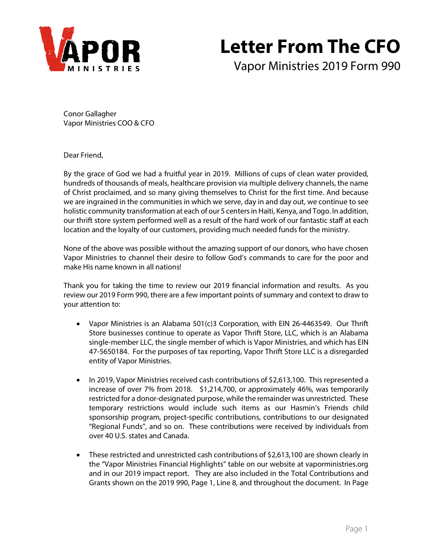

# **Letter From The CFO**

Vapor Ministries 2019 Form 990

Conor Gallagher Vapor Ministries COO & CFO

Dear Friend,

By the grace of God we had a fruitful year in 2019. Millions of cups of clean water provided, hundreds of thousands of meals, healthcare provision via multiple delivery channels, the name of Christ proclaimed, and so many giving themselves to Christ for the first time. And because we are ingrained in the communities in which we serve, day in and day out, we continue to see holistic community transformation at each of our 5 centers in Haiti, Kenya, and Togo. In addition, our thrift store system performed well as a result of the hard work of our fantastic staff at each location and the loyalty of our customers, providing much needed funds for the ministry.

None of the above was possible without the amazing support of our donors, who have chosen Vapor Ministries to channel their desire to follow God's commands to care for the poor and make His name known in all nations!

Thank you for taking the time to review our 2019 financial information and results. As you review our 2019 Form 990, there are a few important points of summary and context to draw to your attention to:

- Vapor Ministries is an Alabama 501(c)3 Corporation, with EIN 26-4463549. Our Thrift Store businesses continue to operate as Vapor Thrift Store, LLC, which is an Alabama single-member LLC, the single member of which is Vapor Ministries, and which has EIN 47-5650184. For the purposes of tax reporting, Vapor Thrift Store LLC is a disregarded entity of Vapor Ministries.
- In 2019, Vapor Ministries received cash contributions of \$2,613,100. This represented a increase of over 7% from 2018. \$1,214,700, or approximately 46%, was temporarily restricted for a donor-designated purpose, while the remainder was unrestricted. These temporary restrictions would include such items as our Hasmin's Friends child sponsorship program, project-specific contributions, contributions to our designated "Regional Funds", and so on. These contributions were received by individuals from over 40 U.S. states and Canada.
- These restricted and unrestricted cash contributions of \$2,613,100 are shown clearly in the "Vapor Ministries Financial Highlights" table on our website at vaporministries.org and in our 2019 impact report. They are also included in the Total Contributions and Grants shown on the 2019 990, Page 1, Line 8, and throughout the document. In Page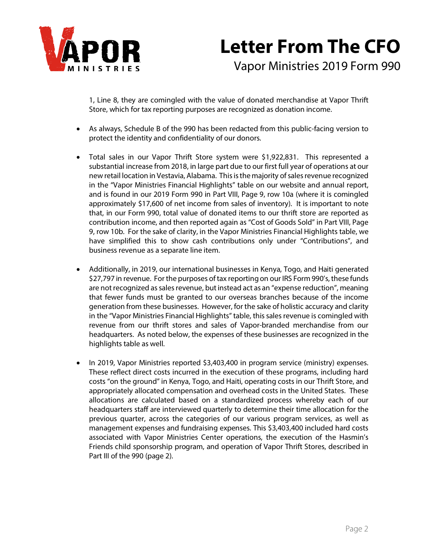

# **Letter From The CFO** Vapor Ministries 2019 Form 990

1, Line 8, they are comingled with the value of donated merchandise at Vapor Thrift Store, which for tax reporting purposes are recognized as donation income.

- As always, Schedule B of the 990 has been redacted from this public-facing version to protect the identity and confidentiality of our donors.
- Total sales in our Vapor Thrift Store system were \$1,922,831. This represented a substantial increase from 2018, in large part due to our first full year of operations at our new retail location in Vestavia, Alabama. This is the majority of sales revenue recognized in the "Vapor Ministries Financial Highlights" table on our website and annual report, and is found in our 2019 Form 990 in Part VIII, Page 9, row 10a (where it is comingled approximately \$17,600 of net income from sales of inventory). It is important to note that, in our Form 990, total value of donated items to our thrift store are reported as contribution income, and then reported again as "Cost of Goods Sold" in Part VIII, Page 9, row 10b. For the sake of clarity, in the Vapor Ministries Financial Highlights table, we have simplified this to show cash contributions only under "Contributions", and business revenue as a separate line item.
- Additionally, in 2019, our international businesses in Kenya, Togo, and Haiti generated \$27,797 in revenue. For the purposes of tax reporting on our IRS Form 990's, these funds are not recognized as sales revenue, but instead act as an "expense reduction", meaning that fewer funds must be granted to our overseas branches because of the income generation from these businesses. However, for the sake of holistic accuracy and clarity in the "Vapor Ministries Financial Highlights" table, this sales revenue is comingled with revenue from our thrift stores and sales of Vapor-branded merchandise from our headquarters. As noted below, the expenses of these businesses are recognized in the highlights table as well.
- In 2019, Vapor Ministries reported \$3,403,400 in program service (ministry) expenses. These reflect direct costs incurred in the execution of these programs, including hard costs "on the ground" in Kenya, Togo, and Haiti, operating costs in our Thrift Store, and appropriately allocated compensation and overhead costs in the United States. These allocations are calculated based on a standardized process whereby each of our headquarters staff are interviewed quarterly to determine their time allocation for the previous quarter, across the categories of our various program services, as well as management expenses and fundraising expenses. This \$3,403,400 included hard costs associated with Vapor Ministries Center operations, the execution of the Hasmin's Friends child sponsorship program, and operation of Vapor Thrift Stores, described in Part III of the 990 (page 2).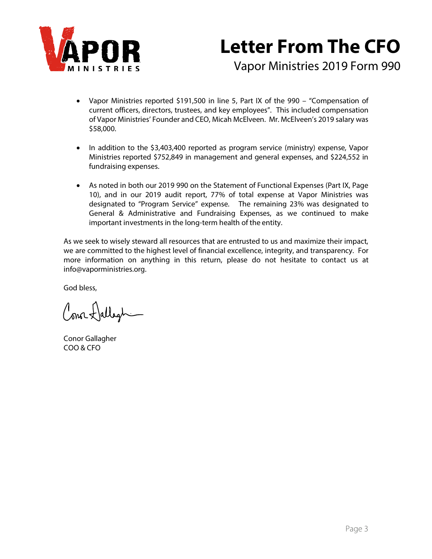

# **Letter From The CFO**

Vapor Ministries 2019 Form 990

- Vapor Ministries reported \$191,500 in line 5, Part IX of the 990 "Compensation of current officers, directors, trustees, and key employees". This included compensation of Vapor Ministries' Founder and CEO, Micah McElveen. Mr. McElveen's 2019 salary was \$58,000.
- In addition to the \$3,403,400 reported as program service (ministry) expense, Vapor Ministries reported \$752,849 in management and general expenses, and \$224,552 in fundraising expenses.
- As noted in both our 2019 990 on the Statement of Functional Expenses (Part IX, Page 10), and in our 2019 audit report, 77% of total expense at Vapor Ministries was designated to "Program Service" expense. The remaining 23% was designated to General & Administrative and Fundraising Expenses, as we continued to make important investments in the long-term health of the entity.

As we seek to wisely steward all resources that are entrusted to us and maximize their impact, we are committed to the highest level of financial excellence, integrity, and transparency. For more information on anything in this return, please do not hesitate to contact us at info@vaporministries.org.

God bless,

Conor Hallegh-

Conor Gallagher COO & CFO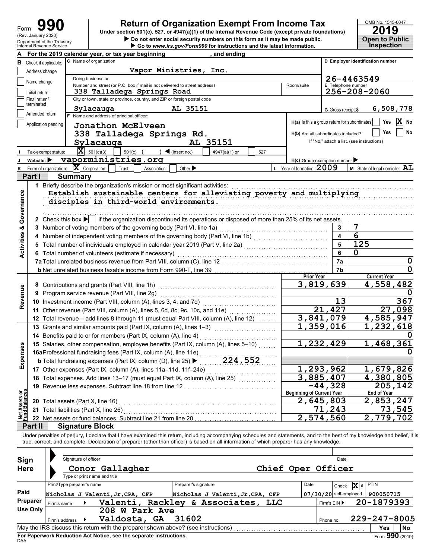| Form                      | 190 |  |
|---------------------------|-----|--|
| (Rev. January 2020)       |     |  |
| Department of the Treasur |     |  |

### **Return of Organization Exempt From Income Tax**

**Internal Revenue Service X** Go to *www.irs.gov/Form990* for instructions and the latest information. ▶ Do not enter social security numbers on this form as it may be made public. **Open to Public Under section 501(c), 527, or 4947(a)(1) of the Internal Revenue Code (except private foundations)**

|                                |                             |                                                | For the 2019 calendar year, or tax year beginning                                                                                                                       |                              | and ending                       |            |                                               |                           |                                            |
|--------------------------------|-----------------------------|------------------------------------------------|-------------------------------------------------------------------------------------------------------------------------------------------------------------------------|------------------------------|----------------------------------|------------|-----------------------------------------------|---------------------------|--------------------------------------------|
| В                              | Check if applicable:        |                                                | C Name of organization                                                                                                                                                  |                              |                                  |            |                                               |                           | D Employer identification number           |
|                                | Address change              |                                                | Vapor Ministries, Inc.                                                                                                                                                  |                              |                                  |            |                                               |                           |                                            |
|                                | Name change                 |                                                | Doing business as                                                                                                                                                       |                              |                                  |            |                                               |                           | 26-4463549                                 |
|                                |                             |                                                | Number and street (or P.O. box if mail is not delivered to street address)                                                                                              |                              |                                  |            | Room/suite                                    | <b>E</b> Telephone number |                                            |
|                                | Initial return              |                                                | 338 Talladega Springs Road                                                                                                                                              |                              |                                  |            |                                               |                           | 256-208-2060                               |
|                                | Final return/<br>terminated |                                                | City or town, state or province, country, and ZIP or foreign postal code                                                                                                |                              |                                  |            |                                               |                           |                                            |
|                                | Amended return              |                                                | Sylacauga                                                                                                                                                               | AL 35151                     |                                  |            |                                               | G Gross receipts\$        | 6,508,778                                  |
|                                |                             |                                                | F Name and address of principal officer:                                                                                                                                |                              |                                  |            | H(a) Is this a group return for subordinates? |                           | Yes<br>No                                  |
|                                | Application pending         |                                                | Jonathon McElveen                                                                                                                                                       |                              |                                  |            |                                               |                           |                                            |
|                                |                             |                                                | 338 Talladega Springs Rd.                                                                                                                                               |                              |                                  |            | H(b) Are all subordinates included?           |                           | Yes<br>No                                  |
|                                |                             |                                                | Sylacauga                                                                                                                                                               |                              | AL 35151                         |            |                                               |                           | If "No," attach a list. (see instructions) |
|                                |                             | Tax-exempt status:                             | $ \mathbf{X} $ 501(c)(3)<br>501(c)                                                                                                                                      | $\triangleleft$ (insert no.) | 4947(a)(1) or                    | 527        |                                               |                           |                                            |
|                                | Website:                    |                                                | vaporministries.org                                                                                                                                                     |                              |                                  |            | $H(c)$ Group exemption number                 |                           |                                            |
| ĸ                              |                             | Form of organization:                          | $ \mathbf{X} $ Corporation<br>Trust<br>Association                                                                                                                      | Other >                      |                                  |            | L Year of formation: 2009                     |                           | <b>M</b> State of legal domicile: $AL$     |
|                                | Part I                      |                                                | <b>Summary</b>                                                                                                                                                          |                              |                                  |            |                                               |                           |                                            |
|                                |                             |                                                | 1 Briefly describe the organization's mission or most significant activities:                                                                                           |                              |                                  |            |                                               |                           |                                            |
|                                |                             |                                                | Establish sustainable centers for alleviating poverty and multiplying                                                                                                   |                              |                                  |            |                                               |                           |                                            |
|                                |                             |                                                | disciples in third-world environments.                                                                                                                                  |                              |                                  |            |                                               |                           |                                            |
| Governance                     |                             |                                                |                                                                                                                                                                         |                              |                                  |            |                                               |                           |                                            |
|                                |                             |                                                | 2 Check this box $\blacktriangleright$ if the organization discontinued its operations or disposed of more than 25% of its net assets.                                  |                              |                                  |            |                                               |                           |                                            |
| ಳ                              |                             |                                                | 3 Number of voting members of the governing body (Part VI, line 1a)                                                                                                     |                              |                                  |            |                                               | 3                         | 7                                          |
|                                |                             |                                                | 4 Number of independent voting members of the governing body (Part VI, line 1b) [[[[[[[[[[[[[[[[[[[[[[[[[[[[[[                                                          |                              |                                  |            |                                               | 4                         | 6                                          |
|                                |                             |                                                | 5 Total number of individuals employed in calendar year 2019 (Part V, line 2a) [11] [11] Total number of individuals employed in calendar year 2019 (Part V, line 2a)   |                              |                                  |            |                                               | 5                         | 125                                        |
| Activities                     |                             |                                                | 6 Total number of volunteers (estimate if necessary)                                                                                                                    |                              |                                  |            |                                               | 6                         | 0                                          |
|                                |                             |                                                |                                                                                                                                                                         |                              |                                  |            |                                               | 7a                        | U                                          |
|                                |                             |                                                |                                                                                                                                                                         |                              | 7b                               |            |                                               |                           |                                            |
|                                |                             |                                                |                                                                                                                                                                         |                              |                                  |            | <b>Prior Year</b>                             |                           | <b>Current Year</b>                        |
|                                |                             |                                                | 8 Contributions and grants (Part VIII, line 1h)                                                                                                                         |                              |                                  |            |                                               | 3,819,639                 | 4,558,482                                  |
| Revenue                        |                             | 9 Program service revenue (Part VIII, line 2g) |                                                                                                                                                                         |                              |                                  |            |                                               |                           |                                            |
|                                |                             |                                                | 10 Investment income (Part VIII, column (A), lines 3, 4, and 7d)                                                                                                        |                              | 13                               | 367        |                                               |                           |                                            |
|                                |                             |                                                | 11 Other revenue (Part VIII, column (A), lines 5, 6d, 8c, 9c, 10c, and 11e)                                                                                             |                              |                                  |            |                                               | 21,427                    | 27,098                                     |
|                                |                             |                                                | 12 Total revenue - add lines 8 through 11 (must equal Part VIII, column (A), line 12)                                                                                   |                              |                                  |            |                                               | 3,841,079                 | 4,585,947                                  |
|                                |                             |                                                | 13 Grants and similar amounts paid (Part IX, column (A), lines 1-3)                                                                                                     |                              |                                  |            |                                               | $\overline{1}$ , 359, 016 | 1,232,618                                  |
|                                |                             |                                                | 14 Benefits paid to or for members (Part IX, column (A), line 4)                                                                                                        |                              |                                  |            |                                               |                           |                                            |
|                                |                             |                                                | 15 Salaries, other compensation, employee benefits (Part IX, column (A), lines 5-10)                                                                                    |                              |                                  |            |                                               | 1,232,429                 | 1,468,361                                  |
| penses                         |                             |                                                | 16aProfessional fundraising fees (Part IX, column (A), line 11e)                                                                                                        |                              |                                  |            |                                               |                           |                                            |
|                                |                             |                                                | <b>b</b> Total fundraising expenses (Part IX, column (D), line 25) ▶                                                                                                    |                              | 224,552                          |            |                                               |                           |                                            |
| யி                             |                             |                                                | 17 Other expenses (Part IX, column (A), lines 11a-11d, 11f-24e)                                                                                                         |                              |                                  |            |                                               | 1,293,962                 | 1,679,826                                  |
|                                |                             |                                                | 18 Total expenses. Add lines 13-17 (must equal Part IX, column (A), line 25)                                                                                            |                              |                                  |            | 3,885,407                                     |                           | 4,380,805                                  |
|                                |                             |                                                | 19 Revenue less expenses. Subtract line 18 from line 12                                                                                                                 |                              |                                  |            |                                               | $-44,328$                 | 205,142                                    |
|                                |                             |                                                |                                                                                                                                                                         |                              |                                  |            | <b>Beginning of Current Year</b>              |                           | <b>End of Year</b>                         |
| Net Assets or<br>Fund Balances |                             |                                                | 20 Total assets (Part X, line 16)                                                                                                                                       |                              |                                  |            | 2,645,803                                     |                           | 2,853,247                                  |
|                                |                             |                                                | 21 Total liabilities (Part X, line 26)                                                                                                                                  |                              |                                  |            |                                               | 71,243                    | 73,545                                     |
|                                |                             |                                                | 22 Net assets or fund balances. Subtract line 21 from line 20                                                                                                           |                              |                                  |            |                                               | 2,574,560                 | 2,779,702                                  |
|                                | Part II                     |                                                | <b>Signature Block</b>                                                                                                                                                  |                              |                                  |            |                                               |                           |                                            |
|                                |                             |                                                | Under penalties of perjury, I declare that I have examined this return, including accompanying schedules and statements, and to the best of my knowledge and belief, it |                              |                                  |            |                                               |                           |                                            |
|                                |                             |                                                | true, correct, and complete. Declaration of preparer (other than officer) is based on all information of which preparer has any knowledge.                              |                              |                                  |            |                                               |                           |                                            |
|                                |                             |                                                |                                                                                                                                                                         |                              |                                  |            |                                               |                           |                                            |
| Sign                           |                             |                                                | Signature of officer                                                                                                                                                    |                              |                                  |            |                                               | Date                      |                                            |
| <b>Here</b>                    |                             |                                                | Conor Gallagher                                                                                                                                                         |                              |                                  |            | Chief Oper Officer                            |                           |                                            |
|                                |                             |                                                | Type or print name and title                                                                                                                                            |                              |                                  |            |                                               |                           |                                            |
|                                |                             |                                                | Print/Type preparer's name                                                                                                                                              | Preparer's signature         |                                  |            | Date                                          | Check                     | <b>PTIN</b><br>X if                        |
| Paid                           |                             |                                                | Nicholas J Valenti, Jr, CPA, CFP                                                                                                                                        |                              | Nicholas J Valenti, Jr, CPA, CFP |            |                                               | 07/30/20 self-employed    | P00050715                                  |
|                                | Preparer                    | Firm's name                                    | Valenti,                                                                                                                                                                |                              | Rackley & Associates,            | <b>TTC</b> |                                               | Firm's EIN ▶              | 20-1879393                                 |
|                                | <b>Use Only</b>             |                                                | 208 W Park Ave                                                                                                                                                          |                              |                                  |            |                                               |                           |                                            |
|                                |                             | Firm's address                                 | Valdosta, GA                                                                                                                                                            | 31602                        |                                  |            |                                               | Phone no.                 | 229-247-8005                               |
|                                |                             |                                                | May the IRS discuss this return with the preparer shown above? (see instructions)                                                                                       |                              |                                  |            |                                               |                           | <b>Yes</b><br>No                           |

| Sign<br><b>Here</b> |                                                                                       | Signature of officer | Conor Gallagher<br>Type or print name and title                                   |  |                      |                                    | Chief Oper Officer |           | Date                     |              |           |
|---------------------|---------------------------------------------------------------------------------------|----------------------|-----------------------------------------------------------------------------------|--|----------------------|------------------------------------|--------------------|-----------|--------------------------|--------------|-----------|
|                     | Print/Type preparer's name                                                            |                      |                                                                                   |  | Preparer's signature |                                    |                    | Date      | X if<br>Check            | <b>PTIN</b>  |           |
| Paid                |                                                                                       |                      | Nicholas J Valenti, Jr, CPA, CFP                                                  |  |                      | Nicholas J Valenti, Jr, CPA, CFP   |                    |           | $07/30/20$ self-employed | P00050715    |           |
| Preparer            | Firm's name                                                                           |                      |                                                                                   |  |                      | Valenti, Rackley & Associates, LLC |                    |           | Firm's $EIN$             | 20-1879393   |           |
| Use Only            |                                                                                       |                      | 208 W Park Ave                                                                    |  |                      |                                    |                    |           |                          |              |           |
|                     | Firm's address                                                                        |                      | Valdosta, GA                                                                      |  | 31602                |                                    |                    | Phone no. |                          | 229-247-8005 |           |
|                     |                                                                                       |                      | May the IRS discuss this return with the preparer shown above? (see instructions) |  |                      |                                    |                    |           |                          | Yes          | <b>No</b> |
| DAA                 | Form 990 (2019)<br>For Paperwork Reduction Act Notice, see the separate instructions. |                      |                                                                                   |  |                      |                                    |                    |           |                          |              |           |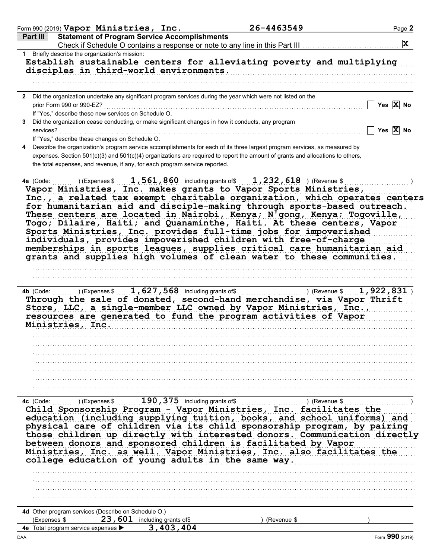| Part III                                                                          |                                     | Form 990 (2019) Vapor Ministries, Inc.                                                             | 26-4463549                                                                                                                                                                                                                                                                                                                                                                                                                                                                                                                                                                                                                                                                                                                                 | Page 2                |
|-----------------------------------------------------------------------------------|-------------------------------------|----------------------------------------------------------------------------------------------------|--------------------------------------------------------------------------------------------------------------------------------------------------------------------------------------------------------------------------------------------------------------------------------------------------------------------------------------------------------------------------------------------------------------------------------------------------------------------------------------------------------------------------------------------------------------------------------------------------------------------------------------------------------------------------------------------------------------------------------------------|-----------------------|
|                                                                                   |                                     | <b>Statement of Program Service Accomplishments</b>                                                |                                                                                                                                                                                                                                                                                                                                                                                                                                                                                                                                                                                                                                                                                                                                            | $ \mathbf{X} $        |
| 1 Briefly describe the organization's mission:                                    |                                     |                                                                                                    |                                                                                                                                                                                                                                                                                                                                                                                                                                                                                                                                                                                                                                                                                                                                            |                       |
|                                                                                   |                                     | disciples in third-world environments.                                                             | Establish sustainable centers for alleviating poverty and multiplying                                                                                                                                                                                                                                                                                                                                                                                                                                                                                                                                                                                                                                                                      |                       |
|                                                                                   |                                     |                                                                                                    |                                                                                                                                                                                                                                                                                                                                                                                                                                                                                                                                                                                                                                                                                                                                            |                       |
|                                                                                   |                                     |                                                                                                    | 2 Did the organization undertake any significant program services during the year which were not listed on the                                                                                                                                                                                                                                                                                                                                                                                                                                                                                                                                                                                                                             |                       |
| prior Form 990 or 990-EZ?<br>If "Yes," describe these new services on Schedule O. |                                     |                                                                                                    |                                                                                                                                                                                                                                                                                                                                                                                                                                                                                                                                                                                                                                                                                                                                            | Yes $X$ No            |
|                                                                                   |                                     | Did the organization cease conducting, or make significant changes in how it conducts, any program |                                                                                                                                                                                                                                                                                                                                                                                                                                                                                                                                                                                                                                                                                                                                            |                       |
| services?<br>If "Yes," describe these changes on Schedule O.                      |                                     |                                                                                                    |                                                                                                                                                                                                                                                                                                                                                                                                                                                                                                                                                                                                                                                                                                                                            | Yes $\overline{X}$ No |
|                                                                                   |                                     |                                                                                                    | Describe the organization's program service accomplishments for each of its three largest program services, as measured by                                                                                                                                                                                                                                                                                                                                                                                                                                                                                                                                                                                                                 |                       |
|                                                                                   |                                     | the total expenses, and revenue, if any, for each program service reported.                        | expenses. Section 501(c)(3) and 501(c)(4) organizations are required to report the amount of grants and allocations to others,                                                                                                                                                                                                                                                                                                                                                                                                                                                                                                                                                                                                             |                       |
| 4a (Code:                                                                         |                                     |                                                                                                    | $(1, 1.561, 860)$ including grants of $(1, 232, 618)$ (Revenue \$<br>Vapor Ministries, Inc. makes grants to Vapor Sports Ministries,<br>Inc., a related tax exempt charitable organization, which operates centers<br>for humanitarian aid and disciple-making through sports-based outreach.<br>These centers are located in Nairobi, Kenya; N'gong, Kenya; Togoville,<br>Togo; Dilaire, Haiti; and Quanaminthe, Haiti. At these centers, Vapor<br>Sports Ministries, Inc. provides full-time jobs for impoverished<br>individuals, provides impoverished children with free-of-charge<br>memberships in sports leagues, supplies critical care humanitarian aid<br>grants and supplies high volumes of clean water to these communities. |                       |
|                                                                                   |                                     |                                                                                                    |                                                                                                                                                                                                                                                                                                                                                                                                                                                                                                                                                                                                                                                                                                                                            |                       |
|                                                                                   |                                     |                                                                                                    |                                                                                                                                                                                                                                                                                                                                                                                                                                                                                                                                                                                                                                                                                                                                            |                       |
| Ministries, Inc.                                                                  |                                     |                                                                                                    | Through the sale of donated, second-hand merchandise, via Vapor Thrift<br>Store, LLC, a single-member LLC owned by Vapor Ministries, Inc.,<br>resources are generated to fund the program activities of Vapor                                                                                                                                                                                                                                                                                                                                                                                                                                                                                                                              |                       |
|                                                                                   |                                     |                                                                                                    |                                                                                                                                                                                                                                                                                                                                                                                                                                                                                                                                                                                                                                                                                                                                            |                       |
|                                                                                   |                                     |                                                                                                    |                                                                                                                                                                                                                                                                                                                                                                                                                                                                                                                                                                                                                                                                                                                                            |                       |
|                                                                                   |                                     |                                                                                                    |                                                                                                                                                                                                                                                                                                                                                                                                                                                                                                                                                                                                                                                                                                                                            |                       |
| 4c (Code:                                                                         |                                     |                                                                                                    | ) (Expenses \$ 190, 375 including grants of \$ (Revenue \$ 190, 375 including grants of \$ 200 million and \$ 200 million and \$ 200 million and \$ 200 million and \$ 200 million and \$ 200 million and \$ 200 million and \$ 200 milli                                                                                                                                                                                                                                                                                                                                                                                                                                                                                                  |                       |
|                                                                                   |                                     | college education of young adults in the same way.                                                 | Child Sponsorship Program - Vapor Ministries, Inc. facilitates the<br>education (including supplying tuition, books, and school uniforms) and<br>physical care of children via its child sponsorship program, by pairing<br>those children up directly with interested donors. Communication directly<br>between donors and sponsored children is facilitated by Vapor<br>Ministries, Inc. as well. Vapor Ministries, Inc. also facilitates the                                                                                                                                                                                                                                                                                            |                       |
|                                                                                   |                                     |                                                                                                    |                                                                                                                                                                                                                                                                                                                                                                                                                                                                                                                                                                                                                                                                                                                                            |                       |
|                                                                                   |                                     |                                                                                                    |                                                                                                                                                                                                                                                                                                                                                                                                                                                                                                                                                                                                                                                                                                                                            |                       |
|                                                                                   |                                     |                                                                                                    |                                                                                                                                                                                                                                                                                                                                                                                                                                                                                                                                                                                                                                                                                                                                            |                       |
|                                                                                   |                                     |                                                                                                    |                                                                                                                                                                                                                                                                                                                                                                                                                                                                                                                                                                                                                                                                                                                                            |                       |
| 4d Other program services (Describe on Schedule O.)                               |                                     |                                                                                                    |                                                                                                                                                                                                                                                                                                                                                                                                                                                                                                                                                                                                                                                                                                                                            |                       |
| (Expenses \$                                                                      |                                     | 23, 601 including grants of\$                                                                      | (Revenue \$                                                                                                                                                                                                                                                                                                                                                                                                                                                                                                                                                                                                                                                                                                                                |                       |
|                                                                                   | 4e Total program service expenses > | 3,403,404                                                                                          |                                                                                                                                                                                                                                                                                                                                                                                                                                                                                                                                                                                                                                                                                                                                            |                       |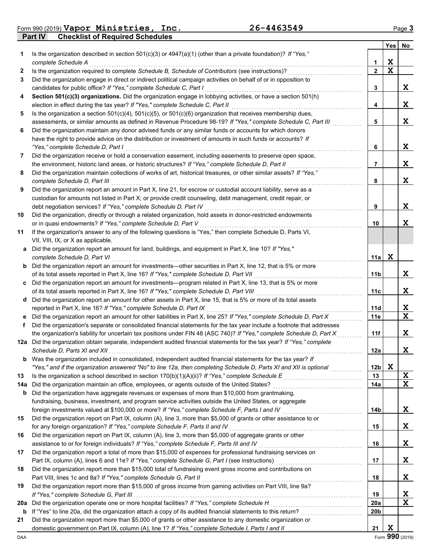**Part IV Checklist of Required Schedules** Form 990 (2019) Page **3 Vapor Ministries, Inc. 26-4463549**

|     |                                                                                                                                                                                                             |                 | Yes | No          |
|-----|-------------------------------------------------------------------------------------------------------------------------------------------------------------------------------------------------------------|-----------------|-----|-------------|
| 1   | Is the organization described in section $501(c)(3)$ or $4947(a)(1)$ (other than a private foundation)? If "Yes,"                                                                                           |                 |     |             |
|     | complete Schedule A                                                                                                                                                                                         | 1               | X   |             |
| 2   | Is the organization required to complete Schedule B, Schedule of Contributors (see instructions)?                                                                                                           | $\overline{2}$  | X   |             |
| 3   | Did the organization engage in direct or indirect political campaign activities on behalf of or in opposition to                                                                                            |                 |     |             |
|     | candidates for public office? If "Yes," complete Schedule C, Part I                                                                                                                                         | 3               |     | X           |
| 4   | Section 501(c)(3) organizations. Did the organization engage in lobbying activities, or have a section 501(h)                                                                                               |                 |     |             |
|     | election in effect during the tax year? If "Yes," complete Schedule C, Part II                                                                                                                              | 4               |     | X           |
| 5   | Is the organization a section $501(c)(4)$ , $501(c)(5)$ , or $501(c)(6)$ organization that receives membership dues,                                                                                        |                 |     |             |
|     | assessments, or similar amounts as defined in Revenue Procedure 98-19? If "Yes," complete Schedule C, Part III                                                                                              | 5               |     | X           |
| 6   | Did the organization maintain any donor advised funds or any similar funds or accounts for which donors                                                                                                     |                 |     |             |
|     | have the right to provide advice on the distribution or investment of amounts in such funds or accounts? If                                                                                                 |                 |     |             |
|     | "Yes," complete Schedule D, Part I                                                                                                                                                                          | 6               |     | X           |
| 7   | Did the organization receive or hold a conservation easement, including easements to preserve open space,                                                                                                   |                 |     |             |
|     | the environment, historic land areas, or historic structures? If "Yes," complete Schedule D, Part II                                                                                                        | 7               |     | X           |
| 8   | Did the organization maintain collections of works of art, historical treasures, or other similar assets? If "Yes,"                                                                                         |                 |     |             |
|     | complete Schedule D, Part III                                                                                                                                                                               | 8               |     | X           |
| 9   | Did the organization report an amount in Part X, line 21, for escrow or custodial account liability, serve as a                                                                                             |                 |     |             |
|     | custodian for amounts not listed in Part X; or provide credit counseling, debt management, credit repair, or                                                                                                | 9               |     | X           |
| 10  | debt negotiation services? If "Yes," complete Schedule D, Part IV<br>Did the organization, directly or through a related organization, hold assets in donor-restricted endowments                           |                 |     |             |
|     | or in quasi endowments? If "Yes," complete Schedule D, Part V                                                                                                                                               | 10              |     | X           |
| 11  | If the organization's answer to any of the following questions is "Yes," then complete Schedule D, Parts VI,                                                                                                |                 |     |             |
|     | VII, VIII, IX, or X as applicable.                                                                                                                                                                          |                 |     |             |
|     | a Did the organization report an amount for land, buildings, and equipment in Part X, line 10? If "Yes,"                                                                                                    |                 |     |             |
|     | complete Schedule D, Part VI                                                                                                                                                                                | 11a             | X   |             |
|     | <b>b</b> Did the organization report an amount for investments—other securities in Part X, line 12, that is 5% or more                                                                                      |                 |     |             |
|     | of its total assets reported in Part X, line 16? If "Yes," complete Schedule D, Part VII                                                                                                                    | 11b             |     | X           |
|     | c Did the organization report an amount for investments—program related in Part X, line 13, that is 5% or more                                                                                              |                 |     |             |
|     | of its total assets reported in Part X, line 16? If "Yes," complete Schedule D, Part VIII [[[[[[[[[[[[[[[[[[[[                                                                                              | 11с             |     | X           |
|     | d Did the organization report an amount for other assets in Part X, line 15, that is 5% or more of its total assets                                                                                         |                 |     |             |
|     | reported in Part X, line 16? If "Yes," complete Schedule D, Part IX                                                                                                                                         | 11d             |     | X           |
| е   | Did the organization report an amount for other liabilities in Part X, line 25? If "Yes," complete Schedule D, Part X                                                                                       | 11e             |     | $\mathbf x$ |
| f   | Did the organization's separate or consolidated financial statements for the tax year include a footnote that addresses                                                                                     |                 |     |             |
|     | the organization's liability for uncertain tax positions under FIN 48 (ASC 740)? If "Yes," complete Schedule D, Part X                                                                                      | 11f             |     | X           |
|     | 12a Did the organization obtain separate, independent audited financial statements for the tax year? If "Yes," complete                                                                                     |                 |     |             |
|     |                                                                                                                                                                                                             | 12a             |     | X           |
| b   | Was the organization included in consolidated, independent audited financial statements for the tax year? If                                                                                                |                 |     |             |
|     | "Yes," and if the organization answered "No" to line 12a, then completing Schedule D, Parts XI and XII is optional                                                                                          | 12 <sub>b</sub> | X   |             |
| 13  |                                                                                                                                                                                                             | 13              |     | X           |
| 14a | Did the organization maintain an office, employees, or agents outside of the United States?                                                                                                                 | 14a             |     | X           |
| b   | Did the organization have aggregate revenues or expenses of more than \$10,000 from grantmaking,                                                                                                            |                 |     |             |
|     | fundraising, business, investment, and program service activities outside the United States, or aggregate<br>foreign investments valued at \$100,000 or more? If "Yes," complete Schedule F, Parts I and IV | 14b             |     | X           |
| 15  | Did the organization report on Part IX, column (A), line 3, more than \$5,000 of grants or other assistance to or                                                                                           |                 |     |             |
|     | for any foreign organization? If "Yes," complete Schedule F, Parts II and IV                                                                                                                                | 15              |     | X           |
| 16  | Did the organization report on Part IX, column (A), line 3, more than \$5,000 of aggregate grants or other                                                                                                  |                 |     |             |
|     | assistance to or for foreign individuals? If "Yes," complete Schedule F, Parts III and IV                                                                                                                   | 16              |     | X           |
| 17  | Did the organization report a total of more than \$15,000 of expenses for professional fundraising services on                                                                                              |                 |     |             |
|     |                                                                                                                                                                                                             | 17              |     | X           |
| 18  | Did the organization report more than \$15,000 total of fundraising event gross income and contributions on                                                                                                 |                 |     |             |
|     | Part VIII, lines 1c and 8a? If "Yes," complete Schedule G, Part II                                                                                                                                          | 18              |     | X           |
| 19  | Did the organization report more than \$15,000 of gross income from gaming activities on Part VIII, line 9a?                                                                                                |                 |     |             |
|     |                                                                                                                                                                                                             | 19              |     | X           |
| 20a | Did the organization operate one or more hospital facilities? If "Yes," complete Schedule H                                                                                                                 | <b>20a</b>      |     | X           |
| b   |                                                                                                                                                                                                             | 20b             |     |             |
| 21  | Did the organization report more than \$5,000 of grants or other assistance to any domestic organization or                                                                                                 |                 |     |             |
|     |                                                                                                                                                                                                             | 21              | X   |             |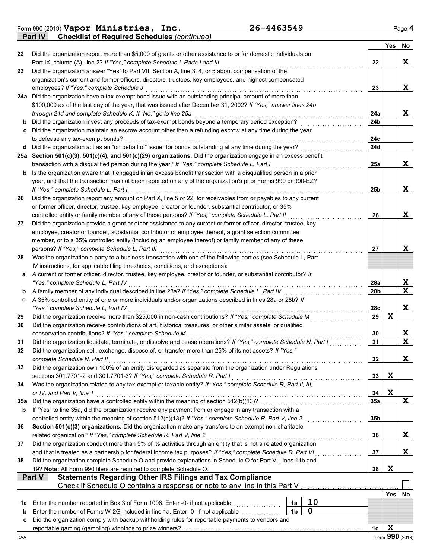Form 990 (2019) Page **4 Vapor Ministries, Inc. 26-4463549**

**Part IV Checklist of Required Schedules** *(continued)*

|          |                                                                                                                                                                                                               |                |                                                     |           | <b>Yes</b> | No              |
|----------|---------------------------------------------------------------------------------------------------------------------------------------------------------------------------------------------------------------|----------------|-----------------------------------------------------|-----------|------------|-----------------|
| 22       | Did the organization report more than \$5,000 of grants or other assistance to or for domestic individuals on                                                                                                 |                |                                                     |           |            |                 |
|          | Part IX, column (A), line 2? If "Yes," complete Schedule I, Parts I and III                                                                                                                                   |                |                                                     | 22        |            | X               |
| 23       | Did the organization answer "Yes" to Part VII, Section A, line 3, 4, or 5 about compensation of the                                                                                                           |                |                                                     |           |            |                 |
|          | organization's current and former officers, directors, trustees, key employees, and highest compensated                                                                                                       |                |                                                     |           |            |                 |
|          | employees? If "Yes," complete Schedule J                                                                                                                                                                      |                |                                                     | 23        |            | X               |
|          | 24a Did the organization have a tax-exempt bond issue with an outstanding principal amount of more than                                                                                                       |                |                                                     |           |            |                 |
|          | \$100,000 as of the last day of the year, that was issued after December 31, 2002? If "Yes," answer lines 24b<br>through 24d and complete Schedule K. If "No," go to line 25a                                 |                |                                                     | 24a       |            | X.              |
| b        | Did the organization invest any proceeds of tax-exempt bonds beyond a temporary period exception?                                                                                                             |                |                                                     | 24b       |            |                 |
| c        | Did the organization maintain an escrow account other than a refunding escrow at any time during the year                                                                                                     |                |                                                     |           |            |                 |
|          | to defease any tax-exempt bonds?                                                                                                                                                                              |                |                                                     | 24c       |            |                 |
|          | d Did the organization act as an "on behalf of" issuer for bonds outstanding at any time during the year?                                                                                                     |                |                                                     | 24d       |            |                 |
|          | 25a Section 501(c)(3), 501(c)(4), and 501(c)(29) organizations. Did the organization engage in an excess benefit                                                                                              |                |                                                     |           |            |                 |
|          | transaction with a disqualified person during the year? If "Yes," complete Schedule L, Part I                                                                                                                 |                |                                                     | 25a       |            | X.              |
| b        | Is the organization aware that it engaged in an excess benefit transaction with a disqualified person in a prior                                                                                              |                |                                                     |           |            |                 |
|          | year, and that the transaction has not been reported on any of the organization's prior Forms 990 or 990-EZ?                                                                                                  |                |                                                     |           |            |                 |
|          | If "Yes." complete Schedule L. Part I                                                                                                                                                                         |                |                                                     | 25b       |            | X               |
| 26       | Did the organization report any amount on Part X, line 5 or 22, for receivables from or payables to any current                                                                                               |                |                                                     |           |            |                 |
|          | or former officer, director, trustee, key employee, creator or founder, substantial contributor, or 35%<br>controlled entity or family member of any of these persons? If "Yes," complete Schedule L, Part II |                |                                                     | 26        |            | X               |
| 27       | Did the organization provide a grant or other assistance to any current or former officer, director, trustee, key                                                                                             |                |                                                     |           |            |                 |
|          | employee, creator or founder, substantial contributor or employee thereof, a grant selection committee                                                                                                        |                |                                                     |           |            |                 |
|          | member, or to a 35% controlled entity (including an employee thereof) or family member of any of these                                                                                                        |                |                                                     |           |            |                 |
|          | persons? If "Yes," complete Schedule L, Part III                                                                                                                                                              |                |                                                     | 27        |            | X.              |
| 28       | Was the organization a party to a business transaction with one of the following parties (see Schedule L, Part                                                                                                |                |                                                     |           |            |                 |
|          | IV instructions, for applicable filing thresholds, conditions, and exceptions):                                                                                                                               |                |                                                     |           |            |                 |
| а        | A current or former officer, director, trustee, key employee, creator or founder, or substantial contributor? If                                                                                              |                |                                                     |           |            |                 |
|          | "Yes," complete Schedule L, Part IV                                                                                                                                                                           |                |                                                     | 28a       |            | X.              |
| b        | A family member of any individual described in line 28a? If "Yes," complete Schedule L, Part IV                                                                                                               |                |                                                     | 28b       |            | X               |
| c        | A 35% controlled entity of one or more individuals and/or organizations described in lines 28a or 28b? If                                                                                                     |                |                                                     |           |            |                 |
| 29       | "Yes," complete Schedule L, Part IV<br>Did the organization receive more than \$25,000 in non-cash contributions? If "Yes," complete Schedule M                                                               |                |                                                     | 28c<br>29 | X          | X               |
| 30       | Did the organization receive contributions of art, historical treasures, or other similar assets, or qualified                                                                                                |                |                                                     |           |            |                 |
|          | conservation contributions? If "Yes," complete Schedule M                                                                                                                                                     |                |                                                     | 30        |            | X               |
| 31       | Did the organization liquidate, terminate, or dissolve and cease operations? If "Yes," complete Schedule N, Part I                                                                                            |                |                                                     | 31        |            | X               |
| 32       | Did the organization sell, exchange, dispose of, or transfer more than 25% of its net assets? If "Yes,"                                                                                                       |                |                                                     |           |            |                 |
|          | complete Schedule N, Part II                                                                                                                                                                                  |                |                                                     | 32        |            | X               |
| 33       | Did the organization own 100% of an entity disregarded as separate from the organization under Regulations                                                                                                    |                |                                                     |           |            |                 |
|          | sections 301.7701-2 and 301.7701-3? If "Yes," complete Schedule R, Part I                                                                                                                                     |                |                                                     | 33        | X          |                 |
| 34       | Was the organization related to any tax-exempt or taxable entity? If "Yes," complete Schedule R, Part II, III,                                                                                                |                |                                                     |           |            |                 |
|          | or IV, and Part V, line 1                                                                                                                                                                                     |                |                                                     | 34<br>35a | X          | X               |
| 35а<br>b | If "Yes" to line 35a, did the organization receive any payment from or engage in any transaction with a                                                                                                       |                |                                                     |           |            |                 |
|          | controlled entity within the meaning of section 512(b)(13)? If "Yes," complete Schedule R, Part V, line 2                                                                                                     |                |                                                     | 35b       |            |                 |
| 36       | Section 501(c)(3) organizations. Did the organization make any transfers to an exempt non-charitable                                                                                                          |                | <u> 1999 - Johann Stoff, Amerikaansk kanton en </u> |           |            |                 |
|          | related organization? If "Yes," complete Schedule R, Part V, line 2                                                                                                                                           |                |                                                     | 36        |            | X.              |
| 37       | Did the organization conduct more than 5% of its activities through an entity that is not a related organization                                                                                              |                |                                                     |           |            |                 |
|          | and that is treated as a partnership for federal income tax purposes? If "Yes," complete Schedule R, Part VI                                                                                                  |                |                                                     | 37        |            | X.              |
| 38       | Did the organization complete Schedule O and provide explanations in Schedule O for Part VI, lines 11b and                                                                                                    |                |                                                     |           |            |                 |
|          | 19? Note: All Form 990 filers are required to complete Schedule O.                                                                                                                                            |                |                                                     | 38        | X          |                 |
|          | <b>Statements Regarding Other IRS Filings and Tax Compliance</b><br><b>Part V</b>                                                                                                                             |                |                                                     |           |            |                 |
|          | Check if Schedule O contains a response or note to any line in this Part V                                                                                                                                    |                |                                                     |           |            |                 |
| 1a       | Enter the number reported in Box 3 of Form 1096. Enter -0- if not applicable                                                                                                                                  | 1a             | 10                                                  |           | Yes        | No              |
| b        | Enter the number of Forms W-2G included in line 1a. Enter -0- if not applicable                                                                                                                               | 1 <sub>b</sub> | $\mathbf 0$                                         |           |            |                 |
| c        | Did the organization comply with backup withholding rules for reportable payments to vendors and                                                                                                              |                |                                                     |           |            |                 |
|          |                                                                                                                                                                                                               |                |                                                     | 1c        | X          |                 |
| DAA      |                                                                                                                                                                                                               |                |                                                     |           |            | Form 990 (2019) |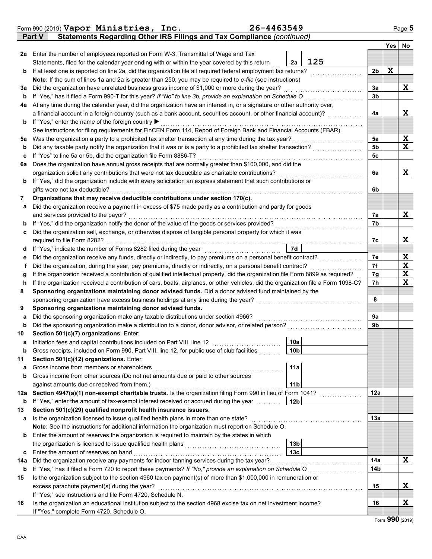|     | Form 990 (2019) Vapor Ministries, Inc.                                                                                                                                      | 26-4463549 |                 |                |     | Page 5      |
|-----|-----------------------------------------------------------------------------------------------------------------------------------------------------------------------------|------------|-----------------|----------------|-----|-------------|
|     | Statements Regarding Other IRS Filings and Tax Compliance (continued)<br>Part V                                                                                             |            |                 |                |     |             |
|     |                                                                                                                                                                             |            |                 |                | Yes | No          |
| 2a  | Enter the number of employees reported on Form W-3, Transmittal of Wage and Tax                                                                                             |            |                 |                |     |             |
|     | Statements, filed for the calendar year ending with or within the year covered by this return                                                                               |            | 125<br>2a       |                |     |             |
| b   | If at least one is reported on line 2a, did the organization file all required federal employment tax returns?                                                              |            |                 | 2b             | X   |             |
|     | Note: If the sum of lines 1a and 2a is greater than 250, you may be required to e-file (see instructions)                                                                   |            |                 |                |     |             |
| За  | Did the organization have unrelated business gross income of \$1,000 or more during the year?                                                                               |            |                 | 3a             |     | Χ           |
| b   | If "Yes," has it filed a Form 990-T for this year? If "No" to line 3b, provide an explanation on Schedule O                                                                 |            |                 | 3 <sub>b</sub> |     |             |
| 4a  | At any time during the calendar year, did the organization have an interest in, or a signature or other authority over,                                                     |            |                 |                |     |             |
|     | a financial account in a foreign country (such as a bank account, securities account, or other financial account)?                                                          |            |                 | 4a             |     | X           |
| b   | If "Yes," enter the name of the foreign country ▶                                                                                                                           |            |                 |                |     |             |
|     | See instructions for filing requirements for FinCEN Form 114, Report of Foreign Bank and Financial Accounts (FBAR).                                                         |            |                 |                |     |             |
| 5a  | Was the organization a party to a prohibited tax shelter transaction at any time during the tax year?                                                                       |            |                 | 5a             |     | X<br>X      |
| b   | Did any taxable party notify the organization that it was or is a party to a prohibited tax shelter transaction?                                                            |            |                 | 5b             |     |             |
| c   | If "Yes" to line 5a or 5b, did the organization file Form 8886-T?<br>Does the organization have annual gross receipts that are normally greater than \$100,000, and did the |            |                 | 5c             |     |             |
| 6a  | organization solicit any contributions that were not tax deductible as charitable contributions?                                                                            |            |                 | 6a             |     | X           |
|     | If "Yes," did the organization include with every solicitation an express statement that such contributions or                                                              |            |                 |                |     |             |
| b   | gifts were not tax deductible?                                                                                                                                              |            |                 | 6b             |     |             |
| 7   | Organizations that may receive deductible contributions under section 170(c).                                                                                               |            |                 |                |     |             |
| а   | Did the organization receive a payment in excess of \$75 made partly as a contribution and partly for goods                                                                 |            |                 |                |     |             |
|     | and services provided to the payor?                                                                                                                                         |            |                 | 7а             |     | X           |
| b   | If "Yes," did the organization notify the donor of the value of the goods or services provided?                                                                             |            |                 | 7b             |     |             |
| c   | Did the organization sell, exchange, or otherwise dispose of tangible personal property for which it was                                                                    |            |                 |                |     |             |
|     | required to file Form 8282?                                                                                                                                                 |            |                 | 7c             |     | X           |
| d   | If "Yes," indicate the number of Forms 8282 filed during the year                                                                                                           |            | 7d              |                |     |             |
| е   | Did the organization receive any funds, directly or indirectly, to pay premiums on a personal benefit contract?                                                             |            |                 | 7e             |     | X           |
| f   | Did the organization, during the year, pay premiums, directly or indirectly, on a personal benefit contract?                                                                |            |                 | 7f             |     | $\mathbf x$ |
| g   | If the organization received a contribution of qualified intellectual property, did the organization file Form 8899 as required?                                            |            |                 | 7g             |     | $\mathbf x$ |
| h   | If the organization received a contribution of cars, boats, airplanes, or other vehicles, did the organization file a Form 1098-C?                                          |            |                 | 7h             |     | X           |
| 8   | Sponsoring organizations maintaining donor advised funds. Did a donor advised fund maintained by the                                                                        |            |                 |                |     |             |
|     | sponsoring organization have excess business holdings at any time during the year?                                                                                          |            |                 | 8              |     |             |
| 9   | Sponsoring organizations maintaining donor advised funds.                                                                                                                   |            |                 |                |     |             |
| a   | Did the sponsoring organization make any taxable distributions under section 4966?                                                                                          |            |                 | 9a             |     |             |
| b   | Did the sponsoring organization make a distribution to a donor, donor advisor, or related person?                                                                           |            |                 | 9b             |     |             |
| 10  | Section 501(c)(7) organizations. Enter:                                                                                                                                     |            |                 |                |     |             |
|     |                                                                                                                                                                             |            | 10a             |                |     |             |
| b   | Gross receipts, included on Form 990, Part VIII, line 12, for public use of club facilities                                                                                 |            | 10 <sub>b</sub> |                |     |             |
| 11  | Section 501(c)(12) organizations. Enter:                                                                                                                                    |            |                 |                |     |             |
| а   | Gross income from members or shareholders                                                                                                                                   |            | 11a             |                |     |             |
| b   | Gross income from other sources (Do not net amounts due or paid to other sources                                                                                            |            |                 |                |     |             |
|     | against amounts due or received from them.)                                                                                                                                 |            | 11 <sub>b</sub> |                |     |             |
| 12a | Section 4947(a)(1) non-exempt charitable trusts. Is the organization filing Form 990 in lieu of Form 1041?                                                                  |            |                 | 12a            |     |             |
| b   | If "Yes," enter the amount of tax-exempt interest received or accrued during the year<br>Section 501(c)(29) qualified nonprofit health insurance issuers.                   |            | 12 <sub>b</sub> |                |     |             |
| 13  | Is the organization licensed to issue qualified health plans in more than one state?                                                                                        |            |                 | 13a            |     |             |
| а   | Note: See the instructions for additional information the organization must report on Schedule O.                                                                           |            |                 |                |     |             |
| b   | Enter the amount of reserves the organization is required to maintain by the states in which                                                                                |            |                 |                |     |             |
|     | the organization is licensed to issue qualified health plans                                                                                                                |            | 13 <sub>b</sub> |                |     |             |
| c   | Enter the amount of reserves on hand                                                                                                                                        |            | 13 <sub>c</sub> |                |     |             |
| 14a | Did the organization receive any payments for indoor tanning services during the tax year?                                                                                  |            |                 | 14a            |     | X           |
| b   | If "Yes," has it filed a Form 720 to report these payments? If "No," provide an explanation on Schedule O                                                                   |            |                 | 14b            |     |             |
| 15  | Is the organization subject to the section 4960 tax on payment(s) of more than \$1,000,000 in remuneration or                                                               |            |                 |                |     |             |
|     | excess parachute payment(s) during the year?                                                                                                                                |            |                 | 15             |     | X           |
|     | If "Yes," see instructions and file Form 4720, Schedule N.                                                                                                                  |            |                 |                |     |             |
| 16  | Is the organization an educational institution subject to the section 4968 excise tax on net investment income?                                                             |            |                 | 16             |     | X           |
|     | If "Yes," complete Form 4720, Schedule O.                                                                                                                                   |            |                 |                |     |             |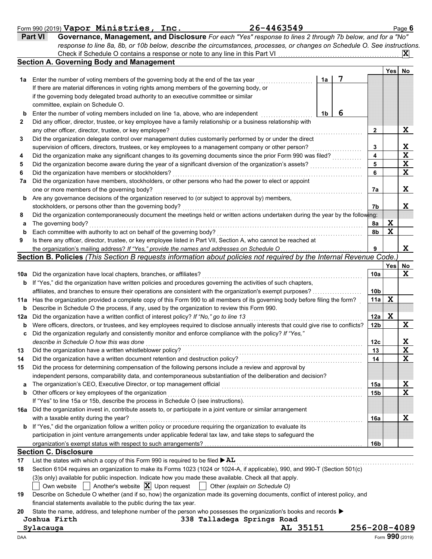#### Form 990 (2019) Page **6 Vapor Ministries, Inc. 26-4463549**

| Part VI | Governance, Management, and Disclosure For each "Yes" response to lines 2 through 7b below, and for a "No"                |
|---------|---------------------------------------------------------------------------------------------------------------------------|
|         | response to line 8a, 8b, or 10b below, describe the circumstances, processes, or changes on Schedule O. See instructions. |
|         | $\mathbf{x}$                                                                                                              |
|         | <b>Cootion A. Coverning Body and Monogoment</b>                                                                           |

|     | Section A. Governing Body and Management                                                                                                                                             |    |   |                 |                  |                                        |
|-----|--------------------------------------------------------------------------------------------------------------------------------------------------------------------------------------|----|---|-----------------|------------------|----------------------------------------|
|     |                                                                                                                                                                                      |    | 7 |                 | Yesl             | No                                     |
|     | 1a Enter the number of voting members of the governing body at the end of the tax year<br>If there are material differences in voting rights among members of the governing body, or | 1a |   |                 |                  |                                        |
|     | if the governing body delegated broad authority to an executive committee or similar                                                                                                 |    |   |                 |                  |                                        |
|     | committee, explain on Schedule O.                                                                                                                                                    |    |   |                 |                  |                                        |
| b   | Enter the number of voting members included on line 1a, above, who are independent                                                                                                   | 1b | 6 |                 |                  |                                        |
| 2   | Did any officer, director, trustee, or key employee have a family relationship or a business relationship with                                                                       |    |   |                 |                  |                                        |
|     | any other officer, director, trustee, or key employee?                                                                                                                               |    |   | 2               |                  | X                                      |
| 3   | Did the organization delegate control over management duties customarily performed by or under the direct                                                                            |    |   |                 |                  |                                        |
|     | supervision of officers, directors, trustees, or key employees to a management company or other person?                                                                              |    |   | 3               |                  | X                                      |
| 4   | Did the organization make any significant changes to its governing documents since the prior Form 990 was filed?                                                                     |    |   | 4               |                  | $\overline{\mathbf{x}}$                |
| 5   | Did the organization become aware during the year of a significant diversion of the organization's assets?                                                                           |    |   | 5               |                  | $\mathbf X$                            |
| 6   | Did the organization have members or stockholders?                                                                                                                                   |    |   | 6               |                  | $\overline{\mathbf{x}}$                |
| 7a  | Did the organization have members, stockholders, or other persons who had the power to elect or appoint                                                                              |    |   |                 |                  |                                        |
|     | one or more members of the governing body?                                                                                                                                           |    |   | 7a              |                  | X                                      |
| b   | Are any governance decisions of the organization reserved to (or subject to approval by) members,                                                                                    |    |   |                 |                  |                                        |
|     | stockholders, or persons other than the governing body?                                                                                                                              |    |   | 7b              |                  | x                                      |
| 8   | Did the organization contemporaneously document the meetings held or written actions undertaken during the year by the following:                                                    |    |   |                 |                  |                                        |
| a   | The governing body?                                                                                                                                                                  |    |   | 8а              | X                |                                        |
| b   | Each committee with authority to act on behalf of the governing body?                                                                                                                |    |   | 8b              | X                |                                        |
| 9   | Is there any officer, director, trustee, or key employee listed in Part VII, Section A, who cannot be reached at                                                                     |    |   |                 |                  |                                        |
|     | the organization's mailing address? If "Yes," provide the names and addresses on Schedule O                                                                                          |    |   | 9               |                  | X                                      |
|     | Section B. Policies (This Section B requests information about policies not required by the Internal Revenue Code.                                                                   |    |   |                 |                  |                                        |
|     |                                                                                                                                                                                      |    |   |                 | Yes <sup> </sup> | No                                     |
| 10a | Did the organization have local chapters, branches, or affiliates?                                                                                                                   |    |   | 10a             |                  | X                                      |
| b   | If "Yes," did the organization have written policies and procedures governing the activities of such chapters,                                                                       |    |   |                 |                  |                                        |
|     | affiliates, and branches to ensure their operations are consistent with the organization's exempt purposes?                                                                          |    |   | 10 <sub>b</sub> |                  |                                        |
| 11a | Has the organization provided a complete copy of this Form 990 to all members of its governing body before filing the form?                                                          |    |   | 11a             | X                |                                        |
| b   | Describe in Schedule O the process, if any, used by the organization to review this Form 990.                                                                                        |    |   |                 |                  |                                        |
| 12a | Did the organization have a written conflict of interest policy? If "No," go to line 13                                                                                              |    |   | 12a             | X                |                                        |
| b   | Were officers, directors, or trustees, and key employees required to disclose annually interests that could give rise to conflicts?                                                  |    |   | 12 <sub>b</sub> |                  | X                                      |
| c   | Did the organization regularly and consistently monitor and enforce compliance with the policy? If "Yes,"                                                                            |    |   |                 |                  |                                        |
|     | describe in Schedule O how this was done                                                                                                                                             |    |   | 12c             |                  | X                                      |
| 13  | Did the organization have a written whistleblower policy?                                                                                                                            |    |   | 13              |                  | $\mathbf x$<br>$\overline{\mathbf{x}}$ |
| 14  | Did the organization have a written document retention and destruction policy?                                                                                                       |    |   | 14              |                  |                                        |
| 15  | Did the process for determining compensation of the following persons include a review and approval by                                                                               |    |   |                 |                  |                                        |
| a   | independent persons, comparability data, and contemporaneous substantiation of the deliberation and decision?                                                                        |    |   | <b>15a</b>      |                  | X                                      |
|     | Other officers or key employees of the organization                                                                                                                                  |    |   | 15 <sub>b</sub> |                  | $\mathbf x$                            |
|     | If "Yes" to line 15a or 15b, describe the process in Schedule O (see instructions).                                                                                                  |    |   |                 |                  |                                        |
|     | 16a Did the organization invest in, contribute assets to, or participate in a joint venture or similar arrangement                                                                   |    |   |                 |                  |                                        |
|     | with a taxable entity during the year?                                                                                                                                               |    |   | <b>16a</b>      |                  | X                                      |
| b   | If "Yes," did the organization follow a written policy or procedure requiring the organization to evaluate its                                                                       |    |   |                 |                  |                                        |
|     | participation in joint venture arrangements under applicable federal tax law, and take steps to safeguard the                                                                        |    |   |                 |                  |                                        |
|     |                                                                                                                                                                                      |    |   | 16 <sub>b</sub> |                  |                                        |
|     | <b>Section C. Disclosure</b>                                                                                                                                                         |    |   |                 |                  |                                        |
| 17  | List the states with which a copy of this Form 990 is required to be filed $\blacktriangleright$ AL                                                                                  |    |   |                 |                  |                                        |
| 18  | Section 6104 requires an organization to make its Forms 1023 (1024 or 1024-A, if applicable), 990, and 990-T (Section 501(c)                                                         |    |   |                 |                  |                                        |
|     | (3)s only) available for public inspection. Indicate how you made these available. Check all that apply.                                                                             |    |   |                 |                  |                                        |
|     | Own website $\Box$ Another's website $\vert \mathbf{X} \vert$ Upon request $\vert$ $\vert$ Other (explain on Schedule O)                                                             |    |   |                 |                  |                                        |
| 19  | Describe on Schedule O whether (and if so, how) the organization made its governing documents, conflict of interest policy, and                                                      |    |   |                 |                  |                                        |
|     | financial statements available to the public during the tax year.                                                                                                                    |    |   |                 |                  |                                        |
| 20  | State the name, address, and telephone number of the person who possesses the organization's books and records ▶                                                                     |    |   |                 |                  |                                        |

| State the name, address, and telephone number of the person who possesses the organization's books and records |                            |  |  |
|----------------------------------------------------------------------------------------------------------------|----------------------------|--|--|
| Joshua Firth                                                                                                   | 338 Talladega Springs Road |  |  |

**Sylacauga AL 35151 256-208-4089**

 $\blacksquare$   $\blacksquare$   $\blacksquare$   $\blacksquare$   $\blacksquare$   $\blacksquare$   $\blacksquare$   $\blacksquare$   $\blacksquare$   $\blacksquare$   $\blacksquare$   $\blacksquare$   $\blacksquare$   $\blacksquare$   $\blacksquare$   $\blacksquare$   $\blacksquare$   $\blacksquare$   $\blacksquare$   $\blacksquare$   $\blacksquare$   $\blacksquare$   $\blacksquare$   $\blacksquare$   $\blacksquare$   $\blacksquare$   $\blacksquare$   $\blacksquare$   $\blacksquare$   $\blacksquare$   $\blacksquare$   $\blacks$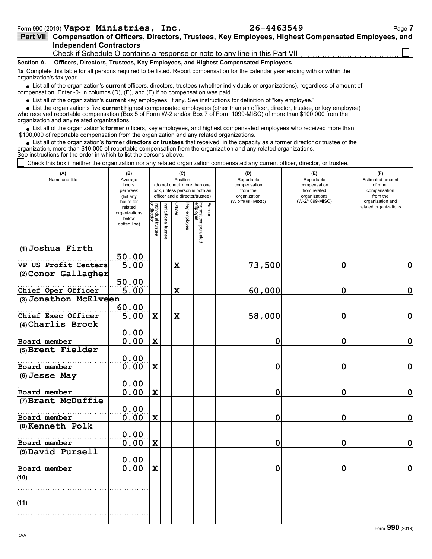|            | Part VII Compensation of Officers, Directors, Trustees, Key Employees, Highest Compensated Employees, and                         |
|------------|-----------------------------------------------------------------------------------------------------------------------------------|
|            | <b>Independent Contractors</b>                                                                                                    |
|            | Check if Schedule O contains a response or note to any line in this Part VII                                                      |
| Section A. | Officers, Directors, Trustees, Key Employees, and Highest Compensated Employees                                                   |
|            | 1a Complete this table for all persons required to be listed. Report compensation for the calendar year ending with or within the |

■ List all of the organization's **current** officers, directors, trustees (whether individuals or organizations), regardless of amount of compensation. Enter -0- in columns (D), (E), and (F) if no compensation was paid. organization's tax year.

List all of the organization's **current** key employees, if any. See instructions for definition of "key employee."

■ List all of the organization's **current** key employees, if any. See instructions for definition of "key employee."<br>■ List the organization's five **current** highest compensated employees (other than an officer, director,

who received reportable compensation (Box 5 of Form W-2 and/or Box 7 of Form 1099-MISC) of more than \$100,000 from the organization and any related organizations.

• List all of the organization's **former** officers, key employees, and highest compensated employees who received more than<br>00,000 of reportable compensation from the organization and any related organizations. \$100,000 of reportable compensation from the organization and any related organizations.

• List all of the organization's **former directors or trustees** that received, in the capacity as a former director or trustee of the prization and any related organizations organization, more than \$10,000 of reportable compensation from the organization and any related organizations. See instructions for the order in which to list the persons above.

Check this box if neither the organization nor any related organization compensated any current officer, director, or trustee.

| (A)<br>Name and title | (B)<br>Average<br>hours<br>per week<br>(list any               |                                   | (C)<br>Position<br>(do not check more than one<br>box, unless person is both an<br>officer and a director/trustee) |             |              |                                 |        | (D)<br>Reportable<br>compensation<br>from the<br>organization | (E)<br>Reportable<br>compensation<br>from related<br>organizations<br>(W-2/1099-MISC) | (F)<br>Estimated amount<br>of other<br>compensation<br>from the<br>organization and |
|-----------------------|----------------------------------------------------------------|-----------------------------------|--------------------------------------------------------------------------------------------------------------------|-------------|--------------|---------------------------------|--------|---------------------------------------------------------------|---------------------------------------------------------------------------------------|-------------------------------------------------------------------------------------|
|                       | hours for<br>related<br>organizations<br>below<br>dotted line) | Individual trustee<br>or director | Institutional trustee                                                                                              | Officer     | Key employee | Highest compensated<br>employee | Former | (W-2/1099-MISC)                                               |                                                                                       | related organizations                                                               |
| (1) Joshua Firth      | 50.00                                                          |                                   |                                                                                                                    |             |              |                                 |        |                                                               |                                                                                       |                                                                                     |
| VP US Profit Centers  | 5.00                                                           |                                   |                                                                                                                    | $\mathbf x$ |              |                                 |        | 73,500                                                        | $\mathbf 0$                                                                           | $\mathbf 0$                                                                         |
| (2) Conor Gallagher   |                                                                |                                   |                                                                                                                    |             |              |                                 |        |                                                               |                                                                                       |                                                                                     |
|                       | 50.00                                                          |                                   |                                                                                                                    |             |              |                                 |        |                                                               |                                                                                       |                                                                                     |
| Chief Oper Officer    | 5.00                                                           |                                   |                                                                                                                    | $\mathbf x$ |              |                                 |        | 60,000                                                        | $\mathbf 0$                                                                           | $\mathbf 0$                                                                         |
| (3) Jonathon McElveen |                                                                |                                   |                                                                                                                    |             |              |                                 |        |                                                               |                                                                                       |                                                                                     |
| Chief Exec Officer    | 60.00<br>5.00                                                  | $\mathbf x$                       |                                                                                                                    | $\mathbf x$ |              |                                 |        | 58,000                                                        | 0                                                                                     | $\mathbf 0$                                                                         |
| (4) Charlis Brock     |                                                                |                                   |                                                                                                                    |             |              |                                 |        |                                                               |                                                                                       |                                                                                     |
|                       | 0.00                                                           |                                   |                                                                                                                    |             |              |                                 |        |                                                               |                                                                                       |                                                                                     |
| Board member          | 0.00                                                           | $\mathbf x$                       |                                                                                                                    |             |              |                                 |        | $\mathbf 0$                                                   | 0                                                                                     | $\mathbf 0$                                                                         |
| (5) Brent Fielder     |                                                                |                                   |                                                                                                                    |             |              |                                 |        |                                                               |                                                                                       |                                                                                     |
| Board member          | 0.00<br>0.00                                                   | $\mathbf x$                       |                                                                                                                    |             |              |                                 |        | 0                                                             | 0                                                                                     | $\mathbf 0$                                                                         |
| (6) Jesse May         |                                                                |                                   |                                                                                                                    |             |              |                                 |        |                                                               |                                                                                       |                                                                                     |
|                       | 0.00                                                           |                                   |                                                                                                                    |             |              |                                 |        |                                                               |                                                                                       |                                                                                     |
| Board member          | 0.00                                                           | X                                 |                                                                                                                    |             |              |                                 |        | 0                                                             | 0                                                                                     | $\mathbf 0$                                                                         |
| (7) Brant McDuffie    |                                                                |                                   |                                                                                                                    |             |              |                                 |        |                                                               |                                                                                       |                                                                                     |
|                       | 0.00                                                           |                                   |                                                                                                                    |             |              |                                 |        |                                                               |                                                                                       |                                                                                     |
| Board member          | 0.00                                                           | $\mathbf x$                       |                                                                                                                    |             |              |                                 |        | $\mathbf 0$                                                   | 0                                                                                     | $\mathbf 0$                                                                         |
| (8) Kenneth Polk      | 0.00                                                           |                                   |                                                                                                                    |             |              |                                 |        |                                                               |                                                                                       |                                                                                     |
| Board member          | 0.00                                                           | $\mathbf x$                       |                                                                                                                    |             |              |                                 |        | 0                                                             | 0                                                                                     | $\mathbf 0$                                                                         |
| (9) David Pursell     |                                                                |                                   |                                                                                                                    |             |              |                                 |        |                                                               |                                                                                       |                                                                                     |
|                       | 0.00                                                           |                                   |                                                                                                                    |             |              |                                 |        |                                                               |                                                                                       |                                                                                     |
| Board member          | 0.00                                                           | $\mathbf X$                       |                                                                                                                    |             |              |                                 |        | 0                                                             | $\mathbf 0$                                                                           | 0                                                                                   |
| (10)                  |                                                                |                                   |                                                                                                                    |             |              |                                 |        |                                                               |                                                                                       |                                                                                     |
|                       |                                                                |                                   |                                                                                                                    |             |              |                                 |        |                                                               |                                                                                       |                                                                                     |
| (11)                  |                                                                |                                   |                                                                                                                    |             |              |                                 |        |                                                               |                                                                                       |                                                                                     |
|                       |                                                                |                                   |                                                                                                                    |             |              |                                 |        |                                                               |                                                                                       |                                                                                     |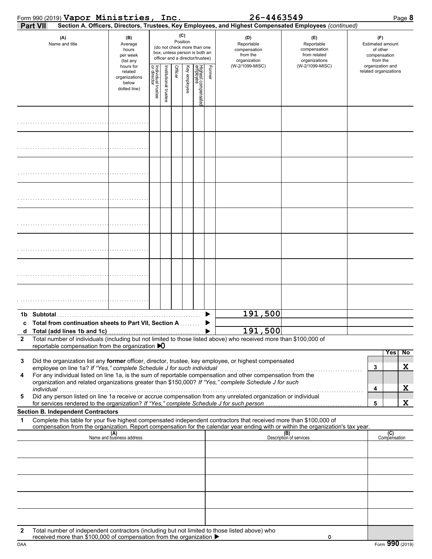|                   | Form 990 (2019) Vapor Ministries, Inc.                                                                                                                                                                                                                 |                                                                |                                   |                      |         |                                                                                                             |                                 |        | 26-4463549                                                    |                                                                                                        | Page 8                                                                 |
|-------------------|--------------------------------------------------------------------------------------------------------------------------------------------------------------------------------------------------------------------------------------------------------|----------------------------------------------------------------|-----------------------------------|----------------------|---------|-------------------------------------------------------------------------------------------------------------|---------------------------------|--------|---------------------------------------------------------------|--------------------------------------------------------------------------------------------------------|------------------------------------------------------------------------|
|                   | <b>Part VII</b>                                                                                                                                                                                                                                        |                                                                |                                   |                      |         |                                                                                                             |                                 |        |                                                               | Section A. Officers, Directors, Trustees, Key Employees, and Highest Compensated Employees (continued) |                                                                        |
|                   | (A)<br>Name and title                                                                                                                                                                                                                                  | (B)<br>Average<br>hours<br>per week<br>(list any               |                                   |                      | (C)     | Position<br>(do not check more than one<br>box, unless person is both an<br>officer and a director/trustee) |                                 |        | (D)<br>Reportable<br>compensation<br>from the<br>organization | (E)<br>Reportable<br>compensation<br>from related<br>organizations                                     | (F)<br><b>Estimated amount</b><br>of other<br>compensation<br>from the |
|                   |                                                                                                                                                                                                                                                        | hours for<br>related<br>organizations<br>below<br>dotted line) | Individual trustee<br>or director | nstitutional trustee | Officer | Key employee                                                                                                | Highest compensated<br>employee | Former | (W-2/1099-MISC)                                               | (W-2/1099-MISC)                                                                                        | organization and<br>related organizations                              |
|                   |                                                                                                                                                                                                                                                        |                                                                |                                   |                      |         |                                                                                                             |                                 |        |                                                               |                                                                                                        |                                                                        |
|                   |                                                                                                                                                                                                                                                        |                                                                |                                   |                      |         |                                                                                                             |                                 |        |                                                               |                                                                                                        |                                                                        |
|                   |                                                                                                                                                                                                                                                        |                                                                |                                   |                      |         |                                                                                                             |                                 |        |                                                               |                                                                                                        |                                                                        |
|                   |                                                                                                                                                                                                                                                        |                                                                |                                   |                      |         |                                                                                                             |                                 |        |                                                               |                                                                                                        |                                                                        |
|                   |                                                                                                                                                                                                                                                        |                                                                |                                   |                      |         |                                                                                                             |                                 |        |                                                               |                                                                                                        |                                                                        |
|                   |                                                                                                                                                                                                                                                        |                                                                |                                   |                      |         |                                                                                                             |                                 |        |                                                               |                                                                                                        |                                                                        |
|                   |                                                                                                                                                                                                                                                        |                                                                |                                   |                      |         |                                                                                                             |                                 |        |                                                               |                                                                                                        |                                                                        |
|                   |                                                                                                                                                                                                                                                        |                                                                |                                   |                      |         |                                                                                                             |                                 |        |                                                               |                                                                                                        |                                                                        |
|                   |                                                                                                                                                                                                                                                        |                                                                |                                   |                      |         |                                                                                                             |                                 |        | 191,500                                                       |                                                                                                        |                                                                        |
|                   | c Total from continuation sheets to Part VII, Section A                                                                                                                                                                                                |                                                                |                                   |                      |         |                                                                                                             |                                 |        | 191,500                                                       |                                                                                                        |                                                                        |
| d<br>$\mathbf{2}$ | Total number of individuals (including but not limited to those listed above) who received more than \$100,000 of                                                                                                                                      |                                                                |                                   |                      |         |                                                                                                             |                                 |        |                                                               |                                                                                                        |                                                                        |
|                   | reportable compensation from the organization $\bigtriangledown$                                                                                                                                                                                       |                                                                |                                   |                      |         |                                                                                                             |                                 |        |                                                               |                                                                                                        | <b>Yes</b><br>No                                                       |
| 3                 | Did the organization list any former officer, director, trustee, key employee, or highest compensated<br>employee on line 1a? If "Yes," complete Schedule J for such individual                                                                        |                                                                |                                   |                      |         |                                                                                                             |                                 |        |                                                               |                                                                                                        | X<br>3                                                                 |
| 4                 | For any individual listed on line 1a, is the sum of reportable compensation and other compensation from the<br>organization and related organizations greater than \$150,000? If "Yes," complete Schedule J for such                                   |                                                                |                                   |                      |         |                                                                                                             |                                 |        |                                                               |                                                                                                        |                                                                        |
|                   | individual<br>Did any person listed on line 1a receive or accrue compensation from any unrelated organization or individual                                                                                                                            |                                                                |                                   |                      |         |                                                                                                             |                                 |        |                                                               |                                                                                                        | X<br>4                                                                 |
| 5                 |                                                                                                                                                                                                                                                        |                                                                |                                   |                      |         |                                                                                                             |                                 |        |                                                               |                                                                                                        | X<br>5                                                                 |
|                   | <b>Section B. Independent Contractors</b>                                                                                                                                                                                                              |                                                                |                                   |                      |         |                                                                                                             |                                 |        |                                                               |                                                                                                        |                                                                        |
| 1                 | Complete this table for your five highest compensated independent contractors that received more than \$100,000 of<br>compensation from the organization. Report compensation for the calendar year ending with or within the organization's tax year. |                                                                |                                   |                      |         |                                                                                                             |                                 |        |                                                               |                                                                                                        |                                                                        |
|                   |                                                                                                                                                                                                                                                        | $(A)$<br>Name and business address                             |                                   |                      |         |                                                                                                             |                                 |        |                                                               | (B)<br>Description of services                                                                         | (C)<br>Compensation                                                    |
|                   |                                                                                                                                                                                                                                                        |                                                                |                                   |                      |         |                                                                                                             |                                 |        |                                                               |                                                                                                        |                                                                        |
|                   |                                                                                                                                                                                                                                                        |                                                                |                                   |                      |         |                                                                                                             |                                 |        |                                                               |                                                                                                        |                                                                        |
|                   |                                                                                                                                                                                                                                                        |                                                                |                                   |                      |         |                                                                                                             |                                 |        |                                                               |                                                                                                        |                                                                        |
|                   |                                                                                                                                                                                                                                                        |                                                                |                                   |                      |         |                                                                                                             |                                 |        |                                                               |                                                                                                        |                                                                        |
| $\mathbf{2}$      | Total number of independent contractors (including but not limited to those listed above) who                                                                                                                                                          |                                                                |                                   |                      |         |                                                                                                             |                                 |        |                                                               |                                                                                                        |                                                                        |
|                   | received more than \$100,000 of compensation from the organization ▶                                                                                                                                                                                   |                                                                |                                   |                      |         |                                                                                                             |                                 |        |                                                               | 0                                                                                                      |                                                                        |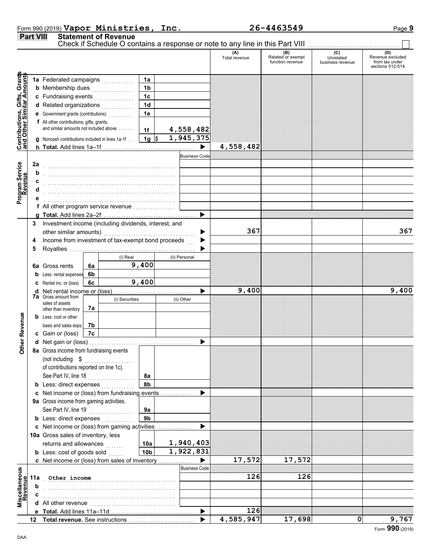|                  | Form 990 (2019) Vapor Ministries, Inc. | 26-4463549 | Page 9 |
|------------------|----------------------------------------|------------|--------|
| <b>Part VIII</b> | <b>Statement of Revenue</b>            |            |        |

**Part VIII Statement of Revenue**

Check if Schedule O contains a response or note to any line in this Part VIII ................................

|                              |                         |                                                       |          |            |                 |               |                      | (A)<br>Total revenue | (B)<br>Related or exempt<br>function revenue | (C)<br>Unrelated<br>business revenue | (D)<br>Revenue excluded<br>from tax under |
|------------------------------|-------------------------|-------------------------------------------------------|----------|------------|-----------------|---------------|----------------------|----------------------|----------------------------------------------|--------------------------------------|-------------------------------------------|
|                              |                         |                                                       |          |            |                 |               |                      |                      |                                              |                                      | sections 512-514                          |
| Contributions, Gifts, Grants |                         | 1a Federated campaigns                                |          |            | 1a              |               |                      |                      |                                              |                                      |                                           |
|                              |                         | <b>b</b> Membership dues<br>.                         |          |            | 1 <sub>b</sub>  |               |                      |                      |                                              |                                      |                                           |
|                              |                         | c Fundraising events                                  |          |            | 1 <sub>c</sub>  |               |                      |                      |                                              |                                      |                                           |
|                              |                         | d Related organizations                               |          |            | 1 <sub>d</sub>  |               |                      |                      |                                              |                                      |                                           |
|                              |                         | e Government grants (contributions)<br>               |          |            | 1e              |               |                      |                      |                                              |                                      |                                           |
|                              |                         | f All other contributions, gifts, grants,             |          |            |                 |               |                      |                      |                                              |                                      |                                           |
|                              |                         | and similar amounts not included above                |          |            | 1f              |               | 4,558,482            |                      |                                              |                                      |                                           |
|                              |                         | g Noncash contributions included in lines 1a-1f       |          |            | $1g$ \$         |               | 1,945,375            |                      |                                              |                                      |                                           |
|                              |                         |                                                       |          |            |                 |               |                      | 4,558,482            |                                              |                                      |                                           |
|                              |                         |                                                       |          |            |                 |               | <b>Business Code</b> |                      |                                              |                                      |                                           |
| Program Service<br>Revenue   | 2a                      |                                                       |          |            |                 |               |                      |                      |                                              |                                      |                                           |
|                              | b                       |                                                       |          |            |                 |               |                      |                      |                                              |                                      |                                           |
|                              | c                       |                                                       |          |            |                 |               |                      |                      |                                              |                                      |                                           |
|                              |                         |                                                       |          |            |                 |               |                      |                      |                                              |                                      |                                           |
|                              |                         |                                                       |          |            |                 |               |                      |                      |                                              |                                      |                                           |
|                              |                         | f All other program service revenue                   |          |            |                 |               |                      |                      |                                              |                                      |                                           |
|                              |                         |                                                       |          |            |                 |               | ▶                    |                      |                                              |                                      |                                           |
|                              | 3                       | Investment income (including dividends, interest, and |          |            |                 |               |                      |                      |                                              |                                      |                                           |
|                              |                         | other similar amounts)                                |          |            |                 |               |                      | 367                  |                                              |                                      | 367                                       |
|                              | 4                       | Income from investment of tax-exempt bond proceeds    |          |            |                 |               |                      |                      |                                              |                                      |                                           |
|                              | 5                       |                                                       |          |            |                 |               |                      |                      |                                              |                                      |                                           |
|                              |                         |                                                       |          | (i) Real   |                 | (ii) Personal |                      |                      |                                              |                                      |                                           |
|                              |                         | <b>6a</b> Gross rents                                 | 6a       |            | 9,400           |               |                      |                      |                                              |                                      |                                           |
|                              |                         | 6b<br>Less: rental expenses<br>6c                     |          | 9,400      |                 |               |                      |                      |                                              |                                      |                                           |
|                              | C Rental inc. or (loss) |                                                       |          |            |                 |               |                      |                      | 9,400                                        |                                      |                                           |
|                              |                         | 7a Gross amount from<br>(i) Securities                |          | (ii) Other |                 |               | 9,400                |                      |                                              |                                      |                                           |
|                              |                         | sales of assets                                       |          |            |                 |               |                      |                      |                                              |                                      |                                           |
|                              |                         | other than inventory                                  | 7a       |            |                 |               |                      |                      |                                              |                                      |                                           |
|                              |                         | <b>b</b> Less: cost or other                          |          |            |                 |               |                      |                      |                                              |                                      |                                           |
|                              |                         | basis and sales exps.                                 | 7b<br>7c |            |                 |               |                      |                      |                                              |                                      |                                           |
| Other Revenue                |                         | c Gain or (loss)                                      |          |            |                 |               |                      |                      |                                              |                                      |                                           |
|                              |                         | 8a Gross income from fundraising events               |          |            |                 |               |                      |                      |                                              |                                      |                                           |
|                              |                         | (not including \$                                     |          |            |                 |               |                      |                      |                                              |                                      |                                           |
|                              |                         | of contributions reported on line 1c).                |          |            |                 |               |                      |                      |                                              |                                      |                                           |
|                              |                         | See Part IV, line 18                                  |          |            | 8a              |               |                      |                      |                                              |                                      |                                           |
|                              |                         | <b>b</b> Less: direct expenses                        |          |            | 8b              |               |                      |                      |                                              |                                      |                                           |
|                              |                         | c Net income or (loss) from fundraising events        |          |            |                 |               |                      |                      |                                              |                                      |                                           |
|                              |                         | 9a Gross income from gaming activities.               |          |            |                 |               |                      |                      |                                              |                                      |                                           |
|                              |                         | See Part IV, line 19                                  |          |            | 9a              |               |                      |                      |                                              |                                      |                                           |
|                              |                         | <b>b</b> Less: direct expenses                        |          |            | 9 <sub>b</sub>  |               |                      |                      |                                              |                                      |                                           |
|                              |                         | c Net income or (loss) from gaming activities         |          |            |                 |               |                      |                      |                                              |                                      |                                           |
|                              |                         | 10a Gross sales of inventory, less                    |          |            |                 |               |                      |                      |                                              |                                      |                                           |
|                              |                         | returns and allowances                                |          |            | 10a             |               | 1,940,403            |                      |                                              |                                      |                                           |
|                              |                         | <b>b</b> Less: cost of goods sold                     |          |            | 10 <sub>b</sub> |               | 1,922,831            |                      |                                              |                                      |                                           |
|                              |                         | c Net income or (loss) from sales of inventory        |          |            |                 |               |                      | 17,572               | 17,572                                       |                                      |                                           |
|                              |                         |                                                       |          |            |                 |               | <b>Business Code</b> |                      |                                              |                                      |                                           |
| Miscellaneous<br>Revenue     | 11a                     | Other income                                          |          |            |                 |               |                      | 126                  | 126                                          |                                      |                                           |
|                              | b                       |                                                       |          |            |                 |               |                      |                      |                                              |                                      |                                           |
|                              |                         |                                                       |          |            |                 |               |                      |                      |                                              |                                      |                                           |
|                              |                         |                                                       |          |            |                 |               |                      |                      |                                              |                                      |                                           |
|                              |                         |                                                       |          |            |                 |               |                      | 126                  |                                              |                                      |                                           |
|                              |                         |                                                       |          |            |                 |               |                      | 4,585,947            | 17,698                                       | 0                                    | 9,767                                     |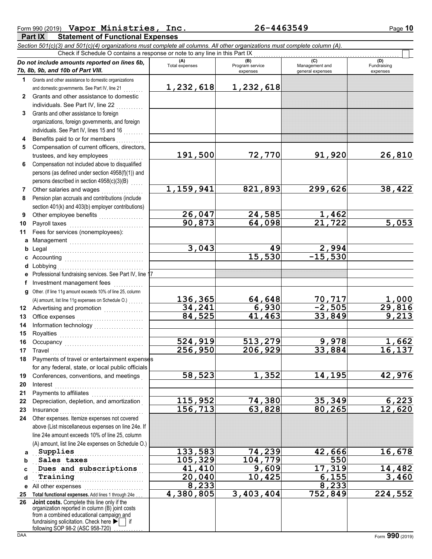| Form 990 (2019) Vapor Ministries,<br>Inc.                 | 26-4463549 | Page 10 |
|-----------------------------------------------------------|------------|---------|
| <b>Part IX</b><br><b>Statement of Functional Expenses</b> |            |         |

*Section 501(c)(3) and 501(c)(4) organizations must complete all columns. All other organizations must complete column (A).* Check if Schedule O contains a response or note to any line in this Part IX

|              | Do not include amounts reported on lines 6b,<br>7b, 8b, 9b, and 10b of Part VIII.                                                                                                                                                                                                                                                                                                                                                                                                                                       | (A)<br><b>Total expenses</b> | (B)<br>Program service<br>expenses | (C)<br>Management and<br>general expenses | (D)<br>Fundraising<br>expenses |
|--------------|-------------------------------------------------------------------------------------------------------------------------------------------------------------------------------------------------------------------------------------------------------------------------------------------------------------------------------------------------------------------------------------------------------------------------------------------------------------------------------------------------------------------------|------------------------------|------------------------------------|-------------------------------------------|--------------------------------|
| 1.           | Grants and other assistance to domestic organizations                                                                                                                                                                                                                                                                                                                                                                                                                                                                   |                              |                                    |                                           |                                |
|              |                                                                                                                                                                                                                                                                                                                                                                                                                                                                                                                         | 1,232,618                    | 1,232,618                          |                                           |                                |
|              | and domestic governments. See Part IV, line 21                                                                                                                                                                                                                                                                                                                                                                                                                                                                          |                              |                                    |                                           |                                |
| $\mathbf{2}$ | Grants and other assistance to domestic                                                                                                                                                                                                                                                                                                                                                                                                                                                                                 |                              |                                    |                                           |                                |
|              | individuals. See Part IV, line 22                                                                                                                                                                                                                                                                                                                                                                                                                                                                                       |                              |                                    |                                           |                                |
| 3            | Grants and other assistance to foreign                                                                                                                                                                                                                                                                                                                                                                                                                                                                                  |                              |                                    |                                           |                                |
|              | organizations, foreign governments, and foreign                                                                                                                                                                                                                                                                                                                                                                                                                                                                         |                              |                                    |                                           |                                |
|              | individuals. See Part IV, lines 15 and 16                                                                                                                                                                                                                                                                                                                                                                                                                                                                               |                              |                                    |                                           |                                |
| 4            | Benefits paid to or for members                                                                                                                                                                                                                                                                                                                                                                                                                                                                                         |                              |                                    |                                           |                                |
| 5            | Compensation of current officers, directors,                                                                                                                                                                                                                                                                                                                                                                                                                                                                            |                              |                                    |                                           |                                |
|              | trustees, and key employees                                                                                                                                                                                                                                                                                                                                                                                                                                                                                             | 191,500                      | 72,770                             | 91,920                                    | 26,810                         |
| 6            | Compensation not included above to disqualified                                                                                                                                                                                                                                                                                                                                                                                                                                                                         |                              |                                    |                                           |                                |
|              | persons (as defined under section 4958(f)(1)) and                                                                                                                                                                                                                                                                                                                                                                                                                                                                       |                              |                                    |                                           |                                |
|              | persons described in section 4958(c)(3)(B)                                                                                                                                                                                                                                                                                                                                                                                                                                                                              |                              |                                    |                                           |                                |
| 7            | Other salaries and wages                                                                                                                                                                                                                                                                                                                                                                                                                                                                                                | 1,159,941                    | 821,893                            | 299,626                                   | 38,422                         |
| 8            | .<br>Pension plan accruals and contributions (include                                                                                                                                                                                                                                                                                                                                                                                                                                                                   |                              |                                    |                                           |                                |
|              |                                                                                                                                                                                                                                                                                                                                                                                                                                                                                                                         |                              |                                    |                                           |                                |
|              | section 401(k) and 403(b) employer contributions)                                                                                                                                                                                                                                                                                                                                                                                                                                                                       |                              |                                    |                                           |                                |
| 9            |                                                                                                                                                                                                                                                                                                                                                                                                                                                                                                                         | 26,047                       | 24,585                             | 1,462                                     |                                |
| 10           | Payroll taxes                                                                                                                                                                                                                                                                                                                                                                                                                                                                                                           | 90,873                       | 64,098                             | $\overline{21}$ , 722                     | 5,053                          |
| 11           | Fees for services (nonemployees):                                                                                                                                                                                                                                                                                                                                                                                                                                                                                       |                              |                                    |                                           |                                |
|              | a Management                                                                                                                                                                                                                                                                                                                                                                                                                                                                                                            |                              |                                    |                                           |                                |
| b            |                                                                                                                                                                                                                                                                                                                                                                                                                                                                                                                         | 3,043                        | 49                                 | 2,994                                     |                                |
| c            |                                                                                                                                                                                                                                                                                                                                                                                                                                                                                                                         |                              | 15,530                             | $-15,530$                                 |                                |
|              |                                                                                                                                                                                                                                                                                                                                                                                                                                                                                                                         |                              |                                    |                                           |                                |
| е            | Professional fundraising services. See Part IV, line 17                                                                                                                                                                                                                                                                                                                                                                                                                                                                 |                              |                                    |                                           |                                |
| f            | Investment management fees                                                                                                                                                                                                                                                                                                                                                                                                                                                                                              |                              |                                    |                                           |                                |
| g            | Other. (If line 11g amount exceeds 10% of line 25, column                                                                                                                                                                                                                                                                                                                                                                                                                                                               |                              |                                    |                                           |                                |
|              | (A) amount, list line 11g expenses on Schedule O.) [11, 11, 11]                                                                                                                                                                                                                                                                                                                                                                                                                                                         | 136,365                      | 64,648                             |                                           | 1,000                          |
| 12           |                                                                                                                                                                                                                                                                                                                                                                                                                                                                                                                         | 34,241                       | 6,930                              | <u>70,717∣</u><br><mark>−2,505</mark> ∣   | 29,816                         |
|              |                                                                                                                                                                                                                                                                                                                                                                                                                                                                                                                         | 84,525                       | 41,463                             | 33,849                                    | 9,213                          |
| 13           |                                                                                                                                                                                                                                                                                                                                                                                                                                                                                                                         |                              |                                    |                                           |                                |
| 14           | Information technology<br>                                                                                                                                                                                                                                                                                                                                                                                                                                                                                              |                              |                                    |                                           |                                |
| 15           |                                                                                                                                                                                                                                                                                                                                                                                                                                                                                                                         |                              |                                    |                                           |                                |
| 16           |                                                                                                                                                                                                                                                                                                                                                                                                                                                                                                                         | 524,919                      | 513,279                            | 9,978                                     | 1,662                          |
| 17           | $\begin{minipage}[c]{0.9\linewidth} \begin{tabular}{l} \hline \textbf{Travel} \end{tabular} \end{minipage} \end{minipage} \begin{minipage}[c]{0.9\linewidth} \begin{tabular}{l} \hline \textbf{True} \end{tabular} \end{minipage} \end{minipage} \begin{minipage}[c]{0.9\linewidth} \begin{tabular}{l} \hline \textbf{True} \end{tabular} \end{minipage} \end{minipage} \begin{minipage}[c]{0.9\linewidth} \begin{tabular}{l} \hline \textbf{True} \end{tabular} \end{minipage} \end{minipage} \begin{minipage}[c]{0.9$ | 256,950                      | 206,929                            | 33,884                                    | 16,137                         |
| 18           | Payments of travel or entertainment expenses                                                                                                                                                                                                                                                                                                                                                                                                                                                                            |                              |                                    |                                           |                                |
|              | for any federal, state, or local public officials                                                                                                                                                                                                                                                                                                                                                                                                                                                                       |                              |                                    |                                           |                                |
| 19           | Conferences, conventions, and meetings                                                                                                                                                                                                                                                                                                                                                                                                                                                                                  | 58,523                       | 1,352                              | 14,195                                    | 42,976                         |
| 20           | Interest                                                                                                                                                                                                                                                                                                                                                                                                                                                                                                                |                              |                                    |                                           |                                |
| 21           |                                                                                                                                                                                                                                                                                                                                                                                                                                                                                                                         |                              |                                    |                                           |                                |
| 22           | Depreciation, depletion, and amortization                                                                                                                                                                                                                                                                                                                                                                                                                                                                               | 115,952                      | 74,380                             | 35,349                                    | 6,223                          |
| 23           | Insurance <b>Committee Committee Committee Committee</b>                                                                                                                                                                                                                                                                                                                                                                                                                                                                | 156,713                      | 63,828                             | 80,265                                    | 12,620                         |
| 24           | Other expenses. Itemize expenses not covered                                                                                                                                                                                                                                                                                                                                                                                                                                                                            |                              |                                    |                                           |                                |
|              | above (List miscellaneous expenses on line 24e. If                                                                                                                                                                                                                                                                                                                                                                                                                                                                      |                              |                                    |                                           |                                |
|              | line 24e amount exceeds 10% of line 25, column                                                                                                                                                                                                                                                                                                                                                                                                                                                                          |                              |                                    |                                           |                                |
|              | (A) amount, list line 24e expenses on Schedule O.)                                                                                                                                                                                                                                                                                                                                                                                                                                                                      |                              |                                    |                                           |                                |
|              |                                                                                                                                                                                                                                                                                                                                                                                                                                                                                                                         | 133,583                      |                                    | 42,666                                    |                                |
| a            | Supplies                                                                                                                                                                                                                                                                                                                                                                                                                                                                                                                |                              | 74,239                             |                                           | 16,678                         |
| b            | Sales taxes                                                                                                                                                                                                                                                                                                                                                                                                                                                                                                             | 105,329                      | 104,779                            | 550                                       |                                |
| C            | Dues and subscriptions                                                                                                                                                                                                                                                                                                                                                                                                                                                                                                  | 41,410                       | 9,609                              | 17,319                                    | 14,482                         |
| d            | Training                                                                                                                                                                                                                                                                                                                                                                                                                                                                                                                | 20,040                       | 10,425                             | 6,155                                     | 3,460                          |
| е            | All other expenses                                                                                                                                                                                                                                                                                                                                                                                                                                                                                                      | 8,233                        |                                    | 8,233                                     |                                |
| 25           | Total functional expenses. Add lines 1 through 24e                                                                                                                                                                                                                                                                                                                                                                                                                                                                      | 4,380,805                    | 3,403,404                          | 752,849                                   | 224,552                        |
| 26           | Joint costs. Complete this line only if the<br>organization reported in column (B) joint costs<br>from a combined educational campaign and                                                                                                                                                                                                                                                                                                                                                                              |                              |                                    |                                           |                                |
|              | fundraising solicitation. Check here<br>∣ if<br>following SOP 98-2 (ASC 958-720)                                                                                                                                                                                                                                                                                                                                                                                                                                        |                              |                                    |                                           |                                |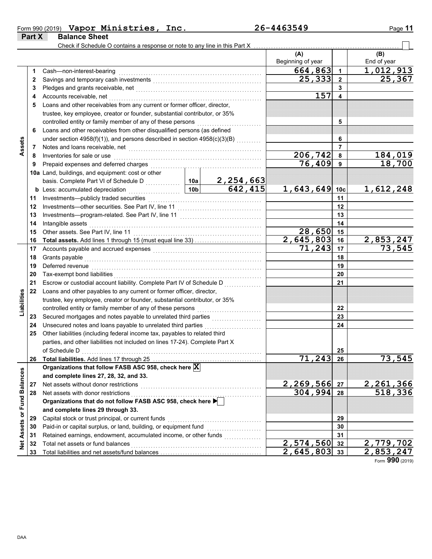|  | Form 990 $(2019)$ Vapor Ministries, | Inc. | 26-4463549 | Page 11 |
|--|-------------------------------------|------|------------|---------|
|  |                                     |      |            |         |

|                             | Part X | <b>Balance Sheet</b>                                                                                                                                                                                                           |                 |                             |                         |                         |                           |
|-----------------------------|--------|--------------------------------------------------------------------------------------------------------------------------------------------------------------------------------------------------------------------------------|-----------------|-----------------------------|-------------------------|-------------------------|---------------------------|
|                             |        | Check if Schedule O contains a response or note to any line in this Part X                                                                                                                                                     |                 |                             |                         |                         |                           |
|                             |        |                                                                                                                                                                                                                                |                 |                             | (A)                     |                         | (B)                       |
|                             |        |                                                                                                                                                                                                                                |                 |                             | Beginning of year       |                         | End of year               |
|                             | 1      | Cash-non-interest-bearing                                                                                                                                                                                                      |                 |                             | 664,863                 | $\mathbf{1}$            | 1,012,913                 |
|                             | 2      |                                                                                                                                                                                                                                | 25,333          | $\overline{2}$              | 25,367                  |                         |                           |
|                             | 3      |                                                                                                                                                                                                                                |                 | 3                           |                         |                         |                           |
|                             | 4      | Accounts receivable, net                                                                                                                                                                                                       |                 | 157                         | $\overline{\mathbf{4}}$ |                         |                           |
|                             | 5      | Loans and other receivables from any current or former officer, director,                                                                                                                                                      |                 |                             |                         |                         |                           |
|                             |        | trustee, key employee, creator or founder, substantial contributor, or 35%                                                                                                                                                     |                 |                             |                         |                         |                           |
|                             |        | controlled entity or family member of any of these persons                                                                                                                                                                     |                 |                             |                         | 5                       |                           |
|                             | 6      | Loans and other receivables from other disqualified persons (as defined                                                                                                                                                        |                 |                             |                         |                         |                           |
|                             |        | under section 4958(f)(1)), and persons described in section 4958(c)(3)(B)                                                                                                                                                      |                 |                             |                         | 6                       |                           |
| Assets                      | 7      | Notes and loans receivable, net                                                                                                                                                                                                |                 |                             |                         | $\overline{7}$          |                           |
|                             | 8      | Inventories for sale or use                                                                                                                                                                                                    |                 |                             | 206,742                 | 8                       | 184,019                   |
|                             | 9      | Prepaid expenses and deferred charges                                                                                                                                                                                          |                 |                             | 76,409                  | 9                       | 18,700                    |
|                             |        | 10a Land, buildings, and equipment: cost or other                                                                                                                                                                              |                 |                             |                         |                         |                           |
|                             |        | basis. Complete Part VI of Schedule D                                                                                                                                                                                          | 10a             |                             |                         |                         |                           |
|                             |        | <b>b</b> Less: accumulated depreciation<br>.                                                                                                                                                                                   | 10 <sub>b</sub> | $\frac{2,254,663}{642,415}$ | 1,643,649 10c           |                         | 1,612,248                 |
|                             | 11     | Investments-publicly traded securities                                                                                                                                                                                         |                 |                             |                         | 11                      |                           |
|                             | 12     | Investments-other securities. See Part IV, line 11                                                                                                                                                                             |                 |                             |                         | 12                      |                           |
|                             | 13     | Investments-program-related. See Part IV, line 11                                                                                                                                                                              |                 |                             | 13                      |                         |                           |
|                             | 14     | Intangible assets                                                                                                                                                                                                              |                 |                             |                         | 14                      |                           |
|                             | 15     | Other assets. See Part IV, line 11                                                                                                                                                                                             |                 |                             | 28,650                  | 15                      |                           |
|                             | 16     |                                                                                                                                                                                                                                |                 |                             | 2,645,803               | 16                      | $\overline{2}$ , 853, 247 |
|                             | 17     | Accounts payable and accrued expenses [[11] [11] Accounts payable and accrued expenses [[11] [11] Accounts are not approximate and accrued to a set of the set of the set of the set of the set of the set of the set of the s |                 | 71,243                      | 17                      | 73,545                  |                           |
|                             | 18     | Grants payable                                                                                                                                                                                                                 |                 |                             | 18                      |                         |                           |
|                             | 19     | Deferred revenue                                                                                                                                                                                                               |                 |                             | 19                      |                         |                           |
|                             | 20     | Tax-exempt bond liabilities                                                                                                                                                                                                    |                 |                             | 20                      |                         |                           |
|                             | 21     | Escrow or custodial account liability. Complete Part IV of Schedule D                                                                                                                                                          |                 |                             |                         | 21                      |                           |
|                             | 22     | Loans and other payables to any current or former officer, director,                                                                                                                                                           |                 |                             |                         |                         |                           |
|                             |        | trustee, key employee, creator or founder, substantial contributor, or 35%                                                                                                                                                     |                 |                             |                         |                         |                           |
| Liabilities                 |        | controlled entity or family member of any of these persons                                                                                                                                                                     |                 |                             |                         | 22                      |                           |
|                             | 23     | Secured mortgages and notes payable to unrelated third parties                                                                                                                                                                 |                 |                             |                         | 23                      |                           |
|                             | 24     | Unsecured notes and loans payable to unrelated third parties                                                                                                                                                                   |                 |                             |                         | 24                      |                           |
|                             | 25     | Other liabilities (including federal income tax, payables to related third                                                                                                                                                     |                 |                             |                         |                         |                           |
|                             |        | parties, and other liabilities not included on lines 17-24). Complete Part X                                                                                                                                                   |                 |                             |                         |                         |                           |
|                             |        | of Schedule D                                                                                                                                                                                                                  |                 |                             |                         | 25                      |                           |
|                             | 26     |                                                                                                                                                                                                                                |                 |                             | 71,243                  | 26                      | 73,545                    |
|                             |        | Organizations that follow FASB ASC 958, check here X                                                                                                                                                                           |                 |                             |                         |                         |                           |
|                             |        | and complete lines 27, 28, 32, and 33.                                                                                                                                                                                         |                 |                             |                         |                         |                           |
|                             | 27     | Net assets without donor restrictions                                                                                                                                                                                          |                 | 2,269,566                   | 27                      | 2, 261, 366<br>518, 336 |                           |
|                             | 28     | Net assets with donor restrictions                                                                                                                                                                                             |                 | 304,994                     | 28                      |                         |                           |
|                             |        | Organizations that do not follow FASB ASC 958, check here                                                                                                                                                                      |                 |                             |                         |                         |                           |
| Net Assets or Fund Balances |        | and complete lines 29 through 33.                                                                                                                                                                                              |                 |                             |                         |                         |                           |
|                             | 29     | Capital stock or trust principal, or current funds                                                                                                                                                                             |                 |                             |                         | 29                      |                           |
|                             | 30     | Paid-in or capital surplus, or land, building, or equipment fund                                                                                                                                                               |                 |                             |                         | 30                      |                           |
|                             | 31     | Retained earnings, endowment, accumulated income, or other funds                                                                                                                                                               |                 |                             |                         | 31                      |                           |
|                             | 32     | Total net assets or fund balances                                                                                                                                                                                              |                 |                             | $\overline{2,574,560}$  | 32                      | 2,779,702                 |
|                             | 33     |                                                                                                                                                                                                                                |                 |                             | $\overline{2,645,803}$  | 33                      | 2,853,247                 |

Form **990** (2019)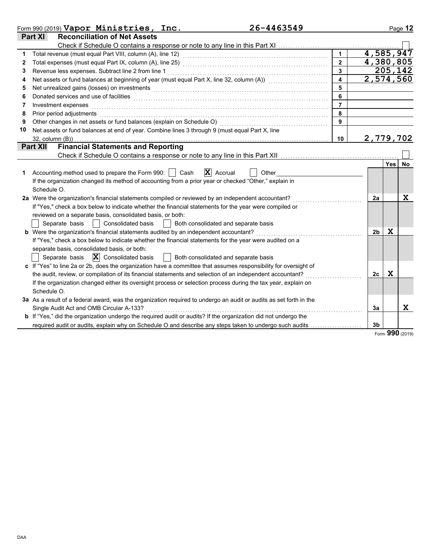|              | 26-4463549<br>Form 990 (2019) Vapor Ministries, Inc.                                                                                                                                                                           |                |                        |            | Page 12  |
|--------------|--------------------------------------------------------------------------------------------------------------------------------------------------------------------------------------------------------------------------------|----------------|------------------------|------------|----------|
|              | <b>Reconciliation of Net Assets</b><br><b>Part XI</b>                                                                                                                                                                          |                |                        |            |          |
|              |                                                                                                                                                                                                                                |                |                        |            |          |
|              |                                                                                                                                                                                                                                |                | $\overline{4,585,947}$ |            |          |
| $\mathbf{2}$ |                                                                                                                                                                                                                                |                | 4,380,805              |            |          |
| 3            | Revenue less expenses. Subtract line 2 from line 1                                                                                                                                                                             |                |                        |            | 205, 142 |
| 4            | Net assets or fund balances at beginning of year (must equal Part X, line 32, column (A))                                                                                                                                      |                | 2,574,560              |            |          |
| 5            | Net unrealized gains (losses) on investments [11] production and the contract of the set of the set of the set of the set of the set of the set of the set of the set of the set of the set of the set of the set of the set o |                |                        |            |          |
| 6            | Donated services and use of facilities <b>constructs</b> and the construction of the service of facilities <b>constructs</b>                                                                                                   | 6              |                        |            |          |
| 7            | Investment expenses                                                                                                                                                                                                            | $\overline{7}$ |                        |            |          |
| 8            | Prior period adjustments                                                                                                                                                                                                       | 8              |                        |            |          |
| 9            | Other changes in net assets or fund balances (explain on Schedule O)                                                                                                                                                           | 9              |                        |            |          |
| 10           | Net assets or fund balances at end of year. Combine lines 3 through 9 (must equal Part X, line                                                                                                                                 |                |                        |            |          |
|              | $32$ , column $(B)$ )                                                                                                                                                                                                          | 10             | 2,779,702              |            |          |
|              | <b>Financial Statements and Reporting</b><br><b>Part XII</b>                                                                                                                                                                   |                |                        |            |          |
|              |                                                                                                                                                                                                                                |                |                        |            |          |
|              |                                                                                                                                                                                                                                |                |                        | <b>Yes</b> | No       |
| 1            | Accounting method used to prepare the Form 990:  <br>$ \mathbf{X} $ Accrual<br>Cash<br>Other                                                                                                                                   |                |                        |            |          |
|              | If the organization changed its method of accounting from a prior year or checked "Other," explain in                                                                                                                          |                |                        |            |          |
|              | Schedule O.                                                                                                                                                                                                                    |                |                        |            |          |
|              | 2a Were the organization's financial statements compiled or reviewed by an independent accountant?                                                                                                                             |                | 2a                     |            | X        |
|              | If "Yes," check a box below to indicate whether the financial statements for the year were compiled or                                                                                                                         |                |                        |            |          |
|              | reviewed on a separate basis, consolidated basis, or both:                                                                                                                                                                     |                |                        |            |          |
|              | Separate basis     Consolidated basis<br>Both consolidated and separate basis                                                                                                                                                  |                |                        |            |          |
|              | b Were the organization's financial statements audited by an independent accountant?                                                                                                                                           |                | 2 <sub>b</sub>         | x          |          |
|              | If "Yes," check a box below to indicate whether the financial statements for the year were audited on a                                                                                                                        |                |                        |            |          |
|              | separate basis, consolidated basis, or both:                                                                                                                                                                                   |                |                        |            |          |
|              | Separate basis $ \mathbf{X} $ Consolidated basis<br>  Both consolidated and separate basis                                                                                                                                     |                |                        |            |          |
|              | c If "Yes" to line 2a or 2b, does the organization have a committee that assumes responsibility for oversight of                                                                                                               |                |                        |            |          |
|              | the audit, review, or compilation of its financial statements and selection of an independent accountant?                                                                                                                      |                | 2c                     | X          |          |
|              | If the organization changed either its oversight process or selection process during the tax year, explain on                                                                                                                  |                |                        |            |          |
|              | Schedule O.                                                                                                                                                                                                                    |                |                        |            |          |
|              | 3a As a result of a federal award, was the organization required to undergo an audit or audits as set forth in the                                                                                                             |                |                        |            |          |
|              | Single Audit Act and OMB Circular A-133?                                                                                                                                                                                       |                | 3a                     |            | X        |
|              | b If "Yes," did the organization undergo the required audit or audits? If the organization did not undergo the                                                                                                                 |                |                        |            |          |
|              | required audit or audits, explain why on Schedule O and describe any steps taken to undergo such audits                                                                                                                        |                | 3 <sub>b</sub>         |            |          |

Form **990** (2019)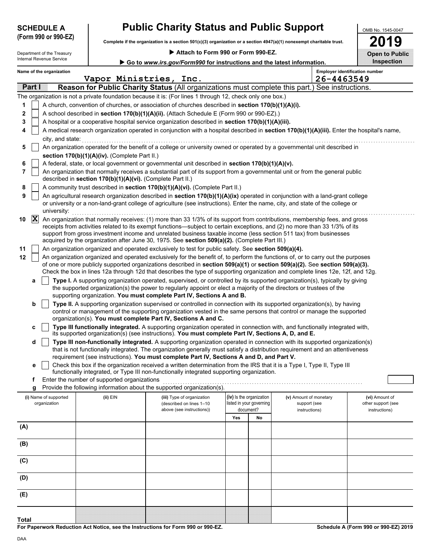| <b>SCHEDULE A</b>   |  |  |
|---------------------|--|--|
| (Form 990 or 990.F) |  |  |

## **Public Charity Status and Public Support**

**Complete if the organization is a section 501(c)(3) organization or a section 4947(a)(1) nonexempt charitable trust. (Form 990 or 990-EZ)**

Internal Revenue Service Department of the Treasury Attach to Form 990 or Form 990-EZ.

| 2019                  |
|-----------------------|
| <b>Open to Public</b> |
| Inspection            |

OMB No. 1545-0047

| Go to www.irs.gov/Form990 for instructions and the latest information. |  |
|------------------------------------------------------------------------|--|
|                                                                        |  |

|     | Name of the organization<br><b>Employer identification number</b><br>26-4463549<br>Vapor Ministries,<br>Inc. |                                                                                           |                                                            |                                                                                                                                                                                                                                                                |     |                                       |                               |                                     |  |  |
|-----|--------------------------------------------------------------------------------------------------------------|-------------------------------------------------------------------------------------------|------------------------------------------------------------|----------------------------------------------------------------------------------------------------------------------------------------------------------------------------------------------------------------------------------------------------------------|-----|---------------------------------------|-------------------------------|-------------------------------------|--|--|
|     | Part I                                                                                                       |                                                                                           |                                                            | Reason for Public Charity Status (All organizations must complete this part.) See instructions.                                                                                                                                                                |     |                                       |                               |                                     |  |  |
|     |                                                                                                              |                                                                                           |                                                            | The organization is not a private foundation because it is: (For lines 1 through 12, check only one box.)                                                                                                                                                      |     |                                       |                               |                                     |  |  |
| 1   |                                                                                                              |                                                                                           |                                                            | A church, convention of churches, or association of churches described in section 170(b)(1)(A)(i).                                                                                                                                                             |     |                                       |                               |                                     |  |  |
| 2   |                                                                                                              | A school described in section 170(b)(1)(A)(ii). (Attach Schedule E (Form 990 or 990-EZ).) |                                                            |                                                                                                                                                                                                                                                                |     |                                       |                               |                                     |  |  |
| 3   |                                                                                                              |                                                                                           |                                                            | A hospital or a cooperative hospital service organization described in section 170(b)(1)(A)(iii).                                                                                                                                                              |     |                                       |                               |                                     |  |  |
|     |                                                                                                              |                                                                                           |                                                            | A medical research organization operated in conjunction with a hospital described in section 170(b)(1)(A)(iii). Enter the hospital's name,                                                                                                                     |     |                                       |                               |                                     |  |  |
|     |                                                                                                              | city, and state:                                                                          |                                                            |                                                                                                                                                                                                                                                                |     |                                       |                               |                                     |  |  |
| 5   |                                                                                                              |                                                                                           |                                                            | An organization operated for the benefit of a college or university owned or operated by a governmental unit described in                                                                                                                                      |     |                                       |                               |                                     |  |  |
|     |                                                                                                              |                                                                                           | section 170(b)(1)(A)(iv). (Complete Part II.)              |                                                                                                                                                                                                                                                                |     |                                       |                               |                                     |  |  |
| 6   |                                                                                                              |                                                                                           |                                                            | A federal, state, or local government or governmental unit described in section 170(b)(1)(A)(v).                                                                                                                                                               |     |                                       |                               |                                     |  |  |
| 7   |                                                                                                              |                                                                                           | described in section 170(b)(1)(A)(vi). (Complete Part II.) | An organization that normally receives a substantial part of its support from a governmental unit or from the general public                                                                                                                                   |     |                                       |                               |                                     |  |  |
| 8   |                                                                                                              |                                                                                           |                                                            | A community trust described in section 170(b)(1)(A)(vi). (Complete Part II.)                                                                                                                                                                                   |     |                                       |                               |                                     |  |  |
| 9   |                                                                                                              |                                                                                           |                                                            | An agricultural research organization described in section 170(b)(1)(A)(ix) operated in conjunction with a land-grant college                                                                                                                                  |     |                                       |                               |                                     |  |  |
|     |                                                                                                              | university:                                                                               |                                                            | or university or a non-land-grant college of agriculture (see instructions). Enter the name, city, and state of the college or                                                                                                                                 |     |                                       |                               |                                     |  |  |
| 10  | X                                                                                                            |                                                                                           |                                                            | An organization that normally receives: (1) more than 33 1/3% of its support from contributions, membership fees, and gross                                                                                                                                    |     |                                       |                               |                                     |  |  |
|     |                                                                                                              |                                                                                           |                                                            | receipts from activities related to its exempt functions—subject to certain exceptions, and (2) no more than 33 1/3% of its                                                                                                                                    |     |                                       |                               |                                     |  |  |
|     |                                                                                                              |                                                                                           |                                                            | support from gross investment income and unrelated business taxable income (less section 511 tax) from businesses                                                                                                                                              |     |                                       |                               |                                     |  |  |
| 11  |                                                                                                              |                                                                                           |                                                            | acquired by the organization after June 30, 1975. See section 509(a)(2). (Complete Part III.)<br>An organization organized and operated exclusively to test for public safety. See section 509(a)(4).                                                          |     |                                       |                               |                                     |  |  |
| 12  |                                                                                                              |                                                                                           |                                                            | An organization organized and operated exclusively for the benefit of, to perform the functions of, or to carry out the purposes                                                                                                                               |     |                                       |                               |                                     |  |  |
|     |                                                                                                              |                                                                                           |                                                            | of one or more publicly supported organizations described in section 509(a)(1) or section 509(a)(2). See section 509(a)(3).<br>Check the box in lines 12a through 12d that describes the type of supporting organization and complete lines 12e, 12f, and 12g. |     |                                       |                               |                                     |  |  |
|     | а                                                                                                            |                                                                                           |                                                            | Type I. A supporting organization operated, supervised, or controlled by its supported organization(s), typically by giving                                                                                                                                    |     |                                       |                               |                                     |  |  |
|     |                                                                                                              |                                                                                           |                                                            | the supported organization(s) the power to regularly appoint or elect a majority of the directors or trustees of the                                                                                                                                           |     |                                       |                               |                                     |  |  |
|     |                                                                                                              |                                                                                           |                                                            | supporting organization. You must complete Part IV, Sections A and B.                                                                                                                                                                                          |     |                                       |                               |                                     |  |  |
|     | b                                                                                                            |                                                                                           |                                                            | Type II. A supporting organization supervised or controlled in connection with its supported organization(s), by having                                                                                                                                        |     |                                       |                               |                                     |  |  |
|     |                                                                                                              |                                                                                           |                                                            | control or management of the supporting organization vested in the same persons that control or manage the supported                                                                                                                                           |     |                                       |                               |                                     |  |  |
|     |                                                                                                              |                                                                                           |                                                            | organization(s). You must complete Part IV, Sections A and C.                                                                                                                                                                                                  |     |                                       |                               |                                     |  |  |
|     | c                                                                                                            |                                                                                           |                                                            | Type III functionally integrated. A supporting organization operated in connection with, and functionally integrated with,<br>its supported organization(s) (see instructions). You must complete Part IV, Sections A, D, and E.                               |     |                                       |                               |                                     |  |  |
|     | d                                                                                                            |                                                                                           |                                                            | Type III non-functionally integrated. A supporting organization operated in connection with its supported organization(s)                                                                                                                                      |     |                                       |                               |                                     |  |  |
|     |                                                                                                              |                                                                                           |                                                            | that is not functionally integrated. The organization generally must satisfy a distribution requirement and an attentiveness<br>requirement (see instructions). You must complete Part IV, Sections A and D, and Part V.                                       |     |                                       |                               |                                     |  |  |
|     | е                                                                                                            |                                                                                           |                                                            | Check this box if the organization received a written determination from the IRS that it is a Type I, Type II, Type III                                                                                                                                        |     |                                       |                               |                                     |  |  |
|     |                                                                                                              |                                                                                           |                                                            | functionally integrated, or Type III non-functionally integrated supporting organization.                                                                                                                                                                      |     |                                       |                               |                                     |  |  |
|     | f                                                                                                            |                                                                                           | Enter the number of supported organizations                |                                                                                                                                                                                                                                                                |     |                                       |                               |                                     |  |  |
|     | g                                                                                                            |                                                                                           |                                                            | Provide the following information about the supported organization(s).                                                                                                                                                                                         |     |                                       |                               |                                     |  |  |
|     |                                                                                                              | (i) Name of supported                                                                     | (ii) EIN                                                   | (iii) Type of organization                                                                                                                                                                                                                                     |     | (iv) Is the organization              | (v) Amount of monetary        | (vi) Amount of                      |  |  |
|     |                                                                                                              | organization                                                                              |                                                            | (described on lines 1-10<br>above (see instructions))                                                                                                                                                                                                          |     | listed in your governing<br>document? | support (see<br>instructions) | other support (see<br>instructions) |  |  |
|     |                                                                                                              |                                                                                           |                                                            |                                                                                                                                                                                                                                                                | Yes | No                                    |                               |                                     |  |  |
| (A) |                                                                                                              |                                                                                           |                                                            |                                                                                                                                                                                                                                                                |     |                                       |                               |                                     |  |  |
|     |                                                                                                              |                                                                                           |                                                            |                                                                                                                                                                                                                                                                |     |                                       |                               |                                     |  |  |
| (B) |                                                                                                              |                                                                                           |                                                            |                                                                                                                                                                                                                                                                |     |                                       |                               |                                     |  |  |
|     |                                                                                                              |                                                                                           |                                                            |                                                                                                                                                                                                                                                                |     |                                       |                               |                                     |  |  |
| (C) |                                                                                                              |                                                                                           |                                                            |                                                                                                                                                                                                                                                                |     |                                       |                               |                                     |  |  |
| (D) |                                                                                                              |                                                                                           |                                                            |                                                                                                                                                                                                                                                                |     |                                       |                               |                                     |  |  |
|     |                                                                                                              |                                                                                           |                                                            |                                                                                                                                                                                                                                                                |     |                                       |                               |                                     |  |  |
| (E) |                                                                                                              |                                                                                           |                                                            |                                                                                                                                                                                                                                                                |     |                                       |                               |                                     |  |  |

**For Paperwork Reduction Act Notice, see the Instructions for Form 990 or 990-EZ.**

**Schedule A (Form 990 or 990-EZ) 2019**

**Total**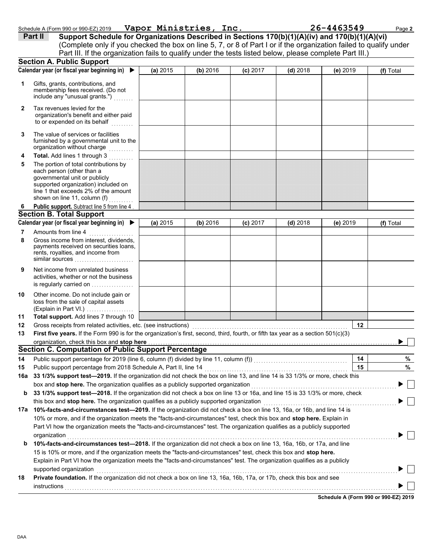| 16a 33 1/3% support test—2019. If the organization did not check the box on line 13, and line 14 is 33 1/3% or more, check this      |
|--------------------------------------------------------------------------------------------------------------------------------------|
| box and stop here. The organization qualifies as a publicly supported organization                                                   |
| <b>b</b> 33 1/3% support test—2018. If the organization did not check a box on line 13 or 16a, and line 15 is 33 1/3% or more, check |
| this box and <b>stop here.</b> The organization qualifies as a publicly supported organization                                       |
|                                                                                                                                      |

First five years. If the Form 990 is for the organization's first, second, third, fourth, or fifth tax year as a section 501(c)(3)

**14** Public support percentage for 2019 (line 6, column (f) divided by line 11, column (f)) . . . . . . . . . . . . . . . . . . . . . . . . . . . . . . . . . . . . . .

**(a)** 2015

|     | and box and <b>stop nore.</b> The organization qualifies as a publicly supported organization                              |  |
|-----|----------------------------------------------------------------------------------------------------------------------------|--|
| 17a | 10%-facts-and-circumstances test-2019. If the organization did not check a box on line 13, 16a, or 16b, and line 14 is     |  |
|     | 10% or more, and if the organization meets the "facts-and-circumstances" test, check this box and stop here. Explain in    |  |
|     | Part VI how the organization meets the "facts-and-circumstances" test. The organization qualifies as a publicly supported  |  |
|     | organization                                                                                                               |  |
| b   | 10%-facts-and-circumstances test-2018. If the organization did not check a box on line 13, 16a, 16b, or 17a, and line      |  |
|     | 15 is 10% or more, and if the organization meets the "facts-and-circumstances" test, check this box and <b>stop here.</b>  |  |
|     | Explain in Part VI how the organization meets the "facts-and-circumstances" test. The organization qualifies as a publicly |  |
|     | supported organization                                                                                                     |  |
| 18  | Private foundation. If the organization did not check a box on line 13, 16a, 16b, 17a, or 17b, check this box and see      |  |
|     | instructions                                                                                                               |  |
|     |                                                                                                                            |  |

|--|

**Schedule A (Form 990 or 990-EZ) 2019**

**12**

**14 15** **% %**

► Γ

|         | Schedule A (Form 990 or 990-EZ) 2019 | Vapor Ministries, Inc. | 26-4463549                                                                                                        | Page 2 |
|---------|--------------------------------------|------------------------|-------------------------------------------------------------------------------------------------------------------|--------|
| Part II |                                      |                        | Support Schedule for Organizations Described in Sections 170(b)(1)(A)(iv) and 170(b)(1)(A)(vi)                    |        |
|         |                                      |                        | (Complete only if you checked the box on line 5, 7, or 8 of Part I or if the organization failed to qualify under |        |
|         |                                      |                        | Part III. If the organization fails to qualify under the tests listed below, please complete Part III.)           |        |

**Calendar year (or fiscal year beginning in) (f)** Total X

**Calendar year (or fiscal year beginning in) ▶ (a)** 2015 | (b) 2016 | (c) 2017 | (d) 2018 | (e) 2019 | (f) Total

X **(b)** 2016 **(c)** 2017 **(d)** 2018 **(e)** 2019

**(a)** 2015 **(b)** 2016 **(c)** 2017 **(d)** 2018 **(e)** 2019

DAA

**13 12 11**

**9**

**10**

**8**

**7**

**6**

**4**

**5**

**3**

**2**

**1**

(Explain in Part VI.) . . . . . . . . . . . . . . . . . .

loss from the sale of capital assets Other income. Do not include gain or is regularly carried on . . . . . . . . . . . . . . . activities, whether or not the business Net income from unrelated business

rents, royalties, and income from payments received on securities loans. Gross income from interest, dividends,

similar sources . . . . . . . . . . . . . . . . . . . . . . . .

**Total support.** Add lines 7 through 10

organization, check this box and stop here

Gross receipts from related activities, etc. (see instructions) ........

**Section C. Computation of Public Support Percentage**

15 Public support percentage from 2018 Schedule A, Part II, line 14

governmental unit or publicly

shown on line 11, column (f)

each person (other than a

Amounts from line 4

**Section B. Total Support**

line 1 that exceeds 2% of the amount supported organization) included on

Public support. Subtract line 5 from line 4

The portion of total contributions by **Total.** Add lines 1 through 3 . . . . . . . . .

The value of services or facilities

Tax revenues levied for the

to or expended on its behalf organization's benefit and either paid

furnished by a governmental unit to the organization without charge

include any "unusual grants.") ......... membership fees received. (Do not Gifts, grants, contributions, and

**Section A. Public Support**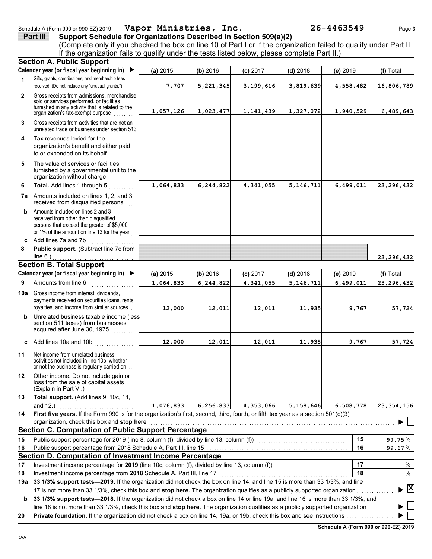DAA

|              | Schedule A (Form 990 or 990-EZ) 2019                                                                                                                                                                                                                                                                | Vapor Ministries, Inc. |             |            |            | 26-4463549 | Page 3       |
|--------------|-----------------------------------------------------------------------------------------------------------------------------------------------------------------------------------------------------------------------------------------------------------------------------------------------------|------------------------|-------------|------------|------------|------------|--------------|
|              | Support Schedule for Organizations Described in Section 509(a)(2)<br>Part III<br>(Complete only if you checked the box on line 10 of Part I or if the organization failed to qualify under Part II.<br>If the organization fails to qualify under the tests listed below, please complete Part II.) |                        |             |            |            |            |              |
|              | <b>Section A. Public Support</b>                                                                                                                                                                                                                                                                    |                        |             |            |            |            |              |
|              | Calendar year (or fiscal year beginning in)                                                                                                                                                                                                                                                         | (a) 2015               | (b) 2016    | $(c)$ 2017 | $(d)$ 2018 | (e) 2019   | (f) Total    |
| 1            | Gifts, grants, contributions, and membership fees<br>received. (Do not include any "unusual grants.")                                                                                                                                                                                               | 7,707                  | 5,221,345   | 3,199,616  | 3,819,639  | 4,558,482  | 16,806,789   |
| $\mathbf{2}$ | Gross receipts from admissions, merchandise<br>sold or services performed, or facilities<br>furnished in any activity that is related to the<br>organization's tax-exempt purpose                                                                                                                   | 1,057,126              | 1,023,477   | 1,141,439  | 1,327,072  | 1,940,529  | 6,489,643    |
| 3            | Gross receipts from activities that are not an<br>unrelated trade or business under section 513                                                                                                                                                                                                     |                        |             |            |            |            |              |
| 4            | Tax revenues levied for the<br>organization's benefit and either paid<br>to or expended on its behalf                                                                                                                                                                                               |                        |             |            |            |            |              |
| 5            | The value of services or facilities<br>furnished by a governmental unit to the<br>organization without charge                                                                                                                                                                                       |                        |             |            |            |            |              |
| 6            | Total. Add lines 1 through 5                                                                                                                                                                                                                                                                        | 1,064,833              | 6,244,822   | 4,341,055  | 5,146,711  | 6,499,011  | 23, 296, 432 |
|              | <b>7a</b> Amounts included on lines 1, 2, and 3<br>received from disqualified persons                                                                                                                                                                                                               |                        |             |            |            |            |              |
|              | <b>b</b> Amounts included on lines 2 and 3<br>received from other than disqualified<br>persons that exceed the greater of \$5,000<br>or 1% of the amount on line 13 for the year                                                                                                                    |                        |             |            |            |            |              |
|              | c Add lines 7a and 7b                                                                                                                                                                                                                                                                               |                        |             |            |            |            |              |
| 8            | Public support. (Subtract line 7c from<br>line $6.$ )                                                                                                                                                                                                                                               |                        |             |            |            |            | 23, 296, 432 |
|              | <b>Section B. Total Support</b>                                                                                                                                                                                                                                                                     |                        |             |            |            |            |              |
|              | Calendar year (or fiscal year beginning in)                                                                                                                                                                                                                                                         | (a) 2015               | (b) 2016    | $(c)$ 2017 | $(d)$ 2018 | (e) 2019   | (f) Total    |
| 9            | Amounts from line 6                                                                                                                                                                                                                                                                                 | 1,064,833              | 6,244,822   | 4,341,055  | 5,146,711  | 6,499,011  | 23, 296, 432 |
|              | <b>10a</b> Gross income from interest, dividends,<br>payments received on securities loans, rents,<br>royalties, and income from similar sources                                                                                                                                                    | 12,000                 | 12,011      | 12,011     | 11,935     | 9,767      | 57,724       |
|              | <b>b</b> Unrelated business taxable income (less<br>section 511 taxes) from businesses<br>acquired after June 30, 1975                                                                                                                                                                              |                        |             |            |            |            |              |
|              | c Add lines 10a and 10b                                                                                                                                                                                                                                                                             | 12,000                 | 12,011      | 12,011     | 11,935     | 9,767      | 57,724       |
| 11           | Net income from unrelated business<br>activities not included in line 10b, whether<br>or not the business is regularly carried on.                                                                                                                                                                  |                        |             |            |            |            |              |
| 12           | Other income. Do not include gain or<br>loss from the sale of capital assets<br>(Explain in Part VI.)                                                                                                                                                                                               |                        |             |            |            |            |              |
| 13           | Total support. (Add lines 9, 10c, 11,                                                                                                                                                                                                                                                               |                        |             |            |            |            |              |
|              | and 12.)<br>.                                                                                                                                                                                                                                                                                       | 1,076,833              | 6, 256, 833 | 4,353,066  | 5,158,646  | 6,508,778  | 23, 354, 156 |
| 14           | First five years. If the Form 990 is for the organization's first, second, third, fourth, or fifth tax year as a section 501(c)(3)<br>organization, check this box and stop here                                                                                                                    |                        |             |            |            |            |              |
|              | <b>Section C. Computation of Public Support Percentage</b>                                                                                                                                                                                                                                          |                        |             |            |            |            |              |
| 15           | Public support percentage for 2019 (line 8, column (f), divided by line 13, column (f)) [[[[[[[[[[[[[[[[[[[[[                                                                                                                                                                                       |                        |             |            |            | 15         | 99.75%       |
| 16           |                                                                                                                                                                                                                                                                                                     |                        |             |            |            | 16         | 99.67%       |
|              | Section D. Computation of Investment Income Percentage                                                                                                                                                                                                                                              |                        |             |            |            |            |              |
| 17           | Investment income percentage for 2019 (line 10c, column (f), divided by line 13, column (f))                                                                                                                                                                                                        |                        |             |            |            | 17         | $\%$         |

**18** Investment income percentage from **2018** Schedule A, Part III, line 17 . . . . . . . . . . . . . . . . . . . . . . . . . . . . . . . . . . . . . . . . . . . . . . . . . . . .

**19a 33 1/3% support tests—2019.** If the organization did not check the box on line 14, and line 15 is more than 33 1/3%, and line **X**17 is not more than 33 1/3%, check this box and **stop here.** The organization qualifies as a publicly supported organization . . . . . . . . . . . . . . .  $\blacktriangleright$ **b** 33 1/3% support tests-2018. If the organization did not check a box on line 14 or line 19a, and line 16 is more than 33 1/3%, and

line 18 is not more than 33 1/3%, check this box and **stop here.** The organization qualifies as a publicly supported organization . . . . . . . . . .

**20 Private foundation.** If the organization did not check a box on line 14, 19a, or 19b, check this box and see instructions . . . . . . . . . . . . . . . . . . .

**Schedule A (Form 990 or 990-EZ) 2019**

**18**

% %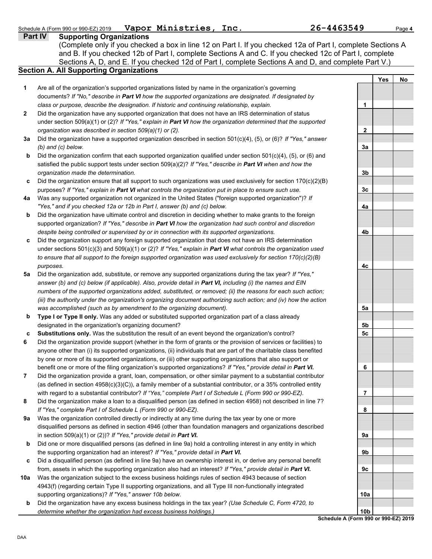| Schedule A (Form 990 or 990-EZ) 2019 | Vapor Ministries, | Inc. | 26-4463549 | Page 4 |
|--------------------------------------|-------------------|------|------------|--------|
|                                      |                   |      |            |        |

**Part IV Supporting Organizations** Sections A, D, and E. If you checked 12d of Part I, complete Sections A and D, and complete Part V.) (Complete only if you checked a box in line 12 on Part I. If you checked 12a of Part I, complete Sections A and B. If you checked 12b of Part I, complete Sections A and C. If you checked 12c of Part I, complete

### **Section A. All Supporting Organizations**

- Are all of the organization's supported organizations listed by name in the organization's governing documents? *If "No," describe in Part VI how the supported organizations are designated. If designated by class or purpose, describe the designation. If historic and continuing relationship, explain.* **1**
- Did the organization have any supported organization that does not have an IRS determination of status under section 509(a)(1) or (2)? *If "Yes," explain in Part VI how the organization determined that the supported organization was described in section 509(a)(1) or (2).* **2**
- **3a** Did the organization have a supported organization described in section 501(c)(4), (5), or (6)? *If "Yes," answer (b) and (c) below.*
- **b** Did the organization confirm that each supported organization qualified under section 501(c)(4), (5), or (6) and satisfied the public support tests under section 509(a)(2)? *If "Yes," describe in Part VI when and how the organization made the determination.*
- **c** Did the organization ensure that all support to such organizations was used exclusively for section 170(c)(2)(B) purposes? *If "Yes," explain in Part VI what controls the organization put in place to ensure such use.*
- **4a** Was any supported organization not organized in the United States ("foreign supported organization")? *If "Yes," and if you checked 12a or 12b in Part I, answer (b) and (c) below.*
- **b** Did the organization have ultimate control and discretion in deciding whether to make grants to the foreign supported organization? *If "Yes," describe in Part VI how the organization had such control and discretion despite being controlled or supervised by or in connection with its supported organizations.*
- **c** Did the organization support any foreign supported organization that does not have an IRS determination under sections 501(c)(3) and 509(a)(1) or (2)? *If "Yes," explain in Part VI what controls the organization used to ensure that all support to the foreign supported organization was used exclusively for section 170(c)(2)(B) purposes.*
- **5a** Did the organization add, substitute, or remove any supported organizations during the tax year? *If "Yes," answer (b) and (c) below (if applicable). Also, provide detail in Part VI, including (i) the names and EIN numbers of the supported organizations added, substituted, or removed; (ii) the reasons for each such action; (iii) the authority under the organization's organizing document authorizing such action; and (iv) how the action was accomplished (such as by amendment to the organizing document).*
- **b Type I or Type II only.** Was any added or substituted supported organization part of a class already designated in the organization's organizing document?
- **c Substitutions only.** Was the substitution the result of an event beyond the organization's control?
- **6** Did the organization provide support (whether in the form of grants or the provision of services or facilities) to anyone other than (i) its supported organizations, (ii) individuals that are part of the charitable class benefited by one or more of its supported organizations, or (iii) other supporting organizations that also support or benefit one or more of the filing organization's supported organizations? *If "Yes," provide detail in Part VI.*
- **7** Did the organization provide a grant, loan, compensation, or other similar payment to a substantial contributor (as defined in section 4958(c)(3)(C)), a family member of a substantial contributor, or a 35% controlled entity with regard to a substantial contributor? *If "Yes," complete Part I of Schedule L (Form 990 or 990-EZ).*
- **8** Did the organization make a loan to a disqualified person (as defined in section 4958) not described in line 7? *If "Yes," complete Part I of Schedule L (Form 990 or 990-EZ).*
- **9a** Was the organization controlled directly or indirectly at any time during the tax year by one or more disqualified persons as defined in section 4946 (other than foundation managers and organizations described in section 509(a)(1) or (2))? *If "Yes," provide detail in Part VI.*
- **b** Did one or more disqualified persons (as defined in line 9a) hold a controlling interest in any entity in which the supporting organization had an interest? *If "Yes," provide detail in Part VI.*
- **c** Did a disqualified person (as defined in line 9a) have an ownership interest in, or derive any personal benefit from, assets in which the supporting organization also had an interest? *If "Yes," provide detail in Part VI.*
- **10a** Was the organization subject to the excess business holdings rules of section 4943 because of section 4943(f) (regarding certain Type II supporting organizations, and all Type III non-functionally integrated supporting organizations)? *If "Yes," answer 10b below.*
- **b** Did the organization have any excess business holdings in the tax year? *(Use Schedule C, Form 4720, to determine whether the organization had excess business holdings.)*

**Yes No 1 2 3a 3b 3c 4a 4b 4c 5a 5b 5c 6 7 8 9a 9b 9c 10a**

**Schedule A (Form 990 or 990-EZ) 2019 10b**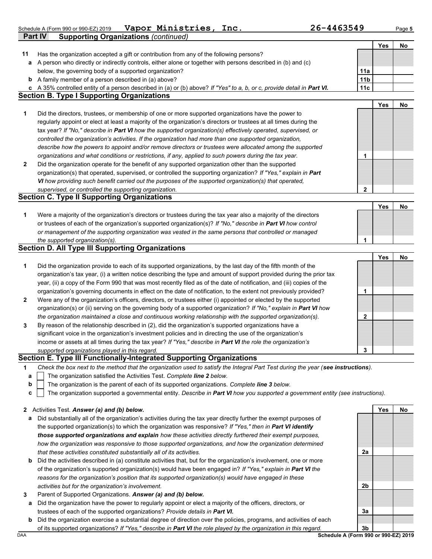Schedule A (Form 990 or 990-EZ) 2019 Page **5 Vapor Ministries, Inc. 26-4463549**

**Part IV Supporting Organizations** *(continued)*

**Yes No**

| 11           | Has the organization accepted a gift or contribution from any of the following persons?                                           |                                      |            |    |
|--------------|-----------------------------------------------------------------------------------------------------------------------------------|--------------------------------------|------------|----|
|              | a A person who directly or indirectly controls, either alone or together with persons described in (b) and (c)                    |                                      |            |    |
|              | below, the governing body of a supported organization?                                                                            | 11a                                  |            |    |
|              | <b>b</b> A family member of a person described in (a) above?                                                                      | 11 <sub>b</sub>                      |            |    |
|              | c A 35% controlled entity of a person described in (a) or (b) above? If "Yes" to a, b, or c, provide detail in Part VI.           | 11c                                  |            |    |
|              | <b>Section B. Type I Supporting Organizations</b>                                                                                 |                                      |            |    |
|              |                                                                                                                                   |                                      | <b>Yes</b> | No |
| 1            | Did the directors, trustees, or membership of one or more supported organizations have the power to                               |                                      |            |    |
|              | regularly appoint or elect at least a majority of the organization's directors or trustees at all times during the                |                                      |            |    |
|              | tax year? If "No," describe in Part VI how the supported organization(s) effectively operated, supervised, or                     |                                      |            |    |
|              | controlled the organization's activities. If the organization had more than one supported organization,                           |                                      |            |    |
|              | describe how the powers to appoint and/or remove directors or trustees were allocated among the supported                         |                                      |            |    |
|              | organizations and what conditions or restrictions, if any, applied to such powers during the tax year.                            | 1                                    |            |    |
| $\mathbf{2}$ | Did the organization operate for the benefit of any supported organization other than the supported                               |                                      |            |    |
|              | organization(s) that operated, supervised, or controlled the supporting organization? If "Yes," explain in Part                   |                                      |            |    |
|              | VI how providing such benefit carried out the purposes of the supported organization(s) that operated,                            |                                      |            |    |
|              | supervised, or controlled the supporting organization.                                                                            | $\mathbf 2$                          |            |    |
|              | <b>Section C. Type II Supporting Organizations</b>                                                                                |                                      |            |    |
|              |                                                                                                                                   |                                      | Yes        | No |
| 1            | Were a majority of the organization's directors or trustees during the tax year also a majority of the directors                  |                                      |            |    |
|              | or trustees of each of the organization's supported organization(s)? If "No," describe in Part VI how control                     |                                      |            |    |
|              | or management of the supporting organization was vested in the same persons that controlled or managed                            |                                      |            |    |
|              | the supported organization(s).                                                                                                    | 1                                    |            |    |
|              | <b>Section D. All Type III Supporting Organizations</b>                                                                           |                                      |            |    |
|              |                                                                                                                                   |                                      | Yes        | No |
| 1            | Did the organization provide to each of its supported organizations, by the last day of the fifth month of the                    |                                      |            |    |
|              | organization's tax year, (i) a written notice describing the type and amount of support provided during the prior tax             |                                      |            |    |
|              | year, (ii) a copy of the Form 990 that was most recently filed as of the date of notification, and (iii) copies of the            |                                      |            |    |
|              | organization's governing documents in effect on the date of notification, to the extent not previously provided?                  | 1                                    |            |    |
| $\mathbf{2}$ | Were any of the organization's officers, directors, or trustees either (i) appointed or elected by the supported                  |                                      |            |    |
|              | organization(s) or (ii) serving on the governing body of a supported organization? If "No," explain in Part VI how                |                                      |            |    |
|              | the organization maintained a close and continuous working relationship with the supported organization(s).                       | 2                                    |            |    |
| 3            | By reason of the relationship described in (2), did the organization's supported organizations have a                             |                                      |            |    |
|              | significant voice in the organization's investment policies and in directing the use of the organization's                        |                                      |            |    |
|              | income or assets at all times during the tax year? If "Yes," describe in Part VI the role the organization's                      |                                      |            |    |
|              | supported organizations played in this regard.                                                                                    | 3                                    |            |    |
|              | Section E. Type III Functionally-Integrated Supporting Organizations                                                              |                                      |            |    |
|              | Check the box next to the method that the organization used to satisfy the Integral Part Test during the year (see instructions). |                                      |            |    |
| а            | The organization satisfied the Activities Test. Complete line 2 below.                                                            |                                      |            |    |
| b            | The organization is the parent of each of its supported organizations. Complete line 3 below.                                     |                                      |            |    |
| C            | The organization supported a governmental entity. Describe in Part VI how you supported a government entity (see instructions).   |                                      |            |    |
|              |                                                                                                                                   |                                      |            |    |
| 2            | Activities Test. Answer (a) and (b) below.                                                                                        |                                      | Yes        | No |
| а            | Did substantially all of the organization's activities during the tax year directly further the exempt purposes of                |                                      |            |    |
|              | the supported organization(s) to which the organization was responsive? If "Yes," then in Part VI identify                        |                                      |            |    |
|              | those supported organizations and explain how these activities directly furthered their exempt purposes,                          |                                      |            |    |
|              | how the organization was responsive to those supported organizations, and how the organization determined                         |                                      |            |    |
|              | that these activities constituted substantially all of its activities.                                                            | 2a                                   |            |    |
| b            | Did the activities described in (a) constitute activities that, but for the organization's involvement, one or more               |                                      |            |    |
|              | of the organization's supported organization(s) would have been engaged in? If "Yes," explain in Part VI the                      |                                      |            |    |
|              | reasons for the organization's position that its supported organization(s) would have engaged in these                            |                                      |            |    |
|              | activities but for the organization's involvement.                                                                                | 2b                                   |            |    |
| 3            | Parent of Supported Organizations. Answer (a) and (b) below.                                                                      |                                      |            |    |
| a            | Did the organization have the power to regularly appoint or elect a majority of the officers, directors, or                       |                                      |            |    |
|              | trustees of each of the supported organizations? Provide details in Part VI.                                                      | 3a                                   |            |    |
| b            | Did the organization exercise a substantial degree of direction over the policies, programs, and activities of each               |                                      |            |    |
|              | of its supported organizations? If "Yes," describe in Part VI the role played by the organization in this regard.                 | 3 <sub>b</sub>                       |            |    |
| DAA          |                                                                                                                                   | Schedule A (Form 990 or 990-EZ) 2019 |            |    |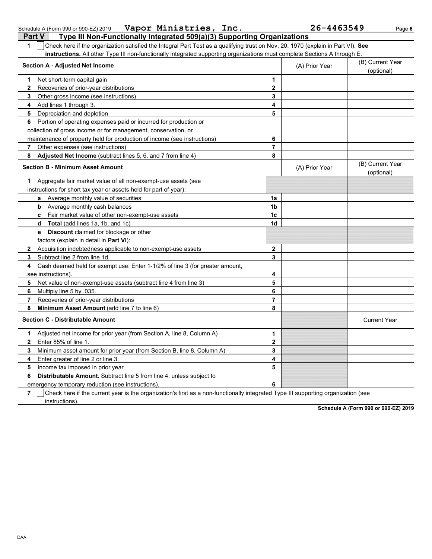| Check here if the organization satisfied the Integral Part Test as a qualifying trust on Nov. 20, 1970 (explain in Part VI). See<br>1 |                                                                                                                           |                |                                |  |  |  |  |  |
|---------------------------------------------------------------------------------------------------------------------------------------|---------------------------------------------------------------------------------------------------------------------------|----------------|--------------------------------|--|--|--|--|--|
|                                                                                                                                       | instructions. All other Type III non-functionally integrated supporting organizations must complete Sections A through E. |                |                                |  |  |  |  |  |
| <b>Section A - Adjusted Net Income</b>                                                                                                |                                                                                                                           | (A) Prior Year | (B) Current Year<br>(optional) |  |  |  |  |  |
| Net short-term capital gain<br>1.                                                                                                     | 1                                                                                                                         |                |                                |  |  |  |  |  |
| $\mathbf{2}$<br>Recoveries of prior-year distributions                                                                                | $\mathbf{2}$                                                                                                              |                |                                |  |  |  |  |  |
| 3<br>Other gross income (see instructions)                                                                                            | 3                                                                                                                         |                |                                |  |  |  |  |  |
| 4<br>Add lines 1 through 3.                                                                                                           | 4                                                                                                                         |                |                                |  |  |  |  |  |
| Depreciation and depletion<br>5                                                                                                       | 5                                                                                                                         |                |                                |  |  |  |  |  |
| Portion of operating expenses paid or incurred for production or<br>6                                                                 |                                                                                                                           |                |                                |  |  |  |  |  |
| collection of gross income or for management, conservation, or                                                                        |                                                                                                                           |                |                                |  |  |  |  |  |
| maintenance of property held for production of income (see instructions)                                                              | 6                                                                                                                         |                |                                |  |  |  |  |  |
| Other expenses (see instructions)<br>7                                                                                                | $\overline{7}$                                                                                                            |                |                                |  |  |  |  |  |
| 8<br>Adjusted Net Income (subtract lines 5, 6, and 7 from line 4)                                                                     | 8                                                                                                                         |                |                                |  |  |  |  |  |
| <b>Section B - Minimum Asset Amount</b>                                                                                               |                                                                                                                           | (A) Prior Year | (B) Current Year<br>(optional) |  |  |  |  |  |
| Aggregate fair market value of all non-exempt-use assets (see<br>1                                                                    |                                                                                                                           |                |                                |  |  |  |  |  |
| instructions for short tax year or assets held for part of year):                                                                     |                                                                                                                           |                |                                |  |  |  |  |  |
| a Average monthly value of securities                                                                                                 | 1a                                                                                                                        |                |                                |  |  |  |  |  |
| <b>b</b> Average monthly cash balances                                                                                                | 1b                                                                                                                        |                |                                |  |  |  |  |  |
| c Fair market value of other non-exempt-use assets                                                                                    | 1c                                                                                                                        |                |                                |  |  |  |  |  |
| Total (add lines 1a, 1b, and 1c)<br>d                                                                                                 | 1d                                                                                                                        |                |                                |  |  |  |  |  |
| <b>Discount</b> claimed for blockage or other<br>е                                                                                    |                                                                                                                           |                |                                |  |  |  |  |  |
| factors (explain in detail in Part VI):                                                                                               |                                                                                                                           |                |                                |  |  |  |  |  |
| $\mathbf{2}$<br>Acquisition indebtedness applicable to non-exempt-use assets                                                          | $\mathbf{2}$                                                                                                              |                |                                |  |  |  |  |  |
| 3<br>Subtract line 2 from line 1d.                                                                                                    | 3                                                                                                                         |                |                                |  |  |  |  |  |
| Cash deemed held for exempt use. Enter 1-1/2% of line 3 (for greater amount,<br>4                                                     |                                                                                                                           |                |                                |  |  |  |  |  |
| see instructions)                                                                                                                     | 4                                                                                                                         |                |                                |  |  |  |  |  |
| 5.<br>Net value of non-exempt-use assets (subtract line 4 from line 3)                                                                | 5                                                                                                                         |                |                                |  |  |  |  |  |
| 6<br>Multiply line 5 by .035.                                                                                                         | 6                                                                                                                         |                |                                |  |  |  |  |  |
| $\overline{7}$<br>Recoveries of prior-year distributions                                                                              | $\overline{7}$                                                                                                            |                |                                |  |  |  |  |  |
| Minimum Asset Amount (add line 7 to line 6)<br>8                                                                                      | 8                                                                                                                         |                |                                |  |  |  |  |  |
| <b>Section C - Distributable Amount</b>                                                                                               |                                                                                                                           |                | <b>Current Year</b>            |  |  |  |  |  |
| Adjusted net income for prior year (from Section A, line 8, Column A)<br>1                                                            | 1                                                                                                                         |                |                                |  |  |  |  |  |
| Enter 85% of line 1.<br>$\mathbf{2}$                                                                                                  | $\mathbf{2}$                                                                                                              |                |                                |  |  |  |  |  |
| 3<br>Minimum asset amount for prior year (from Section B, line 8, Column A)                                                           | 3                                                                                                                         |                |                                |  |  |  |  |  |
| Enter greater of line 2 or line 3.<br>4                                                                                               | 4                                                                                                                         |                |                                |  |  |  |  |  |
| 5<br>Income tax imposed in prior year                                                                                                 | 5                                                                                                                         |                |                                |  |  |  |  |  |
| Distributable Amount. Subtract line 5 from line 4, unless subject to<br>6                                                             |                                                                                                                           |                |                                |  |  |  |  |  |
| emergency temporary reduction (see instructions)                                                                                      | 6                                                                                                                         |                |                                |  |  |  |  |  |

**7** | Check here if the current year is the organization's first as a non-functionally integrated Type III supporting organization (see

instructions).

**Schedule A (Form 990 or 990-EZ) 2019**

Schedule A (Form 990 or 990-EZ) 2019 Page **6 Vapor Ministries, Inc. 26-4463549**

**Part V Type III Non-Functionally Integrated 509(a)(3) Supporting Organizations**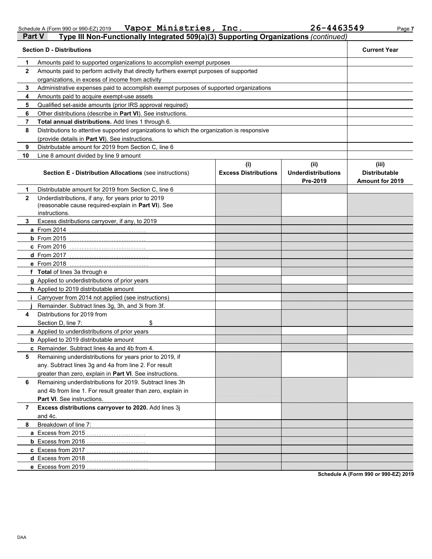Schedule A (Form 990 or 990-EZ) 2019 **Vapor Ministries, Inc. Z6-4463549** Page 7 m 990 or 990-EZ) 2019 **Vapor Ministries, Inc.** 26-4463549

| <b>Part V</b> | Type III Non-Functionally Integrated 509(a)(3) Supporting Organizations (continued)                                         |                             |                                       |                                                |  |  |  |  |
|---------------|-----------------------------------------------------------------------------------------------------------------------------|-----------------------------|---------------------------------------|------------------------------------------------|--|--|--|--|
|               | <b>Section D - Distributions</b>                                                                                            |                             |                                       | <b>Current Year</b>                            |  |  |  |  |
| 1             | Amounts paid to supported organizations to accomplish exempt purposes                                                       |                             |                                       |                                                |  |  |  |  |
| $\mathbf{2}$  | Amounts paid to perform activity that directly furthers exempt purposes of supported                                        |                             |                                       |                                                |  |  |  |  |
|               | organizations, in excess of income from activity                                                                            |                             |                                       |                                                |  |  |  |  |
| 3             | Administrative expenses paid to accomplish exempt purposes of supported organizations                                       |                             |                                       |                                                |  |  |  |  |
| 4             | Amounts paid to acquire exempt-use assets                                                                                   |                             |                                       |                                                |  |  |  |  |
| 5             | Qualified set-aside amounts (prior IRS approval required)                                                                   |                             |                                       |                                                |  |  |  |  |
| 6             | Other distributions (describe in Part VI). See instructions.                                                                |                             |                                       |                                                |  |  |  |  |
| 7             | Total annual distributions. Add lines 1 through 6.                                                                          |                             |                                       |                                                |  |  |  |  |
| 8             | Distributions to attentive supported organizations to which the organization is responsive                                  |                             |                                       |                                                |  |  |  |  |
|               | (provide details in Part VI). See instructions.                                                                             |                             |                                       |                                                |  |  |  |  |
| 9             | Distributable amount for 2019 from Section C, line 6                                                                        |                             |                                       |                                                |  |  |  |  |
| 10            | Line 8 amount divided by line 9 amount                                                                                      |                             |                                       |                                                |  |  |  |  |
|               |                                                                                                                             | (i)                         | (ii)                                  | (iii)                                          |  |  |  |  |
|               | <b>Section E - Distribution Allocations (see instructions)</b>                                                              | <b>Excess Distributions</b> | <b>Underdistributions</b><br>Pre-2019 | <b>Distributable</b><br><b>Amount for 2019</b> |  |  |  |  |
| 1             | Distributable amount for 2019 from Section C, line 6                                                                        |                             |                                       |                                                |  |  |  |  |
| $\mathbf{2}$  | Underdistributions, if any, for years prior to 2019<br>(reasonable cause required-explain in Part VI). See<br>instructions. |                             |                                       |                                                |  |  |  |  |
| 3             | Excess distributions carryover, if any, to 2019                                                                             |                             |                                       |                                                |  |  |  |  |
|               | a From 2014                                                                                                                 |                             |                                       |                                                |  |  |  |  |
|               | $b$ From 2015                                                                                                               |                             |                                       |                                                |  |  |  |  |
|               | <b>c</b> From 2016                                                                                                          |                             |                                       |                                                |  |  |  |  |
|               | <b>d</b> From 2017                                                                                                          |                             |                                       |                                                |  |  |  |  |
|               | <b>e</b> From 2018                                                                                                          |                             |                                       |                                                |  |  |  |  |
|               | f Total of lines 3a through e                                                                                               |                             |                                       |                                                |  |  |  |  |
|               | g Applied to underdistributions of prior years                                                                              |                             |                                       |                                                |  |  |  |  |
|               | <b>h</b> Applied to 2019 distributable amount                                                                               |                             |                                       |                                                |  |  |  |  |
|               | Carryover from 2014 not applied (see instructions)                                                                          |                             |                                       |                                                |  |  |  |  |
|               | Remainder. Subtract lines 3g, 3h, and 3i from 3f.                                                                           |                             |                                       |                                                |  |  |  |  |
| 4             | Distributions for 2019 from                                                                                                 |                             |                                       |                                                |  |  |  |  |
|               | \$<br>Section D, line 7:                                                                                                    |                             |                                       |                                                |  |  |  |  |
|               | a Applied to underdistributions of prior years                                                                              |                             |                                       |                                                |  |  |  |  |
|               | <b>b</b> Applied to 2019 distributable amount                                                                               |                             |                                       |                                                |  |  |  |  |
|               | c Remainder. Subtract lines 4a and 4b from 4.                                                                               |                             |                                       |                                                |  |  |  |  |
|               |                                                                                                                             |                             |                                       |                                                |  |  |  |  |
| 5             | Remaining underdistributions for years prior to 2019, if                                                                    |                             |                                       |                                                |  |  |  |  |
|               | any. Subtract lines 3g and 4a from line 2. For result                                                                       |                             |                                       |                                                |  |  |  |  |
|               | greater than zero, explain in Part VI. See instructions.                                                                    |                             |                                       |                                                |  |  |  |  |
| 6             | Remaining underdistributions for 2019. Subtract lines 3h                                                                    |                             |                                       |                                                |  |  |  |  |
|               | and 4b from line 1. For result greater than zero, explain in                                                                |                             |                                       |                                                |  |  |  |  |
|               | Part VI. See instructions.                                                                                                  |                             |                                       |                                                |  |  |  |  |
| 7             | Excess distributions carryover to 2020. Add lines 3j                                                                        |                             |                                       |                                                |  |  |  |  |
|               | and 4c.                                                                                                                     |                             |                                       |                                                |  |  |  |  |
| 8             | Breakdown of line 7:                                                                                                        |                             |                                       |                                                |  |  |  |  |
|               | a Excess from 2015                                                                                                          |                             |                                       |                                                |  |  |  |  |
|               | <b>b</b> Excess from 2016                                                                                                   |                             |                                       |                                                |  |  |  |  |
|               | c Excess from 2017                                                                                                          |                             |                                       |                                                |  |  |  |  |
|               | d Excess from 2018                                                                                                          |                             |                                       |                                                |  |  |  |  |
|               | e Excess from 2019                                                                                                          |                             |                                       |                                                |  |  |  |  |

**Schedule A (Form 990 or 990-EZ) 2019**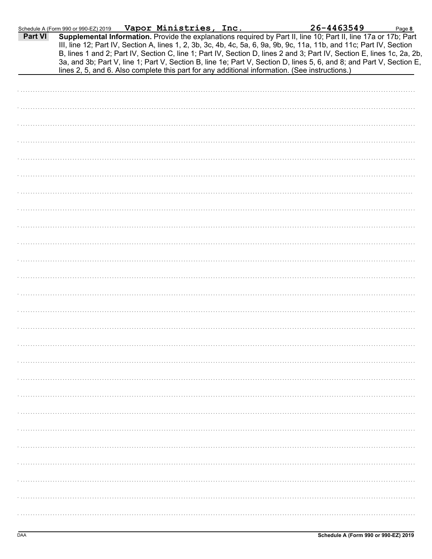|         | Schedule A (Form 990 or 990-EZ) 2019                                                           | Vapor Ministries, Inc. |  | 26-4463549                                                                                                                                                                                                                                                                                                                                                        | Page 8 |
|---------|------------------------------------------------------------------------------------------------|------------------------|--|-------------------------------------------------------------------------------------------------------------------------------------------------------------------------------------------------------------------------------------------------------------------------------------------------------------------------------------------------------------------|--------|
| Part VI |                                                                                                |                        |  | Supplemental Information. Provide the explanations required by Part II, line 10; Part II, line 17a or 17b; Part<br>III, line 12; Part IV, Section A, lines 1, 2, 3b, 3c, 4b, 4c, 5a, 6, 9a, 9b, 9c, 11a, 11b, and 11c; Part IV, Section<br>B, lines 1 and 2; Part IV, Section C, line 1; Part IV, Section D, lines 2 and 3; Part IV, Section E, lines 1c, 2a, 2b, |        |
|         | lines 2, 5, and 6. Also complete this part for any additional information. (See instructions.) |                        |  | 3a, and 3b; Part V, line 1; Part V, Section B, line 1e; Part V, Section D, lines 5, 6, and 8; and Part V, Section E,                                                                                                                                                                                                                                              |        |
|         |                                                                                                |                        |  |                                                                                                                                                                                                                                                                                                                                                                   |        |
|         |                                                                                                |                        |  |                                                                                                                                                                                                                                                                                                                                                                   |        |
|         |                                                                                                |                        |  |                                                                                                                                                                                                                                                                                                                                                                   |        |
|         |                                                                                                |                        |  |                                                                                                                                                                                                                                                                                                                                                                   |        |
|         |                                                                                                |                        |  |                                                                                                                                                                                                                                                                                                                                                                   |        |
|         |                                                                                                |                        |  |                                                                                                                                                                                                                                                                                                                                                                   |        |
|         |                                                                                                |                        |  |                                                                                                                                                                                                                                                                                                                                                                   |        |
|         |                                                                                                |                        |  |                                                                                                                                                                                                                                                                                                                                                                   |        |
|         |                                                                                                |                        |  |                                                                                                                                                                                                                                                                                                                                                                   |        |
|         |                                                                                                |                        |  |                                                                                                                                                                                                                                                                                                                                                                   |        |
|         |                                                                                                |                        |  |                                                                                                                                                                                                                                                                                                                                                                   |        |
|         |                                                                                                |                        |  |                                                                                                                                                                                                                                                                                                                                                                   |        |
|         |                                                                                                |                        |  |                                                                                                                                                                                                                                                                                                                                                                   |        |
|         |                                                                                                |                        |  |                                                                                                                                                                                                                                                                                                                                                                   |        |
|         |                                                                                                |                        |  |                                                                                                                                                                                                                                                                                                                                                                   |        |
|         |                                                                                                |                        |  |                                                                                                                                                                                                                                                                                                                                                                   |        |
|         |                                                                                                |                        |  |                                                                                                                                                                                                                                                                                                                                                                   |        |
|         |                                                                                                |                        |  |                                                                                                                                                                                                                                                                                                                                                                   |        |
|         |                                                                                                |                        |  |                                                                                                                                                                                                                                                                                                                                                                   |        |
|         |                                                                                                |                        |  |                                                                                                                                                                                                                                                                                                                                                                   |        |
|         |                                                                                                |                        |  |                                                                                                                                                                                                                                                                                                                                                                   |        |
|         |                                                                                                |                        |  |                                                                                                                                                                                                                                                                                                                                                                   |        |
|         |                                                                                                |                        |  |                                                                                                                                                                                                                                                                                                                                                                   |        |
|         |                                                                                                |                        |  |                                                                                                                                                                                                                                                                                                                                                                   |        |
|         |                                                                                                |                        |  |                                                                                                                                                                                                                                                                                                                                                                   |        |
|         |                                                                                                |                        |  |                                                                                                                                                                                                                                                                                                                                                                   |        |
|         |                                                                                                |                        |  |                                                                                                                                                                                                                                                                                                                                                                   |        |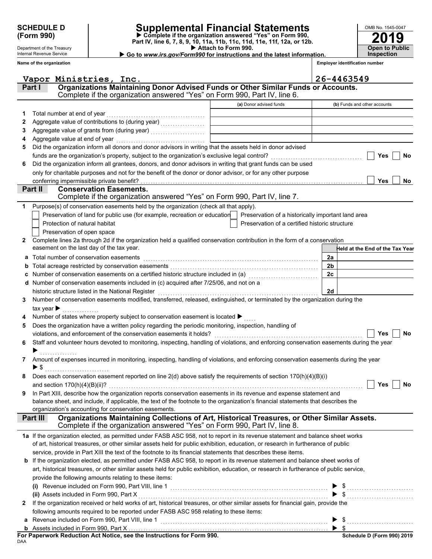Department of the Treasury Internal Revenue Service **Name of the organization**

### **SCHEDULE D Supplemental Financial Statements**

Attach to Form 990. **(Form 990)** ● **P** Complete if the organization answered "Yes" on Form 990,<br>Part IV, line 6, 7, 8, 9, 10, 11a, 11b, 11c, 11d, 11e, 11f, 12a, or 12b.

**2019 Open to Public Inspection**

OMB No. 1545-0047

▶ Go to www.irs.gov/Form990 for instructions and the latest information.

**Employer identification number**

|              | Vapor Ministries, Inc.                                                                                                                      |                                                | 26-4463549                                                                                                                                                                                                                                                                                                |
|--------------|---------------------------------------------------------------------------------------------------------------------------------------------|------------------------------------------------|-----------------------------------------------------------------------------------------------------------------------------------------------------------------------------------------------------------------------------------------------------------------------------------------------------------|
|              | Organizations Maintaining Donor Advised Funds or Other Similar Funds or Accounts.<br>Part I                                                 |                                                |                                                                                                                                                                                                                                                                                                           |
|              | Complete if the organization answered "Yes" on Form 990, Part IV, line 6.                                                                   |                                                |                                                                                                                                                                                                                                                                                                           |
|              |                                                                                                                                             | (a) Donor advised funds                        | (b) Funds and other accounts                                                                                                                                                                                                                                                                              |
| 1            | Total number at end of year                                                                                                                 |                                                |                                                                                                                                                                                                                                                                                                           |
| 2            |                                                                                                                                             |                                                |                                                                                                                                                                                                                                                                                                           |
| 3            |                                                                                                                                             |                                                |                                                                                                                                                                                                                                                                                                           |
| 4            | Aggregate value at end of year                                                                                                              |                                                |                                                                                                                                                                                                                                                                                                           |
| 5            | Did the organization inform all donors and donor advisors in writing that the assets held in donor advised                                  |                                                |                                                                                                                                                                                                                                                                                                           |
|              |                                                                                                                                             |                                                | Yes<br><b>No</b>                                                                                                                                                                                                                                                                                          |
| 6            | Did the organization inform all grantees, donors, and donor advisors in writing that grant funds can be used                                |                                                |                                                                                                                                                                                                                                                                                                           |
|              | only for charitable purposes and not for the benefit of the donor or donor advisor, or for any other purpose                                |                                                |                                                                                                                                                                                                                                                                                                           |
|              | conferring impermissible private benefit?                                                                                                   |                                                | <b>Yes</b><br>No                                                                                                                                                                                                                                                                                          |
|              | Part II<br><b>Conservation Easements.</b>                                                                                                   |                                                |                                                                                                                                                                                                                                                                                                           |
|              | Complete if the organization answered "Yes" on Form 990, Part IV, line 7.                                                                   |                                                |                                                                                                                                                                                                                                                                                                           |
| 1.           | Purpose(s) of conservation easements held by the organization (check all that apply).                                                       |                                                |                                                                                                                                                                                                                                                                                                           |
|              | Preservation of land for public use (for example, recreation or education   Preservation of a historically important land area              |                                                |                                                                                                                                                                                                                                                                                                           |
|              | Protection of natural habitat                                                                                                               | Preservation of a certified historic structure |                                                                                                                                                                                                                                                                                                           |
|              | Preservation of open space                                                                                                                  |                                                |                                                                                                                                                                                                                                                                                                           |
| $\mathbf{2}$ | Complete lines 2a through 2d if the organization held a qualified conservation contribution in the form of a conservation                   |                                                |                                                                                                                                                                                                                                                                                                           |
|              | easement on the last day of the tax year.                                                                                                   |                                                | Held at the End of the Tax Year                                                                                                                                                                                                                                                                           |
| a            | Total number of conservation easements                                                                                                      |                                                | 2a                                                                                                                                                                                                                                                                                                        |
| b            |                                                                                                                                             |                                                | 2 <sub>b</sub>                                                                                                                                                                                                                                                                                            |
| c            | Number of conservation easements on a certified historic structure included in (a) [11] Number of conservation                              |                                                | 2c                                                                                                                                                                                                                                                                                                        |
|              | d Number of conservation easements included in (c) acquired after 7/25/06, and not on a                                                     |                                                |                                                                                                                                                                                                                                                                                                           |
|              | historic structure listed in the National Register                                                                                          |                                                | 2d                                                                                                                                                                                                                                                                                                        |
| 3.           | Number of conservation easements modified, transferred, released, extinguished, or terminated by the organization during the                |                                                |                                                                                                                                                                                                                                                                                                           |
|              | tax year $\blacktriangleright$                                                                                                              |                                                |                                                                                                                                                                                                                                                                                                           |
| 4            | Number of states where property subject to conservation easement is located >                                                               |                                                |                                                                                                                                                                                                                                                                                                           |
| 5            | Does the organization have a written policy regarding the periodic monitoring, inspection, handling of                                      |                                                |                                                                                                                                                                                                                                                                                                           |
|              | violations, and enforcement of the conservation easements it holds?                                                                         |                                                | Yes<br>No                                                                                                                                                                                                                                                                                                 |
| 6            | Staff and volunteer hours devoted to monitoring, inspecting, handling of violations, and enforcing conservation easements during the year   |                                                |                                                                                                                                                                                                                                                                                                           |
|              |                                                                                                                                             |                                                |                                                                                                                                                                                                                                                                                                           |
| 7            | Amount of expenses incurred in monitoring, inspecting, handling of violations, and enforcing conservation easements during the year<br>► \$ |                                                |                                                                                                                                                                                                                                                                                                           |
|              |                                                                                                                                             |                                                |                                                                                                                                                                                                                                                                                                           |
|              | Does each conservation easement reported on line $2(d)$ above satisfy the requirements of section $170(h)(4)(B)(i)$                         |                                                |                                                                                                                                                                                                                                                                                                           |
|              | In Part XIII, describe how the organization reports conservation easements in its revenue and expense statement and                         |                                                |                                                                                                                                                                                                                                                                                                           |
| 9            | balance sheet, and include, if applicable, the text of the footnote to the organization's financial statements that describes the           |                                                |                                                                                                                                                                                                                                                                                                           |
|              | organization's accounting for conservation easements.                                                                                       |                                                |                                                                                                                                                                                                                                                                                                           |
|              | Organizations Maintaining Collections of Art, Historical Treasures, or Other Similar Assets.<br>Part III                                    |                                                |                                                                                                                                                                                                                                                                                                           |
|              | Complete if the organization answered "Yes" on Form 990, Part IV, line 8.                                                                   |                                                |                                                                                                                                                                                                                                                                                                           |
|              | 1a If the organization elected, as permitted under FASB ASC 958, not to report in its revenue statement and balance sheet works             |                                                |                                                                                                                                                                                                                                                                                                           |
|              | of art, historical treasures, or other similar assets held for public exhibition, education, or research in furtherance of public           |                                                |                                                                                                                                                                                                                                                                                                           |
|              | service, provide in Part XIII the text of the footnote to its financial statements that describes these items.                              |                                                |                                                                                                                                                                                                                                                                                                           |
|              | <b>b</b> If the organization elected, as permitted under FASB ASC 958, to report in its revenue statement and balance sheet works of        |                                                |                                                                                                                                                                                                                                                                                                           |
|              | art, historical treasures, or other similar assets held for public exhibition, education, or research in furtherance of public service,     |                                                |                                                                                                                                                                                                                                                                                                           |
|              | provide the following amounts relating to these items:                                                                                      |                                                |                                                                                                                                                                                                                                                                                                           |
|              |                                                                                                                                             |                                                | $\frac{1}{2}$ , $\frac{1}{2}$ , $\frac{1}{2}$ , $\frac{1}{2}$ , $\frac{1}{2}$ , $\frac{1}{2}$ , $\frac{1}{2}$ , $\frac{1}{2}$ , $\frac{1}{2}$ , $\frac{1}{2}$ , $\frac{1}{2}$ , $\frac{1}{2}$ , $\frac{1}{2}$ , $\frac{1}{2}$ , $\frac{1}{2}$ , $\frac{1}{2}$ , $\frac{1}{2}$ , $\frac{1}{2}$ , $\frac{1$ |
|              | (ii) Assets included in Form 990, Part X                                                                                                    |                                                |                                                                                                                                                                                                                                                                                                           |
| $\mathbf{2}$ | If the organization received or held works of art, historical treasures, or other similar assets for financial gain, provide the            |                                                |                                                                                                                                                                                                                                                                                                           |
|              | following amounts required to be reported under FASB ASC 958 relating to these items:                                                       |                                                |                                                                                                                                                                                                                                                                                                           |
| а            | Revenue included on Form 990, Part VIII, line 1                                                                                             |                                                |                                                                                                                                                                                                                                                                                                           |
|              |                                                                                                                                             |                                                |                                                                                                                                                                                                                                                                                                           |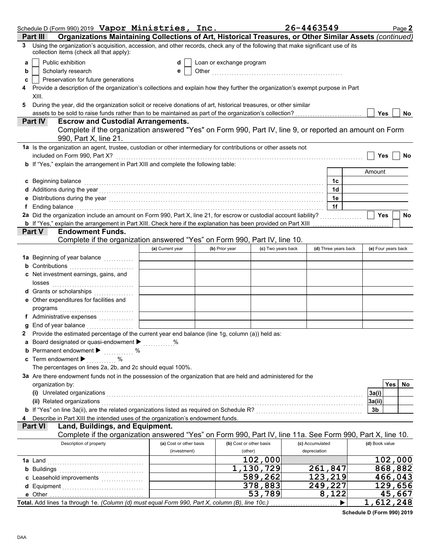|   | Schedule D (Form 990) 2019 Vapor Ministries, Inc.                                                                                                                                                                                   |                                         |                                    |                           | 26-4463549                      | Page 2              |
|---|-------------------------------------------------------------------------------------------------------------------------------------------------------------------------------------------------------------------------------------|-----------------------------------------|------------------------------------|---------------------------|---------------------------------|---------------------|
|   | Organizations Maintaining Collections of Art, Historical Treasures, or Other Similar Assets (continued)<br>Part III                                                                                                                 |                                         |                                    |                           |                                 |                     |
| 3 | Using the organization's acquisition, accession, and other records, check any of the following that make significant use of its<br>collection items (check all that apply):                                                         |                                         |                                    |                           |                                 |                     |
| a | Public exhibition                                                                                                                                                                                                                   | d                                       | Loan or exchange program           |                           |                                 |                     |
| b | Scholarly research                                                                                                                                                                                                                  | е                                       |                                    |                           |                                 |                     |
| c | Preservation for future generations                                                                                                                                                                                                 |                                         |                                    |                           |                                 |                     |
|   | Provide a description of the organization's collections and explain how they further the organization's exempt purpose in Part                                                                                                      |                                         |                                    |                           |                                 |                     |
| 5 | XIII.                                                                                                                                                                                                                               |                                         |                                    |                           |                                 |                     |
|   | During the year, did the organization solicit or receive donations of art, historical treasures, or other similar                                                                                                                   |                                         |                                    |                           |                                 | <b>Yes</b><br>No    |
|   | <b>Escrow and Custodial Arrangements.</b><br><b>Part IV</b>                                                                                                                                                                         |                                         |                                    |                           |                                 |                     |
|   | Complete if the organization answered "Yes" on Form 990, Part IV, line 9, or reported an amount on Form                                                                                                                             |                                         |                                    |                           |                                 |                     |
|   | 990, Part X, line 21.                                                                                                                                                                                                               |                                         |                                    |                           |                                 |                     |
|   | 1a Is the organization an agent, trustee, custodian or other intermediary for contributions or other assets not                                                                                                                     |                                         |                                    |                           |                                 |                     |
|   | included on Form 990, Part X?<br>b If "Yes," explain the arrangement in Part XIII and complete the following table:                                                                                                                 |                                         |                                    |                           |                                 | <b>Yes</b><br>No    |
|   |                                                                                                                                                                                                                                     |                                         |                                    |                           |                                 | Amount              |
|   | c Beginning balance                                                                                                                                                                                                                 |                                         |                                    |                           | 1c                              |                     |
|   |                                                                                                                                                                                                                                     |                                         |                                    |                           | 1d                              |                     |
| е |                                                                                                                                                                                                                                     |                                         |                                    |                           | 1e                              |                     |
|   | f Ending balance encourance and the contract of the contract of the contract of the contract of the contract of the contract of the contract of the contract of the contract of the contract of the contract of the contract o      |                                         |                                    |                           | 1f                              |                     |
|   | 2a Did the organization include an amount on Form 990, Part X, line 21, for escrow or custodial account liability?                                                                                                                  |                                         |                                    |                           |                                 | Yes<br>No           |
|   |                                                                                                                                                                                                                                     |                                         |                                    |                           |                                 |                     |
|   | <b>Endowment Funds.</b><br>Part V                                                                                                                                                                                                   |                                         |                                    |                           |                                 |                     |
|   | Complete if the organization answered "Yes" on Form 990, Part IV, line 10.                                                                                                                                                          |                                         |                                    |                           |                                 |                     |
|   |                                                                                                                                                                                                                                     | (a) Current year                        | (b) Prior year                     | (c) Two years back        | (d) Three years back            | (e) Four years back |
|   | 1a Beginning of year balance <i>minimum</i>                                                                                                                                                                                         |                                         |                                    |                           |                                 |                     |
|   | <b>b</b> Contributions<br>c Net investment earnings, gains, and                                                                                                                                                                     |                                         |                                    |                           |                                 |                     |
|   |                                                                                                                                                                                                                                     |                                         |                                    |                           |                                 |                     |
|   | d Grants or scholarships                                                                                                                                                                                                            |                                         |                                    |                           |                                 |                     |
|   | e Other expenditures for facilities and                                                                                                                                                                                             |                                         |                                    |                           |                                 |                     |
|   |                                                                                                                                                                                                                                     |                                         |                                    |                           |                                 |                     |
|   |                                                                                                                                                                                                                                     |                                         |                                    |                           |                                 |                     |
|   | End of year balance <i>manufactured</i> in the set of the set of the set of the set of the set of the set of the set of the set of the set of the set of the set of the set of the set of the set of the set of the set of the set  |                                         |                                    |                           |                                 |                     |
|   | 2 Provide the estimated percentage of the current year end balance (line 1g, column (a)) held as:                                                                                                                                   |                                         |                                    |                           |                                 |                     |
|   | a Board designated or quasi-endowment >                                                                                                                                                                                             |                                         |                                    |                           |                                 |                     |
|   | <b>b</b> Permanent endowment $\blacktriangleright$                                                                                                                                                                                  |                                         |                                    |                           |                                 |                     |
|   | c Term endowment $\blacktriangleright$<br>The percentages on lines 2a, 2b, and 2c should equal 100%.                                                                                                                                |                                         |                                    |                           |                                 |                     |
|   | 3a Are there endowment funds not in the possession of the organization that are held and administered for the                                                                                                                       |                                         |                                    |                           |                                 |                     |
|   | organization by:                                                                                                                                                                                                                    |                                         |                                    |                           |                                 | Yes<br>No           |
|   | (i) Unrelated organizations <i>communication</i> and the contract of the contract of the contract of the contract of the contract of the contract of the contract of the contract of the contract of the contract of the contract o |                                         |                                    |                           |                                 | 3a(i)               |
|   | (ii) Related organizations                                                                                                                                                                                                          |                                         |                                    |                           |                                 | 3a(ii)              |
|   |                                                                                                                                                                                                                                     |                                         |                                    |                           |                                 | 3b                  |
|   | Describe in Part XIII the intended uses of the organization's endowment funds.                                                                                                                                                      |                                         |                                    |                           |                                 |                     |
|   | Land, Buildings, and Equipment.<br><b>Part VI</b>                                                                                                                                                                                   |                                         |                                    |                           |                                 |                     |
|   | Complete if the organization answered "Yes" on Form 990, Part IV, line 11a. See Form 990, Part X, line 10.                                                                                                                          |                                         |                                    |                           |                                 |                     |
|   | Description of property                                                                                                                                                                                                             | (a) Cost or other basis<br>(investment) | (b) Cost or other basis<br>(other) |                           | (c) Accumulated<br>depreciation | (d) Book value      |
|   |                                                                                                                                                                                                                                     |                                         |                                    | 102,000                   |                                 | 102,000             |
|   | <b>b</b> Buildings <b>Manual</b> Buildings <b>Constitution Buildings</b>                                                                                                                                                            |                                         |                                    | $\overline{1}$ , 130, 729 | 261,847                         | 868,882             |
|   |                                                                                                                                                                                                                                     |                                         |                                    | 589,262                   | 123,219                         | 466,043             |
|   |                                                                                                                                                                                                                                     |                                         |                                    | 378,883                   | 249,227                         | 129,656             |
|   |                                                                                                                                                                                                                                     |                                         |                                    | 53,789                    | 8,122                           | 45,667              |
|   | Total. Add lines 1a through 1e. (Column (d) must equal Form 990, Part X, column (B), line 10c.)                                                                                                                                     |                                         |                                    |                           |                                 | 1,612,248           |

**Schedule D (Form 990) 2019**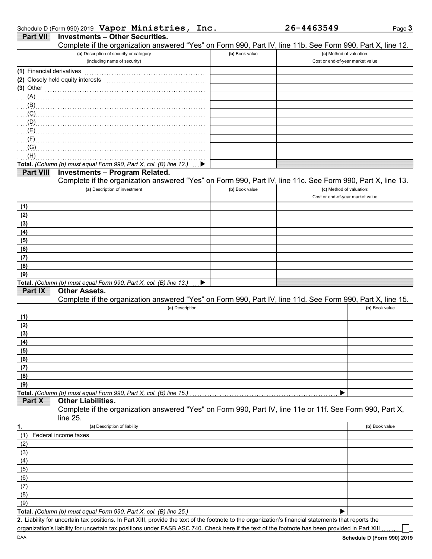|  |  | Schedule D (Form 990) 2019 Vapor Ministries, Inc |  |
|--|--|--------------------------------------------------|--|
|  |  | <b>Part VII Investments - Other Securities.</b>  |  |

|                           | Complete if the organization answered "Yes" on Form 990, Part IV, line 11b. See Form 990, Part X, line 12.                                           |                |                                                              |                |
|---------------------------|------------------------------------------------------------------------------------------------------------------------------------------------------|----------------|--------------------------------------------------------------|----------------|
|                           | (a) Description of security or category<br>(including name of security)                                                                              | (b) Book value | (c) Method of valuation:<br>Cost or end-of-year market value |                |
| (1) Financial derivatives |                                                                                                                                                      |                |                                                              |                |
|                           | (2) Closely held equity interests                                                                                                                    |                |                                                              |                |
| (3) Other                 |                                                                                                                                                      |                |                                                              |                |
| (A)                       |                                                                                                                                                      |                |                                                              |                |
| (B)                       |                                                                                                                                                      |                |                                                              |                |
| (C)                       |                                                                                                                                                      |                |                                                              |                |
| (D)                       |                                                                                                                                                      |                |                                                              |                |
| (E)                       |                                                                                                                                                      |                |                                                              |                |
| (F)                       |                                                                                                                                                      |                |                                                              |                |
| (G)                       |                                                                                                                                                      |                |                                                              |                |
| (H)                       |                                                                                                                                                      |                |                                                              |                |
|                           | Total. (Column (b) must equal Form 990, Part X, col. (B) line 12.)                                                                                   |                |                                                              |                |
| <b>Part VIII</b>          | <b>Investments - Program Related.</b><br>Complete if the organization answered "Yes" on Form 990, Part IV, line 11c. See Form 990, Part X, line 13.  |                |                                                              |                |
|                           | (a) Description of investment                                                                                                                        | (b) Book value | (c) Method of valuation:                                     |                |
|                           |                                                                                                                                                      |                | Cost or end-of-year market value                             |                |
| (1)                       |                                                                                                                                                      |                |                                                              |                |
| (2)                       |                                                                                                                                                      |                |                                                              |                |
| (3)                       |                                                                                                                                                      |                |                                                              |                |
| (4)                       |                                                                                                                                                      |                |                                                              |                |
| (5)                       |                                                                                                                                                      |                |                                                              |                |
| (6)                       |                                                                                                                                                      |                |                                                              |                |
| (7)                       |                                                                                                                                                      |                |                                                              |                |
| (8)                       |                                                                                                                                                      |                |                                                              |                |
| (9)                       |                                                                                                                                                      |                |                                                              |                |
| Part IX                   | Total. (Column (b) must equal Form 990, Part X, col. (B) line 13.)<br><b>Other Assets.</b>                                                           |                |                                                              |                |
|                           | Complete if the organization answered "Yes" on Form 990, Part IV, line 11d. See Form 990, Part X, line 15.                                           |                |                                                              |                |
|                           | (a) Description                                                                                                                                      |                |                                                              | (b) Book value |
| (1)                       |                                                                                                                                                      |                |                                                              |                |
| (2)                       |                                                                                                                                                      |                |                                                              |                |
| (3)                       |                                                                                                                                                      |                |                                                              |                |
| (4)                       |                                                                                                                                                      |                |                                                              |                |
| (5)                       |                                                                                                                                                      |                |                                                              |                |
| (6)                       |                                                                                                                                                      |                |                                                              |                |
| (7)                       |                                                                                                                                                      |                |                                                              |                |
| (8)                       |                                                                                                                                                      |                |                                                              |                |
| (9)                       | Total. (Column (b) must equal Form 990, Part X, col. (B) line 15.)                                                                                   |                |                                                              |                |
| Part X                    | <b>Other Liabilities.</b>                                                                                                                            |                |                                                              |                |
|                           | Complete if the organization answered "Yes" on Form 990, Part IV, line 11e or 11f. See Form 990, Part X,                                             |                |                                                              |                |
|                           | line 25.                                                                                                                                             |                |                                                              |                |
| 1.                        | (a) Description of liability                                                                                                                         |                |                                                              | (b) Book value |
| (1)                       | Federal income taxes                                                                                                                                 |                |                                                              |                |
| (2)                       |                                                                                                                                                      |                |                                                              |                |
| (3)                       |                                                                                                                                                      |                |                                                              |                |
| (4)                       |                                                                                                                                                      |                |                                                              |                |
| (5)                       |                                                                                                                                                      |                |                                                              |                |
| (6)                       |                                                                                                                                                      |                |                                                              |                |
| (7)                       |                                                                                                                                                      |                |                                                              |                |
| (8)<br>(9)                |                                                                                                                                                      |                |                                                              |                |
|                           | Total. (Column (b) must equal Form 990, Part X, col. (B) line 25.)                                                                                   |                |                                                              |                |
|                           | 2. Liability for uncertain tax positions. In Part XIII, provide the text of the footnote to the organization's financial statements that reports the |                |                                                              |                |

organization's liability for uncertain tax positions under FASB ASC 740. Check here if the text of the footnote has been provided in Part XIII

 $\overline{\phantom{a}}$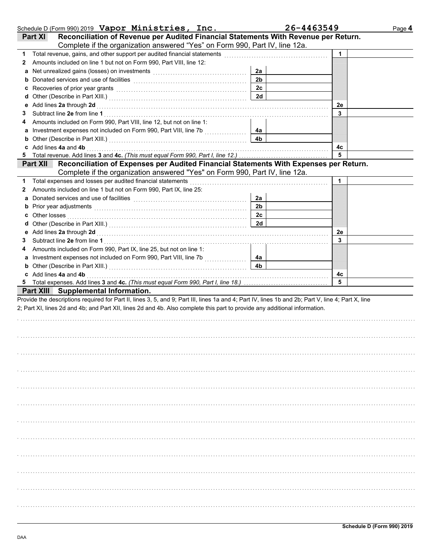|    | Schedule D (Form 990) 2019 Vapor Ministries, Inc.                                                                                                                                                                              |                | 26-4463549 | Page 4 |
|----|--------------------------------------------------------------------------------------------------------------------------------------------------------------------------------------------------------------------------------|----------------|------------|--------|
|    | Reconciliation of Revenue per Audited Financial Statements With Revenue per Return.<br>Part XI                                                                                                                                 |                |            |        |
|    | Complete if the organization answered "Yes" on Form 990, Part IV, line 12a.                                                                                                                                                    |                |            |        |
| 1  | Total revenue, gains, and other support per audited financial statements                                                                                                                                                       |                | 1          |        |
| 2  | Amounts included on line 1 but not on Form 990, Part VIII, line 12:                                                                                                                                                            |                |            |        |
| a  | Net unrealized gains (losses) on investments [11] with an intervention of the state of the state of the state of the state of the state of the state of the state of the state of the state of the state of the state of the s | 2a             |            |        |
| b  |                                                                                                                                                                                                                                | 2 <sub>b</sub> |            |        |
| c  | Recoveries of prior year grants <b>contained</b> and <b>contained a set of prior</b> year grants                                                                                                                               | 2c             |            |        |
| d  |                                                                                                                                                                                                                                | 2d             |            |        |
| е  | Add lines 2a through 2d [11] Additional Property of the Additional Property and The Additional Property and Property and Property and Property and Property and Property and Property and Property and Property and Property a |                | 2e         |        |
| 3  |                                                                                                                                                                                                                                |                | 3          |        |
| 4  | Amounts included on Form 990, Part VIII, line 12, but not on line 1:                                                                                                                                                           |                |            |        |
| а  |                                                                                                                                                                                                                                | 4а             |            |        |
| b  |                                                                                                                                                                                                                                | 4b             |            |        |
| c  | Add lines 4a and 4b                                                                                                                                                                                                            |                | 4с         |        |
| 5  |                                                                                                                                                                                                                                |                | 5          |        |
|    | Reconciliation of Expenses per Audited Financial Statements With Expenses per Return.<br><b>Part XII</b>                                                                                                                       |                |            |        |
|    | Complete if the organization answered "Yes" on Form 990, Part IV, line 12a.                                                                                                                                                    |                |            |        |
| 1. | Total expenses and losses per audited financial statements                                                                                                                                                                     |                | 1          |        |
| 2  | Amounts included on line 1 but not on Form 990, Part IX, line 25:                                                                                                                                                              |                |            |        |
| a  | Donated services and use of facilities [11] contained a service of facilities [11] contained a service of facilities [11] contained a service of facilities [11] contained a service of facilities [11] contained a service of | 2a             |            |        |
| b  | Prior year adjustments [11, 12] March 2014 (12) March 2014 (12) March 2014 (12) March 2014 (12) March 2014 (12)                                                                                                                | 2 <sub>b</sub> |            |        |
| c  | Other losses                                                                                                                                                                                                                   | 2c             |            |        |
| d  |                                                                                                                                                                                                                                | 2d             |            |        |
| е  |                                                                                                                                                                                                                                |                | 2e         |        |
| 3  |                                                                                                                                                                                                                                |                | 3          |        |
| 4  | Amounts included on Form 990, Part IX, line 25, but not on line 1:                                                                                                                                                             |                |            |        |
| а  |                                                                                                                                                                                                                                | 4а             |            |        |
| b  |                                                                                                                                                                                                                                | 4 <sub>b</sub> |            |        |
|    | c Add lines 4a and 4b                                                                                                                                                                                                          |                | 4c         |        |
|    |                                                                                                                                                                                                                                |                | 5          |        |
|    | Part XIII Supplemental Information.                                                                                                                                                                                            |                |            |        |
|    | Provide the descriptions required for Part II, lines 3, 5, and 9; Part III, lines 1a and 4; Part IV, lines 1b and 2b; Part V, line 4; Part X, line                                                                             |                |            |        |
|    | 2; Part XI, lines 2d and 4b; and Part XII, lines 2d and 4b. Also complete this part to provide any additional information.                                                                                                     |                |            |        |
|    |                                                                                                                                                                                                                                |                |            |        |
|    |                                                                                                                                                                                                                                |                |            |        |
|    |                                                                                                                                                                                                                                |                |            |        |
|    |                                                                                                                                                                                                                                |                |            |        |
|    |                                                                                                                                                                                                                                |                |            |        |
|    |                                                                                                                                                                                                                                |                |            |        |
|    |                                                                                                                                                                                                                                |                |            |        |
|    |                                                                                                                                                                                                                                |                |            |        |
|    |                                                                                                                                                                                                                                |                |            |        |
|    |                                                                                                                                                                                                                                |                |            |        |
|    |                                                                                                                                                                                                                                |                |            |        |
|    |                                                                                                                                                                                                                                |                |            |        |
|    |                                                                                                                                                                                                                                |                |            |        |
|    |                                                                                                                                                                                                                                |                |            |        |
|    |                                                                                                                                                                                                                                |                |            |        |
|    |                                                                                                                                                                                                                                |                |            |        |
|    |                                                                                                                                                                                                                                |                |            |        |
|    |                                                                                                                                                                                                                                |                |            |        |
|    |                                                                                                                                                                                                                                |                |            |        |
|    |                                                                                                                                                                                                                                |                |            |        |
|    |                                                                                                                                                                                                                                |                |            |        |
|    |                                                                                                                                                                                                                                |                |            |        |
|    |                                                                                                                                                                                                                                |                |            |        |
|    |                                                                                                                                                                                                                                |                |            |        |
|    |                                                                                                                                                                                                                                |                |            |        |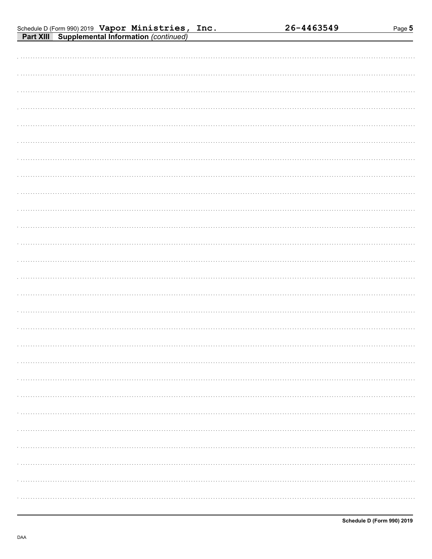| Schedule D (Form 990) 2019 Vapor Ministries, Inc.     |  |  |
|-------------------------------------------------------|--|--|
| <b>Part XIII Supplemental Information (continued)</b> |  |  |

| . |  |  |  |  |
|---|--|--|--|--|
| . |  |  |  |  |
|   |  |  |  |  |
|   |  |  |  |  |
|   |  |  |  |  |
|   |  |  |  |  |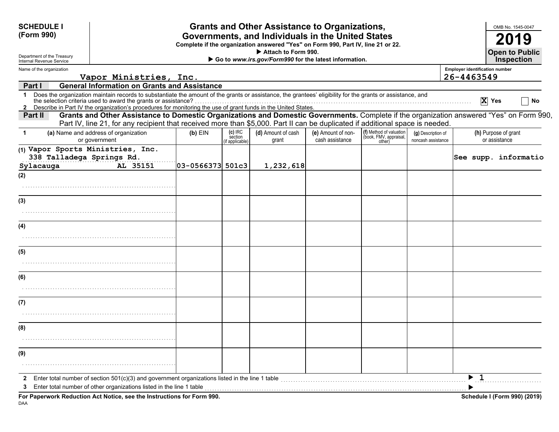| <b>SCHEDULE I</b><br>(Form 990)                                             |                                                                                                                                                                                                                                                                                                                                                                                                                 |                  |                                        | <b>Grants and Other Assistance to Organizations,</b><br>Governments, and Individuals in the United States<br>Complete if the organization answered "Yes" on Form 990, Part IV, line 21 or 22.<br>Attach to Form 990. |                                       |                                                             |                                          | OMB No. 1545-0047<br>2019<br><b>Open to Public</b>                                                                                       |
|-----------------------------------------------------------------------------|-----------------------------------------------------------------------------------------------------------------------------------------------------------------------------------------------------------------------------------------------------------------------------------------------------------------------------------------------------------------------------------------------------------------|------------------|----------------------------------------|----------------------------------------------------------------------------------------------------------------------------------------------------------------------------------------------------------------------|---------------------------------------|-------------------------------------------------------------|------------------------------------------|------------------------------------------------------------------------------------------------------------------------------------------|
| Department of the Treasury<br>Internal Revenue Service                      |                                                                                                                                                                                                                                                                                                                                                                                                                 |                  |                                        | Go to www.irs.gov/Form990 for the latest information.                                                                                                                                                                |                                       |                                                             |                                          | <b>Inspection</b>                                                                                                                        |
| Name of the organization                                                    | Vapor Ministries, Inc.                                                                                                                                                                                                                                                                                                                                                                                          |                  |                                        |                                                                                                                                                                                                                      |                                       |                                                             |                                          | <b>Employer identification number</b><br>26-4463549                                                                                      |
| Part I                                                                      | <b>General Information on Grants and Assistance</b>                                                                                                                                                                                                                                                                                                                                                             |                  |                                        |                                                                                                                                                                                                                      |                                       |                                                             |                                          |                                                                                                                                          |
| $\mathbf 1$                                                                 | Does the organization maintain records to substantiate the amount of the grants or assistance, the grantees' eligibility for the grants or assistance, and<br>the selection criteria used to award the grants or assistance?<br>The Sciencian chief a used to award the grants or assistance?<br>2 Describe in Part IV the organization's procedures for monitoring the use of grant funds in the United States |                  |                                        |                                                                                                                                                                                                                      |                                       |                                                             |                                          | $\overline{X}$ Yes<br>No                                                                                                                 |
| Part II                                                                     | Part IV, line 21, for any recipient that received more than \$5,000. Part II can be duplicated if additional space is needed.                                                                                                                                                                                                                                                                                   |                  |                                        |                                                                                                                                                                                                                      |                                       |                                                             |                                          | Grants and Other Assistance to Domestic Organizations and Domestic Governments. Complete if the organization answered "Yes" on Form 990, |
| $\mathbf 1$                                                                 | (a) Name and address of organization<br>or government                                                                                                                                                                                                                                                                                                                                                           | $(b)$ EIN        | $(c)$ IRC<br>section<br>if applicable) | (d) Amount of cash<br>grant                                                                                                                                                                                          | (e) Amount of non-<br>cash assistance | (f) Method of valuation<br>(book, FMV, appraisal,<br>other) | (g) Description of<br>noncash assistance | (h) Purpose of grant<br>or assistance                                                                                                    |
| (1) Vapor Sports Ministries, Inc.<br>338 Talladega Springs Rd.<br>Sylacauga | AL 35151                                                                                                                                                                                                                                                                                                                                                                                                        | 03-0566373 501c3 |                                        | 1,232,618                                                                                                                                                                                                            |                                       |                                                             |                                          | See supp. informatio                                                                                                                     |
| (2)                                                                         |                                                                                                                                                                                                                                                                                                                                                                                                                 |                  |                                        |                                                                                                                                                                                                                      |                                       |                                                             |                                          |                                                                                                                                          |
| (3)                                                                         |                                                                                                                                                                                                                                                                                                                                                                                                                 |                  |                                        |                                                                                                                                                                                                                      |                                       |                                                             |                                          |                                                                                                                                          |
|                                                                             |                                                                                                                                                                                                                                                                                                                                                                                                                 |                  |                                        |                                                                                                                                                                                                                      |                                       |                                                             |                                          |                                                                                                                                          |
| (4)                                                                         |                                                                                                                                                                                                                                                                                                                                                                                                                 |                  |                                        |                                                                                                                                                                                                                      |                                       |                                                             |                                          |                                                                                                                                          |
| (5)                                                                         |                                                                                                                                                                                                                                                                                                                                                                                                                 |                  |                                        |                                                                                                                                                                                                                      |                                       |                                                             |                                          |                                                                                                                                          |
|                                                                             |                                                                                                                                                                                                                                                                                                                                                                                                                 |                  |                                        |                                                                                                                                                                                                                      |                                       |                                                             |                                          |                                                                                                                                          |
| (6)                                                                         |                                                                                                                                                                                                                                                                                                                                                                                                                 |                  |                                        |                                                                                                                                                                                                                      |                                       |                                                             |                                          |                                                                                                                                          |
|                                                                             |                                                                                                                                                                                                                                                                                                                                                                                                                 |                  |                                        |                                                                                                                                                                                                                      |                                       |                                                             |                                          |                                                                                                                                          |
| (7)                                                                         |                                                                                                                                                                                                                                                                                                                                                                                                                 |                  |                                        |                                                                                                                                                                                                                      |                                       |                                                             |                                          |                                                                                                                                          |
|                                                                             |                                                                                                                                                                                                                                                                                                                                                                                                                 |                  |                                        |                                                                                                                                                                                                                      |                                       |                                                             |                                          |                                                                                                                                          |
| (8)                                                                         |                                                                                                                                                                                                                                                                                                                                                                                                                 |                  |                                        |                                                                                                                                                                                                                      |                                       |                                                             |                                          |                                                                                                                                          |
|                                                                             |                                                                                                                                                                                                                                                                                                                                                                                                                 |                  |                                        |                                                                                                                                                                                                                      |                                       |                                                             |                                          |                                                                                                                                          |
| (9)                                                                         |                                                                                                                                                                                                                                                                                                                                                                                                                 |                  |                                        |                                                                                                                                                                                                                      |                                       |                                                             |                                          |                                                                                                                                          |
|                                                                             |                                                                                                                                                                                                                                                                                                                                                                                                                 |                  |                                        |                                                                                                                                                                                                                      |                                       |                                                             |                                          |                                                                                                                                          |
| 2<br>3                                                                      | Enter total number of section $501(c)(3)$ and government organizations listed in the line 1 table<br>Enter total number of other organizations listed in the line 1 table                                                                                                                                                                                                                                       |                  |                                        |                                                                                                                                                                                                                      |                                       |                                                             |                                          | $\blacktriangleright$ 1                                                                                                                  |
|                                                                             | For Paperwork Reduction Act Notice, see the Instructions for Form 990.                                                                                                                                                                                                                                                                                                                                          |                  |                                        |                                                                                                                                                                                                                      |                                       |                                                             |                                          | Schedule I (Form 990) (2019)                                                                                                             |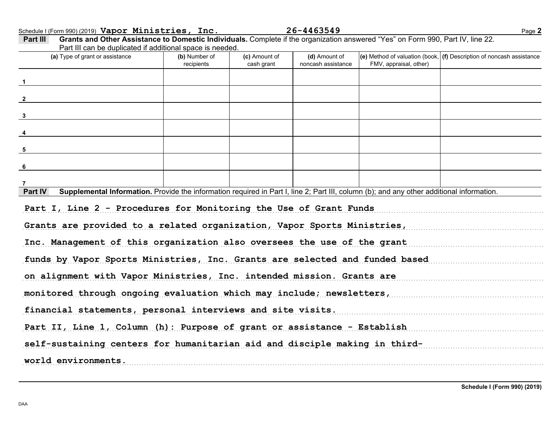Schedule I (Form 990) (2019) Page **2 Vapor Ministries, Inc. 26-4463549**

| (a) Type of grant or assistance                                                                                                                                                                                                                                                                                                                                                                                                                                    | (b) Number of<br>recipients | (c) Amount of<br>cash grant | (d) Amount of<br>noncash assistance | FMV, appraisal, other) | (e) Method of valuation (book, $ $ (f) Description of noncash assistance |
|--------------------------------------------------------------------------------------------------------------------------------------------------------------------------------------------------------------------------------------------------------------------------------------------------------------------------------------------------------------------------------------------------------------------------------------------------------------------|-----------------------------|-----------------------------|-------------------------------------|------------------------|--------------------------------------------------------------------------|
|                                                                                                                                                                                                                                                                                                                                                                                                                                                                    |                             |                             |                                     |                        |                                                                          |
| $\frac{2}{2}$                                                                                                                                                                                                                                                                                                                                                                                                                                                      |                             |                             |                                     |                        |                                                                          |
| $\frac{3}{2}$                                                                                                                                                                                                                                                                                                                                                                                                                                                      |                             |                             |                                     |                        |                                                                          |
|                                                                                                                                                                                                                                                                                                                                                                                                                                                                    |                             |                             |                                     |                        |                                                                          |
| $5\overline{5}$                                                                                                                                                                                                                                                                                                                                                                                                                                                    |                             |                             |                                     |                        |                                                                          |
| $6\phantom{.}6$                                                                                                                                                                                                                                                                                                                                                                                                                                                    |                             |                             |                                     |                        |                                                                          |
|                                                                                                                                                                                                                                                                                                                                                                                                                                                                    |                             |                             |                                     |                        |                                                                          |
|                                                                                                                                                                                                                                                                                                                                                                                                                                                                    |                             |                             |                                     |                        |                                                                          |
| Supplemental Information. Provide the information required in Part I, line 2; Part III, column (b); and any other additional information.                                                                                                                                                                                                                                                                                                                          |                             |                             |                                     |                        |                                                                          |
|                                                                                                                                                                                                                                                                                                                                                                                                                                                                    |                             |                             |                                     |                        |                                                                          |
|                                                                                                                                                                                                                                                                                                                                                                                                                                                                    |                             |                             |                                     |                        |                                                                          |
|                                                                                                                                                                                                                                                                                                                                                                                                                                                                    |                             |                             |                                     |                        |                                                                          |
|                                                                                                                                                                                                                                                                                                                                                                                                                                                                    |                             |                             |                                     |                        |                                                                          |
|                                                                                                                                                                                                                                                                                                                                                                                                                                                                    |                             |                             |                                     |                        |                                                                          |
|                                                                                                                                                                                                                                                                                                                                                                                                                                                                    |                             |                             |                                     |                        |                                                                          |
| Part IV<br>Part I, Line 2 - Procedures for Monitoring the Use of Grant Funds<br>Grants are provided to a related organization, Vapor Sports Ministries,<br>Inc. Management of this organization also oversees the use of the grant<br>funds by Vapor Sports Ministries, Inc. Grants are selected and funded based<br>on alignment with Vapor Ministries, Inc. intended mission. Grants are<br>monitored through ongoing evaluation which may include; newsletters, |                             |                             |                                     |                        |                                                                          |
| financial statements, personal interviews and site visits.                                                                                                                                                                                                                                                                                                                                                                                                         |                             |                             |                                     |                        |                                                                          |
| Part II, Line 1, Column (h): Purpose of grant or assistance - Establish<br>self-sustaining centers for humanitarian aid and disciple making in third-                                                                                                                                                                                                                                                                                                              |                             |                             |                                     |                        |                                                                          |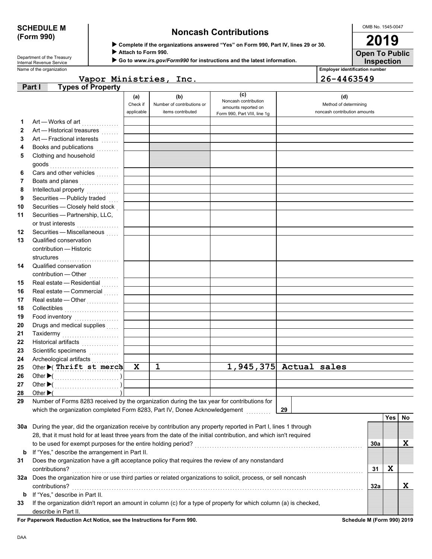# **(Form 990)**

## **SCHEDULE M Noncash Contributions**

OMB No. 1545-0047 **2019**

**Inspection Open To Public**

Attach to Form 990.

▶ Go to www.irs.gov/Form990 for instructions and the latest information.

Name of the organization **Employer identification number Employer identification number** Department of the Treasury<br>Internal Revenue Service

**Vapor Ministries, Inc. 26-4463549**

| (c)<br>(b)<br>(d)<br>(a)<br>Noncash contribution<br>Check if<br>Number of contributions or<br>Method of determining<br>amounts reported on<br>applicable<br>items contributed<br>noncash contribution amounts<br>Form 990, Part VIII, line 1g<br>Art - Works of art<br>1<br>2<br>Art - Historical treasures<br>Art - Fractional interests<br>3<br>Books and publications<br>4<br>Clothing and household<br>5<br>Cars and other vehicles<br>6<br>Boats and planes<br>7<br>Intellectual property<br>8<br>Securities - Publicly traded<br>9<br>Securities - Closely held stock<br>10<br>Securities - Partnership, LLC,<br>11<br>or trust interests<br>Securities - Miscellaneous<br>12<br>Qualified conservation<br>13<br>contribution - Historic<br>structures<br>14<br>Qualified conservation<br>contribution - Other<br>.<br>Real estate - Residential<br>15<br>Real estate - Commercial<br>16<br>Real estate - Other<br>17<br>Collectibles<br>18<br>Food inventory<br>19<br>Drugs and medical supplies<br>20<br>Taxidermy<br>21<br>22<br>Historical artifacts<br>Scientific specimens<br>23<br>24<br>1<br>$1,945,375$ Actual sales<br>Other (Thrift st merch<br>$\mathbf x$<br>25<br>26<br>27<br>Other $\blacktriangleright$ (<br>28<br>Number of Forms 8283 received by the organization during the tax year for contributions for<br>29<br>which the organization completed Form 8283, Part IV, Donee Acknowledgement<br>29<br><b>Yes</b><br>No.<br>30a During the year, did the organization receive by contribution any property reported in Part I, lines 1 through<br>28, that it must hold for at least three years from the date of the initial contribution, and which isn't required<br>X<br>to be used for exempt purposes for the entire holding period?<br>30a<br>If "Yes," describe the arrangement in Part II.<br>b<br>Does the organization have a gift acceptance policy that requires the review of any nonstandard<br>31<br>X<br>31<br>contributions?<br>contributions?<br>32a Does the organization hire or use third parties or related organizations to solicit, process, or sell noncash<br>X<br>contributions?<br>32a<br>If "Yes," describe in Part II.<br>b<br>If the organization didn't report an amount in column (c) for a type of property for which column (a) is checked,<br>33<br>describe in Part II. | <b>Types of Property</b><br>Part I |  |  |  |  |
|------------------------------------------------------------------------------------------------------------------------------------------------------------------------------------------------------------------------------------------------------------------------------------------------------------------------------------------------------------------------------------------------------------------------------------------------------------------------------------------------------------------------------------------------------------------------------------------------------------------------------------------------------------------------------------------------------------------------------------------------------------------------------------------------------------------------------------------------------------------------------------------------------------------------------------------------------------------------------------------------------------------------------------------------------------------------------------------------------------------------------------------------------------------------------------------------------------------------------------------------------------------------------------------------------------------------------------------------------------------------------------------------------------------------------------------------------------------------------------------------------------------------------------------------------------------------------------------------------------------------------------------------------------------------------------------------------------------------------------------------------------------------------------------------------------------------------------------------------------------------------------------------------------------------------------------------------------------------------------------------------------------------------------------------------------------------------------------------------------------------------------------------------------------------------------------------------------------------------------------------------------------------------------------------------------------------------------------|------------------------------------|--|--|--|--|
|                                                                                                                                                                                                                                                                                                                                                                                                                                                                                                                                                                                                                                                                                                                                                                                                                                                                                                                                                                                                                                                                                                                                                                                                                                                                                                                                                                                                                                                                                                                                                                                                                                                                                                                                                                                                                                                                                                                                                                                                                                                                                                                                                                                                                                                                                                                                          |                                    |  |  |  |  |
|                                                                                                                                                                                                                                                                                                                                                                                                                                                                                                                                                                                                                                                                                                                                                                                                                                                                                                                                                                                                                                                                                                                                                                                                                                                                                                                                                                                                                                                                                                                                                                                                                                                                                                                                                                                                                                                                                                                                                                                                                                                                                                                                                                                                                                                                                                                                          |                                    |  |  |  |  |
|                                                                                                                                                                                                                                                                                                                                                                                                                                                                                                                                                                                                                                                                                                                                                                                                                                                                                                                                                                                                                                                                                                                                                                                                                                                                                                                                                                                                                                                                                                                                                                                                                                                                                                                                                                                                                                                                                                                                                                                                                                                                                                                                                                                                                                                                                                                                          |                                    |  |  |  |  |
|                                                                                                                                                                                                                                                                                                                                                                                                                                                                                                                                                                                                                                                                                                                                                                                                                                                                                                                                                                                                                                                                                                                                                                                                                                                                                                                                                                                                                                                                                                                                                                                                                                                                                                                                                                                                                                                                                                                                                                                                                                                                                                                                                                                                                                                                                                                                          |                                    |  |  |  |  |
|                                                                                                                                                                                                                                                                                                                                                                                                                                                                                                                                                                                                                                                                                                                                                                                                                                                                                                                                                                                                                                                                                                                                                                                                                                                                                                                                                                                                                                                                                                                                                                                                                                                                                                                                                                                                                                                                                                                                                                                                                                                                                                                                                                                                                                                                                                                                          |                                    |  |  |  |  |
|                                                                                                                                                                                                                                                                                                                                                                                                                                                                                                                                                                                                                                                                                                                                                                                                                                                                                                                                                                                                                                                                                                                                                                                                                                                                                                                                                                                                                                                                                                                                                                                                                                                                                                                                                                                                                                                                                                                                                                                                                                                                                                                                                                                                                                                                                                                                          |                                    |  |  |  |  |
|                                                                                                                                                                                                                                                                                                                                                                                                                                                                                                                                                                                                                                                                                                                                                                                                                                                                                                                                                                                                                                                                                                                                                                                                                                                                                                                                                                                                                                                                                                                                                                                                                                                                                                                                                                                                                                                                                                                                                                                                                                                                                                                                                                                                                                                                                                                                          |                                    |  |  |  |  |
|                                                                                                                                                                                                                                                                                                                                                                                                                                                                                                                                                                                                                                                                                                                                                                                                                                                                                                                                                                                                                                                                                                                                                                                                                                                                                                                                                                                                                                                                                                                                                                                                                                                                                                                                                                                                                                                                                                                                                                                                                                                                                                                                                                                                                                                                                                                                          |                                    |  |  |  |  |
|                                                                                                                                                                                                                                                                                                                                                                                                                                                                                                                                                                                                                                                                                                                                                                                                                                                                                                                                                                                                                                                                                                                                                                                                                                                                                                                                                                                                                                                                                                                                                                                                                                                                                                                                                                                                                                                                                                                                                                                                                                                                                                                                                                                                                                                                                                                                          |                                    |  |  |  |  |
|                                                                                                                                                                                                                                                                                                                                                                                                                                                                                                                                                                                                                                                                                                                                                                                                                                                                                                                                                                                                                                                                                                                                                                                                                                                                                                                                                                                                                                                                                                                                                                                                                                                                                                                                                                                                                                                                                                                                                                                                                                                                                                                                                                                                                                                                                                                                          |                                    |  |  |  |  |
|                                                                                                                                                                                                                                                                                                                                                                                                                                                                                                                                                                                                                                                                                                                                                                                                                                                                                                                                                                                                                                                                                                                                                                                                                                                                                                                                                                                                                                                                                                                                                                                                                                                                                                                                                                                                                                                                                                                                                                                                                                                                                                                                                                                                                                                                                                                                          |                                    |  |  |  |  |
|                                                                                                                                                                                                                                                                                                                                                                                                                                                                                                                                                                                                                                                                                                                                                                                                                                                                                                                                                                                                                                                                                                                                                                                                                                                                                                                                                                                                                                                                                                                                                                                                                                                                                                                                                                                                                                                                                                                                                                                                                                                                                                                                                                                                                                                                                                                                          |                                    |  |  |  |  |
|                                                                                                                                                                                                                                                                                                                                                                                                                                                                                                                                                                                                                                                                                                                                                                                                                                                                                                                                                                                                                                                                                                                                                                                                                                                                                                                                                                                                                                                                                                                                                                                                                                                                                                                                                                                                                                                                                                                                                                                                                                                                                                                                                                                                                                                                                                                                          |                                    |  |  |  |  |
|                                                                                                                                                                                                                                                                                                                                                                                                                                                                                                                                                                                                                                                                                                                                                                                                                                                                                                                                                                                                                                                                                                                                                                                                                                                                                                                                                                                                                                                                                                                                                                                                                                                                                                                                                                                                                                                                                                                                                                                                                                                                                                                                                                                                                                                                                                                                          |                                    |  |  |  |  |
|                                                                                                                                                                                                                                                                                                                                                                                                                                                                                                                                                                                                                                                                                                                                                                                                                                                                                                                                                                                                                                                                                                                                                                                                                                                                                                                                                                                                                                                                                                                                                                                                                                                                                                                                                                                                                                                                                                                                                                                                                                                                                                                                                                                                                                                                                                                                          |                                    |  |  |  |  |
|                                                                                                                                                                                                                                                                                                                                                                                                                                                                                                                                                                                                                                                                                                                                                                                                                                                                                                                                                                                                                                                                                                                                                                                                                                                                                                                                                                                                                                                                                                                                                                                                                                                                                                                                                                                                                                                                                                                                                                                                                                                                                                                                                                                                                                                                                                                                          |                                    |  |  |  |  |
|                                                                                                                                                                                                                                                                                                                                                                                                                                                                                                                                                                                                                                                                                                                                                                                                                                                                                                                                                                                                                                                                                                                                                                                                                                                                                                                                                                                                                                                                                                                                                                                                                                                                                                                                                                                                                                                                                                                                                                                                                                                                                                                                                                                                                                                                                                                                          |                                    |  |  |  |  |
|                                                                                                                                                                                                                                                                                                                                                                                                                                                                                                                                                                                                                                                                                                                                                                                                                                                                                                                                                                                                                                                                                                                                                                                                                                                                                                                                                                                                                                                                                                                                                                                                                                                                                                                                                                                                                                                                                                                                                                                                                                                                                                                                                                                                                                                                                                                                          |                                    |  |  |  |  |
|                                                                                                                                                                                                                                                                                                                                                                                                                                                                                                                                                                                                                                                                                                                                                                                                                                                                                                                                                                                                                                                                                                                                                                                                                                                                                                                                                                                                                                                                                                                                                                                                                                                                                                                                                                                                                                                                                                                                                                                                                                                                                                                                                                                                                                                                                                                                          |                                    |  |  |  |  |
|                                                                                                                                                                                                                                                                                                                                                                                                                                                                                                                                                                                                                                                                                                                                                                                                                                                                                                                                                                                                                                                                                                                                                                                                                                                                                                                                                                                                                                                                                                                                                                                                                                                                                                                                                                                                                                                                                                                                                                                                                                                                                                                                                                                                                                                                                                                                          |                                    |  |  |  |  |
|                                                                                                                                                                                                                                                                                                                                                                                                                                                                                                                                                                                                                                                                                                                                                                                                                                                                                                                                                                                                                                                                                                                                                                                                                                                                                                                                                                                                                                                                                                                                                                                                                                                                                                                                                                                                                                                                                                                                                                                                                                                                                                                                                                                                                                                                                                                                          |                                    |  |  |  |  |
|                                                                                                                                                                                                                                                                                                                                                                                                                                                                                                                                                                                                                                                                                                                                                                                                                                                                                                                                                                                                                                                                                                                                                                                                                                                                                                                                                                                                                                                                                                                                                                                                                                                                                                                                                                                                                                                                                                                                                                                                                                                                                                                                                                                                                                                                                                                                          |                                    |  |  |  |  |
|                                                                                                                                                                                                                                                                                                                                                                                                                                                                                                                                                                                                                                                                                                                                                                                                                                                                                                                                                                                                                                                                                                                                                                                                                                                                                                                                                                                                                                                                                                                                                                                                                                                                                                                                                                                                                                                                                                                                                                                                                                                                                                                                                                                                                                                                                                                                          |                                    |  |  |  |  |
|                                                                                                                                                                                                                                                                                                                                                                                                                                                                                                                                                                                                                                                                                                                                                                                                                                                                                                                                                                                                                                                                                                                                                                                                                                                                                                                                                                                                                                                                                                                                                                                                                                                                                                                                                                                                                                                                                                                                                                                                                                                                                                                                                                                                                                                                                                                                          |                                    |  |  |  |  |
|                                                                                                                                                                                                                                                                                                                                                                                                                                                                                                                                                                                                                                                                                                                                                                                                                                                                                                                                                                                                                                                                                                                                                                                                                                                                                                                                                                                                                                                                                                                                                                                                                                                                                                                                                                                                                                                                                                                                                                                                                                                                                                                                                                                                                                                                                                                                          |                                    |  |  |  |  |
|                                                                                                                                                                                                                                                                                                                                                                                                                                                                                                                                                                                                                                                                                                                                                                                                                                                                                                                                                                                                                                                                                                                                                                                                                                                                                                                                                                                                                                                                                                                                                                                                                                                                                                                                                                                                                                                                                                                                                                                                                                                                                                                                                                                                                                                                                                                                          |                                    |  |  |  |  |
|                                                                                                                                                                                                                                                                                                                                                                                                                                                                                                                                                                                                                                                                                                                                                                                                                                                                                                                                                                                                                                                                                                                                                                                                                                                                                                                                                                                                                                                                                                                                                                                                                                                                                                                                                                                                                                                                                                                                                                                                                                                                                                                                                                                                                                                                                                                                          |                                    |  |  |  |  |
|                                                                                                                                                                                                                                                                                                                                                                                                                                                                                                                                                                                                                                                                                                                                                                                                                                                                                                                                                                                                                                                                                                                                                                                                                                                                                                                                                                                                                                                                                                                                                                                                                                                                                                                                                                                                                                                                                                                                                                                                                                                                                                                                                                                                                                                                                                                                          |                                    |  |  |  |  |
|                                                                                                                                                                                                                                                                                                                                                                                                                                                                                                                                                                                                                                                                                                                                                                                                                                                                                                                                                                                                                                                                                                                                                                                                                                                                                                                                                                                                                                                                                                                                                                                                                                                                                                                                                                                                                                                                                                                                                                                                                                                                                                                                                                                                                                                                                                                                          |                                    |  |  |  |  |
|                                                                                                                                                                                                                                                                                                                                                                                                                                                                                                                                                                                                                                                                                                                                                                                                                                                                                                                                                                                                                                                                                                                                                                                                                                                                                                                                                                                                                                                                                                                                                                                                                                                                                                                                                                                                                                                                                                                                                                                                                                                                                                                                                                                                                                                                                                                                          |                                    |  |  |  |  |
|                                                                                                                                                                                                                                                                                                                                                                                                                                                                                                                                                                                                                                                                                                                                                                                                                                                                                                                                                                                                                                                                                                                                                                                                                                                                                                                                                                                                                                                                                                                                                                                                                                                                                                                                                                                                                                                                                                                                                                                                                                                                                                                                                                                                                                                                                                                                          |                                    |  |  |  |  |
|                                                                                                                                                                                                                                                                                                                                                                                                                                                                                                                                                                                                                                                                                                                                                                                                                                                                                                                                                                                                                                                                                                                                                                                                                                                                                                                                                                                                                                                                                                                                                                                                                                                                                                                                                                                                                                                                                                                                                                                                                                                                                                                                                                                                                                                                                                                                          |                                    |  |  |  |  |
|                                                                                                                                                                                                                                                                                                                                                                                                                                                                                                                                                                                                                                                                                                                                                                                                                                                                                                                                                                                                                                                                                                                                                                                                                                                                                                                                                                                                                                                                                                                                                                                                                                                                                                                                                                                                                                                                                                                                                                                                                                                                                                                                                                                                                                                                                                                                          |                                    |  |  |  |  |
|                                                                                                                                                                                                                                                                                                                                                                                                                                                                                                                                                                                                                                                                                                                                                                                                                                                                                                                                                                                                                                                                                                                                                                                                                                                                                                                                                                                                                                                                                                                                                                                                                                                                                                                                                                                                                                                                                                                                                                                                                                                                                                                                                                                                                                                                                                                                          |                                    |  |  |  |  |
|                                                                                                                                                                                                                                                                                                                                                                                                                                                                                                                                                                                                                                                                                                                                                                                                                                                                                                                                                                                                                                                                                                                                                                                                                                                                                                                                                                                                                                                                                                                                                                                                                                                                                                                                                                                                                                                                                                                                                                                                                                                                                                                                                                                                                                                                                                                                          |                                    |  |  |  |  |
|                                                                                                                                                                                                                                                                                                                                                                                                                                                                                                                                                                                                                                                                                                                                                                                                                                                                                                                                                                                                                                                                                                                                                                                                                                                                                                                                                                                                                                                                                                                                                                                                                                                                                                                                                                                                                                                                                                                                                                                                                                                                                                                                                                                                                                                                                                                                          |                                    |  |  |  |  |
|                                                                                                                                                                                                                                                                                                                                                                                                                                                                                                                                                                                                                                                                                                                                                                                                                                                                                                                                                                                                                                                                                                                                                                                                                                                                                                                                                                                                                                                                                                                                                                                                                                                                                                                                                                                                                                                                                                                                                                                                                                                                                                                                                                                                                                                                                                                                          |                                    |  |  |  |  |
|                                                                                                                                                                                                                                                                                                                                                                                                                                                                                                                                                                                                                                                                                                                                                                                                                                                                                                                                                                                                                                                                                                                                                                                                                                                                                                                                                                                                                                                                                                                                                                                                                                                                                                                                                                                                                                                                                                                                                                                                                                                                                                                                                                                                                                                                                                                                          |                                    |  |  |  |  |
|                                                                                                                                                                                                                                                                                                                                                                                                                                                                                                                                                                                                                                                                                                                                                                                                                                                                                                                                                                                                                                                                                                                                                                                                                                                                                                                                                                                                                                                                                                                                                                                                                                                                                                                                                                                                                                                                                                                                                                                                                                                                                                                                                                                                                                                                                                                                          |                                    |  |  |  |  |
|                                                                                                                                                                                                                                                                                                                                                                                                                                                                                                                                                                                                                                                                                                                                                                                                                                                                                                                                                                                                                                                                                                                                                                                                                                                                                                                                                                                                                                                                                                                                                                                                                                                                                                                                                                                                                                                                                                                                                                                                                                                                                                                                                                                                                                                                                                                                          |                                    |  |  |  |  |
|                                                                                                                                                                                                                                                                                                                                                                                                                                                                                                                                                                                                                                                                                                                                                                                                                                                                                                                                                                                                                                                                                                                                                                                                                                                                                                                                                                                                                                                                                                                                                                                                                                                                                                                                                                                                                                                                                                                                                                                                                                                                                                                                                                                                                                                                                                                                          |                                    |  |  |  |  |
|                                                                                                                                                                                                                                                                                                                                                                                                                                                                                                                                                                                                                                                                                                                                                                                                                                                                                                                                                                                                                                                                                                                                                                                                                                                                                                                                                                                                                                                                                                                                                                                                                                                                                                                                                                                                                                                                                                                                                                                                                                                                                                                                                                                                                                                                                                                                          |                                    |  |  |  |  |
|                                                                                                                                                                                                                                                                                                                                                                                                                                                                                                                                                                                                                                                                                                                                                                                                                                                                                                                                                                                                                                                                                                                                                                                                                                                                                                                                                                                                                                                                                                                                                                                                                                                                                                                                                                                                                                                                                                                                                                                                                                                                                                                                                                                                                                                                                                                                          |                                    |  |  |  |  |
|                                                                                                                                                                                                                                                                                                                                                                                                                                                                                                                                                                                                                                                                                                                                                                                                                                                                                                                                                                                                                                                                                                                                                                                                                                                                                                                                                                                                                                                                                                                                                                                                                                                                                                                                                                                                                                                                                                                                                                                                                                                                                                                                                                                                                                                                                                                                          |                                    |  |  |  |  |
|                                                                                                                                                                                                                                                                                                                                                                                                                                                                                                                                                                                                                                                                                                                                                                                                                                                                                                                                                                                                                                                                                                                                                                                                                                                                                                                                                                                                                                                                                                                                                                                                                                                                                                                                                                                                                                                                                                                                                                                                                                                                                                                                                                                                                                                                                                                                          |                                    |  |  |  |  |
|                                                                                                                                                                                                                                                                                                                                                                                                                                                                                                                                                                                                                                                                                                                                                                                                                                                                                                                                                                                                                                                                                                                                                                                                                                                                                                                                                                                                                                                                                                                                                                                                                                                                                                                                                                                                                                                                                                                                                                                                                                                                                                                                                                                                                                                                                                                                          |                                    |  |  |  |  |
|                                                                                                                                                                                                                                                                                                                                                                                                                                                                                                                                                                                                                                                                                                                                                                                                                                                                                                                                                                                                                                                                                                                                                                                                                                                                                                                                                                                                                                                                                                                                                                                                                                                                                                                                                                                                                                                                                                                                                                                                                                                                                                                                                                                                                                                                                                                                          |                                    |  |  |  |  |
|                                                                                                                                                                                                                                                                                                                                                                                                                                                                                                                                                                                                                                                                                                                                                                                                                                                                                                                                                                                                                                                                                                                                                                                                                                                                                                                                                                                                                                                                                                                                                                                                                                                                                                                                                                                                                                                                                                                                                                                                                                                                                                                                                                                                                                                                                                                                          |                                    |  |  |  |  |
|                                                                                                                                                                                                                                                                                                                                                                                                                                                                                                                                                                                                                                                                                                                                                                                                                                                                                                                                                                                                                                                                                                                                                                                                                                                                                                                                                                                                                                                                                                                                                                                                                                                                                                                                                                                                                                                                                                                                                                                                                                                                                                                                                                                                                                                                                                                                          |                                    |  |  |  |  |
|                                                                                                                                                                                                                                                                                                                                                                                                                                                                                                                                                                                                                                                                                                                                                                                                                                                                                                                                                                                                                                                                                                                                                                                                                                                                                                                                                                                                                                                                                                                                                                                                                                                                                                                                                                                                                                                                                                                                                                                                                                                                                                                                                                                                                                                                                                                                          |                                    |  |  |  |  |

**For Paperwork Reduction Act Notice, see the Instructions for Form 990. Schedule M (Form 990) 2019**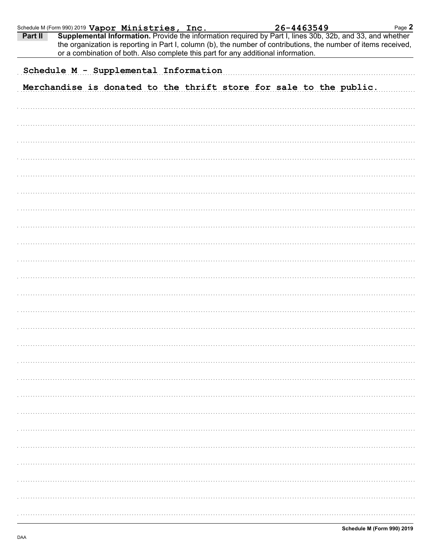| Schedule M (Form 990) 2019 Vapor Ministries, Inc. |                                       |  |  |                                                                                   | 26-4463549 |  | Page 2                                                                                                                                                                                                                       |
|---------------------------------------------------|---------------------------------------|--|--|-----------------------------------------------------------------------------------|------------|--|------------------------------------------------------------------------------------------------------------------------------------------------------------------------------------------------------------------------------|
| Part II                                           |                                       |  |  | or a combination of both. Also complete this part for any additional information. |            |  | Supplemental Information. Provide the information required by Part I, lines 30b, 32b, and 33, and whether<br>the organization is reporting in Part I, column (b), the number of contributions, the number of items received, |
|                                                   | Schedule M - Supplemental Information |  |  |                                                                                   |            |  |                                                                                                                                                                                                                              |
|                                                   |                                       |  |  |                                                                                   |            |  |                                                                                                                                                                                                                              |
|                                                   |                                       |  |  | Merchandise is donated to the thrift store for sale to the public.                |            |  |                                                                                                                                                                                                                              |
|                                                   |                                       |  |  |                                                                                   |            |  |                                                                                                                                                                                                                              |
|                                                   |                                       |  |  |                                                                                   |            |  |                                                                                                                                                                                                                              |
|                                                   |                                       |  |  |                                                                                   |            |  |                                                                                                                                                                                                                              |
|                                                   |                                       |  |  |                                                                                   |            |  |                                                                                                                                                                                                                              |
|                                                   |                                       |  |  |                                                                                   |            |  |                                                                                                                                                                                                                              |
|                                                   |                                       |  |  |                                                                                   |            |  |                                                                                                                                                                                                                              |
|                                                   |                                       |  |  |                                                                                   |            |  |                                                                                                                                                                                                                              |
|                                                   |                                       |  |  |                                                                                   |            |  |                                                                                                                                                                                                                              |
|                                                   |                                       |  |  |                                                                                   |            |  |                                                                                                                                                                                                                              |
|                                                   |                                       |  |  |                                                                                   |            |  |                                                                                                                                                                                                                              |
|                                                   |                                       |  |  |                                                                                   |            |  |                                                                                                                                                                                                                              |
|                                                   |                                       |  |  |                                                                                   |            |  |                                                                                                                                                                                                                              |
|                                                   |                                       |  |  |                                                                                   |            |  |                                                                                                                                                                                                                              |
|                                                   |                                       |  |  |                                                                                   |            |  |                                                                                                                                                                                                                              |
|                                                   |                                       |  |  |                                                                                   |            |  |                                                                                                                                                                                                                              |
|                                                   |                                       |  |  |                                                                                   |            |  |                                                                                                                                                                                                                              |
|                                                   |                                       |  |  |                                                                                   |            |  |                                                                                                                                                                                                                              |
|                                                   |                                       |  |  |                                                                                   |            |  |                                                                                                                                                                                                                              |
|                                                   |                                       |  |  |                                                                                   |            |  |                                                                                                                                                                                                                              |
|                                                   |                                       |  |  |                                                                                   |            |  |                                                                                                                                                                                                                              |
|                                                   |                                       |  |  |                                                                                   |            |  |                                                                                                                                                                                                                              |
|                                                   |                                       |  |  |                                                                                   |            |  |                                                                                                                                                                                                                              |
|                                                   |                                       |  |  |                                                                                   |            |  |                                                                                                                                                                                                                              |
|                                                   |                                       |  |  |                                                                                   |            |  |                                                                                                                                                                                                                              |
|                                                   |                                       |  |  |                                                                                   |            |  |                                                                                                                                                                                                                              |
|                                                   |                                       |  |  |                                                                                   |            |  |                                                                                                                                                                                                                              |
|                                                   |                                       |  |  |                                                                                   |            |  |                                                                                                                                                                                                                              |
|                                                   |                                       |  |  |                                                                                   |            |  |                                                                                                                                                                                                                              |
|                                                   |                                       |  |  |                                                                                   |            |  |                                                                                                                                                                                                                              |
|                                                   |                                       |  |  |                                                                                   |            |  |                                                                                                                                                                                                                              |
|                                                   |                                       |  |  |                                                                                   |            |  |                                                                                                                                                                                                                              |
|                                                   |                                       |  |  |                                                                                   |            |  |                                                                                                                                                                                                                              |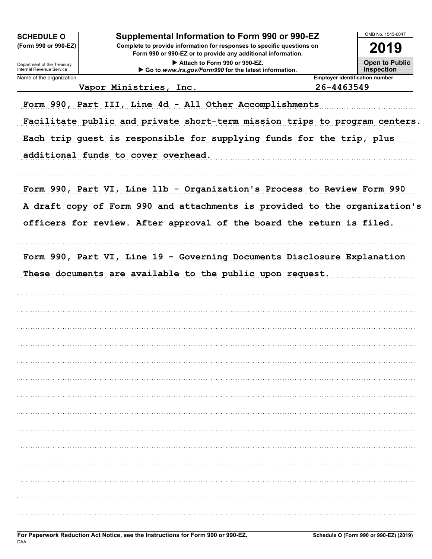| <b>SCHEDULE O</b><br>(Form 990 or 990-EZ)<br>Department of the Treasury<br>Internal Revenue Service | Supplemental Information to Form 990 or 990-EZ<br>Complete to provide information for responses to specific questions on<br>Form 990 or 990-EZ or to provide any additional information.<br>Attach to Form 990 or 990-EZ.<br>Go to www.irs.gov/Form990 for the latest information. |            | OMB No. 1545-0047<br>2019<br><b>Open to Public</b><br><b>Inspection</b> |
|-----------------------------------------------------------------------------------------------------|------------------------------------------------------------------------------------------------------------------------------------------------------------------------------------------------------------------------------------------------------------------------------------|------------|-------------------------------------------------------------------------|
| Name of the organization                                                                            |                                                                                                                                                                                                                                                                                    |            | <b>Employer identification number</b>                                   |
|                                                                                                     | Vapor Ministries, Inc.                                                                                                                                                                                                                                                             | 26-4463549 |                                                                         |
|                                                                                                     | Form 990, Part III, Line 4d - All Other Accomplishments<br>Facilitate public and private short-term mission trips to program centers.<br>Each trip guest is responsible for supplying funds for the trip, plus<br>additional funds to cover overhead.                              |            |                                                                         |
|                                                                                                     | Form 990, Part VI, Line 11b - Organization's Process to Review Form 990<br>A draft copy of Form 990 and attachments is provided to the organization's<br>officers for review. After approval of the board the return is filed.                                                     |            |                                                                         |
|                                                                                                     | Form 990, Part VI, Line 19 - Governing Documents Disclosure Explanation<br>These documents are available to the public upon request.                                                                                                                                               |            |                                                                         |
|                                                                                                     |                                                                                                                                                                                                                                                                                    |            |                                                                         |
|                                                                                                     |                                                                                                                                                                                                                                                                                    |            |                                                                         |
|                                                                                                     |                                                                                                                                                                                                                                                                                    |            |                                                                         |
|                                                                                                     |                                                                                                                                                                                                                                                                                    |            |                                                                         |
|                                                                                                     |                                                                                                                                                                                                                                                                                    |            |                                                                         |
|                                                                                                     |                                                                                                                                                                                                                                                                                    |            |                                                                         |
|                                                                                                     |                                                                                                                                                                                                                                                                                    |            |                                                                         |
|                                                                                                     |                                                                                                                                                                                                                                                                                    |            |                                                                         |
|                                                                                                     |                                                                                                                                                                                                                                                                                    |            |                                                                         |
|                                                                                                     |                                                                                                                                                                                                                                                                                    |            |                                                                         |
|                                                                                                     |                                                                                                                                                                                                                                                                                    |            |                                                                         |
|                                                                                                     |                                                                                                                                                                                                                                                                                    |            |                                                                         |
|                                                                                                     |                                                                                                                                                                                                                                                                                    |            |                                                                         |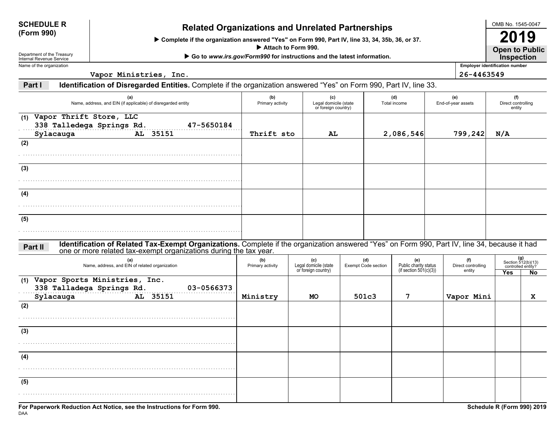| <b>SCHEDULE R</b>                |  |
|----------------------------------|--|
| $\Gamma$ <sub>Corm</sub> $QQ(1)$ |  |

# **(Form 990) Related Organizations and Unrelated Partnerships**

▶ Complete if the organization answered "Yes" on Form 990, Part IV, line 33, 34, 35b, 36, or 37.

▶ Attach to Form 990.

▶ Go to *www.irs.gov/Form990* for instructions and the latest information.

Department of the Treasury Internal Revenue ServiceName of the organization

**Vapor Ministries, Inc. 26-4463549**

**Employer identification number Open to Public Inspection**

**Part IIdentification of Disregarded Entities.** Complete if the organization answered "Yes" on Form 990, Part IV, line 33.

| (a)<br>Name, address, and EIN (if applicable) of disregarded entity                                                                                                                                                           | (b)<br>Primary activity | (c)<br>Legal domicile (state<br>or foreign country) |                            | (d)<br>Total income |                                                       | (e)<br>End-of-year assets |                              | (f)<br>Direct controlling<br>entity                      |             |
|-------------------------------------------------------------------------------------------------------------------------------------------------------------------------------------------------------------------------------|-------------------------|-----------------------------------------------------|----------------------------|---------------------|-------------------------------------------------------|---------------------------|------------------------------|----------------------------------------------------------|-------------|
| (1) Vapor Thrift Store, LLC                                                                                                                                                                                                   |                         |                                                     |                            |                     |                                                       |                           |                              |                                                          |             |
| 338 Talledega Springs Rd.                                                                                                                                                                                                     |                         |                                                     |                            |                     |                                                       |                           |                              |                                                          |             |
| $\underbrace{47-5650184}_{\text{AL}}$<br>Sylacauga                                                                                                                                                                            | Thrift sto              | AL                                                  |                            |                     | 2,086,546                                             |                           | 799, 242                     | N/A                                                      |             |
| (2)                                                                                                                                                                                                                           |                         |                                                     |                            |                     |                                                       |                           |                              |                                                          |             |
|                                                                                                                                                                                                                               |                         |                                                     |                            |                     |                                                       |                           |                              |                                                          |             |
| (3)                                                                                                                                                                                                                           |                         |                                                     |                            |                     |                                                       |                           |                              |                                                          |             |
|                                                                                                                                                                                                                               |                         |                                                     |                            |                     |                                                       |                           |                              |                                                          |             |
| (4)                                                                                                                                                                                                                           |                         |                                                     |                            |                     |                                                       |                           |                              |                                                          |             |
|                                                                                                                                                                                                                               |                         |                                                     |                            |                     |                                                       |                           |                              |                                                          |             |
| (5)                                                                                                                                                                                                                           |                         |                                                     |                            |                     |                                                       |                           |                              |                                                          |             |
|                                                                                                                                                                                                                               |                         |                                                     |                            |                     |                                                       |                           |                              |                                                          |             |
| Identification of Related Tax-Exempt Organizations. Complete if the organization answered "Yes" on Form 990, Part IV, line 34, because it had<br>one or more related tax-exempt organizations during the tax year.<br>Part II |                         |                                                     |                            |                     |                                                       |                           |                              |                                                          |             |
| (a)                                                                                                                                                                                                                           | (b)                     | (c)                                                 | (d)                        |                     |                                                       |                           | (f)                          |                                                          |             |
| Name, address, and EIN of related organization                                                                                                                                                                                | Primary activity        | Legal domicile (state<br>or foreign country)        | <b>Exempt Code section</b> |                     | (e)<br>Public charity status<br>(f section 501(c)(3)) |                           | Direct controlling<br>entity | $(g)$<br>Section 512(b)(13)<br>controlled entity?<br>Yes | <b>No</b>   |
| (1) Vapor Sports Ministries, Inc.<br>338 Talladega Springs Rd.<br>03-0566373                                                                                                                                                  |                         |                                                     |                            |                     |                                                       |                           |                              |                                                          |             |
| AL 35151<br>Sylacauga                                                                                                                                                                                                         | Ministry                | <b>MO</b>                                           | 501c3                      |                     | 7                                                     |                           | Vapor Mini                   |                                                          | $\mathbf x$ |
| (2)                                                                                                                                                                                                                           |                         |                                                     |                            |                     |                                                       |                           |                              |                                                          |             |
|                                                                                                                                                                                                                               |                         |                                                     |                            |                     |                                                       |                           |                              |                                                          |             |
| (3)                                                                                                                                                                                                                           |                         |                                                     |                            |                     |                                                       |                           |                              |                                                          |             |
|                                                                                                                                                                                                                               |                         |                                                     |                            |                     |                                                       |                           |                              |                                                          |             |
| (4)                                                                                                                                                                                                                           |                         |                                                     |                            |                     |                                                       |                           |                              |                                                          |             |
|                                                                                                                                                                                                                               |                         |                                                     |                            |                     |                                                       |                           |                              |                                                          |             |
| (5)                                                                                                                                                                                                                           |                         |                                                     |                            |                     |                                                       |                           |                              |                                                          |             |
|                                                                                                                                                                                                                               |                         |                                                     |                            |                     |                                                       |                           |                              |                                                          |             |
|                                                                                                                                                                                                                               |                         |                                                     |                            |                     |                                                       |                           |                              |                                                          |             |

OMB No. 1545-0047

**2019**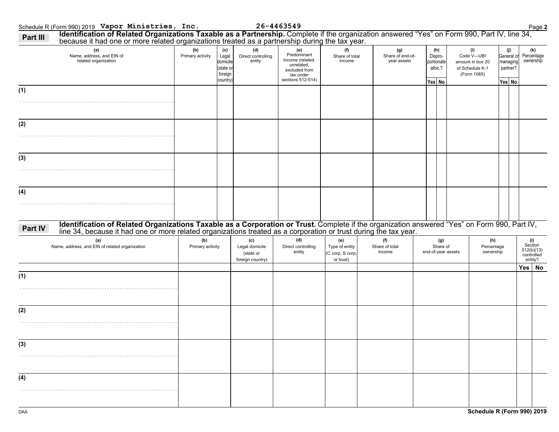|         | because it had one or more related organizations treated as a partnership during the tax year.<br>(a)                                                                                                                          | (b)                     | (c)                                                   | (d)                                                    | (e)                                                                                              | (f)                                                    | (g)                             | (h)                                        | (i)                                                              | (j)                                          | (k)                                                   |
|---------|--------------------------------------------------------------------------------------------------------------------------------------------------------------------------------------------------------------------------------|-------------------------|-------------------------------------------------------|--------------------------------------------------------|--------------------------------------------------------------------------------------------------|--------------------------------------------------------|---------------------------------|--------------------------------------------|------------------------------------------------------------------|----------------------------------------------|-------------------------------------------------------|
|         | Name, address, and EIN of<br>related organization                                                                                                                                                                              | Primary activity        | Legal<br>domicile<br>(state or<br>foreign<br>country) | Direct controlling<br>entity                           | Predominant<br>income (related,<br>unrelated,<br>excluded from<br>tax under<br>sections 512-514) | Share of total<br>income                               | Share of end-of-<br>year assets | Dispro-<br>portionate<br>alloc.?<br>Yes No | Code V-UBI<br>amount in box 20<br>of Schedule K-1<br>(Form 1065) | General or<br>managing<br>partner?<br>Yes No | Percentage<br>ownership                               |
| (1)     |                                                                                                                                                                                                                                |                         |                                                       |                                                        |                                                                                                  |                                                        |                                 |                                            |                                                                  |                                              |                                                       |
|         |                                                                                                                                                                                                                                |                         |                                                       |                                                        |                                                                                                  |                                                        |                                 |                                            |                                                                  |                                              |                                                       |
| (2)     |                                                                                                                                                                                                                                |                         |                                                       |                                                        |                                                                                                  |                                                        |                                 |                                            |                                                                  |                                              |                                                       |
|         |                                                                                                                                                                                                                                |                         |                                                       |                                                        |                                                                                                  |                                                        |                                 |                                            |                                                                  |                                              |                                                       |
| (3)     |                                                                                                                                                                                                                                |                         |                                                       |                                                        |                                                                                                  |                                                        |                                 |                                            |                                                                  |                                              |                                                       |
|         |                                                                                                                                                                                                                                |                         |                                                       |                                                        |                                                                                                  |                                                        |                                 |                                            |                                                                  |                                              |                                                       |
| (4)     |                                                                                                                                                                                                                                |                         |                                                       |                                                        |                                                                                                  |                                                        |                                 |                                            |                                                                  |                                              |                                                       |
|         |                                                                                                                                                                                                                                |                         |                                                       |                                                        |                                                                                                  |                                                        |                                 |                                            |                                                                  |                                              |                                                       |
| Part IV | Identification of Related Organizations Taxable as a Corporation or Trust. Complete if the organization answered "Yes" on Form 990, Part IV, line 34, because it had one or more related organizations treated as a corporatio |                         |                                                       |                                                        |                                                                                                  |                                                        |                                 |                                            |                                                                  |                                              |                                                       |
|         | (a)<br>Name, address, and EIN of related organization                                                                                                                                                                          | (b)<br>Primary activity |                                                       | (c)<br>Legal domicile<br>(state or<br>foreign country) | (d)<br>Direct controlling<br>entity                                                              | (e)<br>Type of entity<br>(C corp, S corp,<br>or trust) | (f)<br>Share of total<br>income | (g)<br>Share of<br>end-of-year assets      | (h)<br>Percentage<br>ownership                                   |                                              | (i)<br>Section<br>512(b)(13)<br>controlled<br>entity? |
|         |                                                                                                                                                                                                                                |                         |                                                       |                                                        |                                                                                                  |                                                        |                                 |                                            |                                                                  |                                              | Yes No                                                |
| (1)     |                                                                                                                                                                                                                                |                         |                                                       |                                                        |                                                                                                  |                                                        |                                 |                                            |                                                                  |                                              |                                                       |
|         |                                                                                                                                                                                                                                |                         |                                                       |                                                        |                                                                                                  |                                                        |                                 |                                            |                                                                  |                                              |                                                       |
| (2)     |                                                                                                                                                                                                                                |                         |                                                       |                                                        |                                                                                                  |                                                        |                                 |                                            |                                                                  |                                              |                                                       |
|         |                                                                                                                                                                                                                                |                         |                                                       |                                                        |                                                                                                  |                                                        |                                 |                                            |                                                                  |                                              |                                                       |
|         |                                                                                                                                                                                                                                |                         |                                                       |                                                        |                                                                                                  |                                                        |                                 |                                            |                                                                  |                                              |                                                       |
| (3)     |                                                                                                                                                                                                                                |                         |                                                       |                                                        |                                                                                                  |                                                        |                                 |                                            |                                                                  |                                              |                                                       |
|         |                                                                                                                                                                                                                                |                         |                                                       |                                                        |                                                                                                  |                                                        |                                 |                                            |                                                                  |                                              |                                                       |
| (4)     |                                                                                                                                                                                                                                |                         |                                                       |                                                        |                                                                                                  |                                                        |                                 |                                            |                                                                  |                                              |                                                       |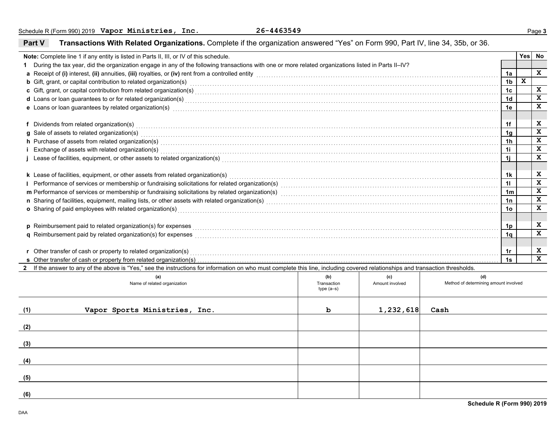DAA

|     | Note: Complete line 1 if any entity is listed in Parts II, III, or IV of this schedule.                                                                                                                                             |                    |                        |                                              |                | Yes | No           |
|-----|-------------------------------------------------------------------------------------------------------------------------------------------------------------------------------------------------------------------------------------|--------------------|------------------------|----------------------------------------------|----------------|-----|--------------|
|     | During the tax year, did the organization engage in any of the following transactions with one or more related organizations listed in Parts II-IV?                                                                                 |                    |                        |                                              |                |     |              |
|     | a Receipt of (i) interest, (ii) annuities, (iii) royalties, or (iv) rent from a controlled entity [1] research controlled entity resumed and the subsequence of (i) interest, (ii) annuities, (iii) royalties, or (iv) rent fr      |                    |                        |                                              | 1a             |     | X            |
|     | <b>b</b> Gift, grant, or capital contribution to related organization(s) enconverse contained and contained and contribution to related organization(s) enconverse contained and contained and contained and contained and containe |                    |                        |                                              | 1 <sub>b</sub> | X   |              |
|     |                                                                                                                                                                                                                                     |                    |                        |                                              | 1 <sub>c</sub> |     | $\mathbf x$  |
|     | d Loans or loan guarantees to or for related organization(s) Material Annumeron and the content of the content of the content of the content of the content of the content of the content of the content of the content of the      |                    |                        |                                              | 1 <sub>d</sub> |     | $\mathbf x$  |
|     | e Loans or loan guarantees by related organization(s) encourance contained and contained a contained a contained and contained a contained a contained a contained a contact the contact of the contact of contact a contact o      |                    |                        |                                              | 1e             |     | $\mathbf{x}$ |
|     |                                                                                                                                                                                                                                     |                    |                        |                                              |                |     |              |
|     | f Dividends from related organization(s) encourance contains a substantial container and providends from related organization(s)                                                                                                    |                    |                        |                                              | 1f             |     | X            |
|     | g Sale of assets to related organization(s)<br>and the contract contract contract contract contract contract contract contract contract contract contract contract contract contract contract contract contract contract contrac    |                    |                        |                                              | 1 <sub>q</sub> |     | $\mathbf x$  |
|     | h Purchase of assets from related organization(s) encourance contains and contains a container and container and container and container and container and container and container and container and container and container a      |                    |                        |                                              | 1 <sub>h</sub> |     | $\mathbf x$  |
|     | i Exchange of assets with related organization(s) encourance contains an according to the container and according to the container and the contact of the contact of the contact of the contact of the contact of the contact       |                    |                        |                                              | 1i             |     | X            |
|     | j Lease of facilities, equipment, or other assets to related organization(s) Materian material content content to the response of facilities, equipment, or other assets to related organization(s) Materian material content       |                    |                        |                                              | 1i             |     | X            |
|     |                                                                                                                                                                                                                                     |                    |                        |                                              |                |     |              |
|     | k Lease of facilities, equipment, or other assets from related organization(s) Materian and the content of the content of facilities equipment, or other assets from related organization(s)                                        |                    |                        |                                              | 1k             |     | X            |
|     |                                                                                                                                                                                                                                     |                    |                        |                                              | 11             |     | $\mathbf{x}$ |
|     |                                                                                                                                                                                                                                     |                    |                        |                                              | 1 <sub>m</sub> |     | $\mathbf x$  |
|     |                                                                                                                                                                                                                                     |                    |                        |                                              | 1n             |     | X            |
|     |                                                                                                                                                                                                                                     |                    |                        |                                              | 1 <sub>o</sub> |     | $\mathbf x$  |
|     | o Sharing of paid employees with related organization(s) Material Annual Community of Sharing of paid employees with related organization(s) Material Annual Community of Sharing of paid employees with related organization(      |                    |                        |                                              |                |     |              |
|     |                                                                                                                                                                                                                                     |                    |                        |                                              |                |     | X            |
|     | p Reimbursement paid to related organization(s) for expenses <b>constructs</b> and construct the construction of the set of the construction of the construction of the construction of the construction of the construction of the |                    |                        |                                              | 1p             |     | $\mathbf{x}$ |
|     |                                                                                                                                                                                                                                     |                    |                        |                                              | 1 <sub>a</sub> |     |              |
|     |                                                                                                                                                                                                                                     |                    |                        |                                              |                |     |              |
|     | r Other transfer of cash or property to related organization(s)                                                                                                                                                                     |                    |                        |                                              | 1r             |     | X            |
|     | s Other transfer of cash or property from related organization(s).                                                                                                                                                                  |                    |                        |                                              | 1s             |     | $\mathbf{x}$ |
|     | 2 If the answer to any of the above is "Yes," see the instructions for information on who must complete this line, including covered relationships and transaction thresholds.                                                      |                    |                        |                                              |                |     |              |
|     | (a)<br>Name of related organization                                                                                                                                                                                                 | (b)<br>Transaction | (c)<br>Amount involved | (d)<br>Method of determining amount involved |                |     |              |
|     |                                                                                                                                                                                                                                     | $type(a-s)$        |                        |                                              |                |     |              |
|     |                                                                                                                                                                                                                                     |                    |                        |                                              |                |     |              |
|     |                                                                                                                                                                                                                                     |                    |                        |                                              |                |     |              |
| (1) | Vapor Sports Ministries, Inc.                                                                                                                                                                                                       | b                  | 1,232,618              | Cash                                         |                |     |              |
|     |                                                                                                                                                                                                                                     |                    |                        |                                              |                |     |              |
| (2) |                                                                                                                                                                                                                                     |                    |                        |                                              |                |     |              |
|     |                                                                                                                                                                                                                                     |                    |                        |                                              |                |     |              |
| (3) |                                                                                                                                                                                                                                     |                    |                        |                                              |                |     |              |
|     |                                                                                                                                                                                                                                     |                    |                        |                                              |                |     |              |
| (4) |                                                                                                                                                                                                                                     |                    |                        |                                              |                |     |              |
|     |                                                                                                                                                                                                                                     |                    |                        |                                              |                |     |              |
| (5) |                                                                                                                                                                                                                                     |                    |                        |                                              |                |     |              |
|     |                                                                                                                                                                                                                                     |                    |                        |                                              |                |     |              |
| (6) |                                                                                                                                                                                                                                     |                    |                        |                                              |                |     |              |

#### **Part VTransactions With Related Organizations.** Complete if the organization answered "Yes" on Form 990, Part IV, line 34, 35b, or 36.

**Schedule R (Form 990) 2019**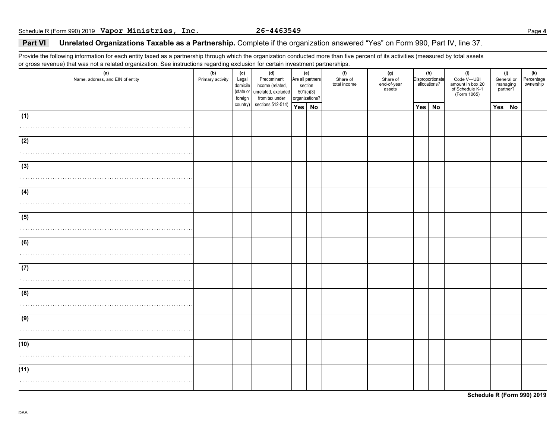#### **Part VI Unrelated Organizations Taxable as a Partnership.** Complete if the organization answered "Yes" on Form 990, Part IV, line 37.

Provide the following information for each entity taxed as a partnership through which the organization conducted more than five percent of its activities (measured by total assets or gross revenue) that was not a related organization. See instructions regarding exclusion for certain investment partnerships.

| (a)<br>Name, address, and EIN of entity | ັ<br>(b)<br>Primary activity | (c)<br>Legal<br>domicile<br>foreign | (d)<br>Predominant<br>income (related,<br>(state or unrelated, excluded<br>from tax under | (e)<br>Are all partners<br>section<br>501(c)(3)<br>organizations? |  | (f)<br>Share of<br>total income | (g)<br>Share of<br>end-of-year<br>assets |     | (h)<br>Disproportionate<br>allocations? | (i)<br>Code V-UBI<br>amount in box 20<br>of Schedule K-1<br>(Form 1065) | (j)<br>General or<br>managing<br>partner? |    | (k)<br>Percentage<br>ownership |
|-----------------------------------------|------------------------------|-------------------------------------|-------------------------------------------------------------------------------------------|-------------------------------------------------------------------|--|---------------------------------|------------------------------------------|-----|-----------------------------------------|-------------------------------------------------------------------------|-------------------------------------------|----|--------------------------------|
|                                         |                              | country)                            | sections 512-514)                                                                         | Yes No                                                            |  |                                 |                                          | Yes | No                                      |                                                                         | Yes                                       | No |                                |
| (1)                                     |                              |                                     |                                                                                           |                                                                   |  |                                 |                                          |     |                                         |                                                                         |                                           |    |                                |
|                                         |                              |                                     |                                                                                           |                                                                   |  |                                 |                                          |     |                                         |                                                                         |                                           |    |                                |
| (2)                                     |                              |                                     |                                                                                           |                                                                   |  |                                 |                                          |     |                                         |                                                                         |                                           |    |                                |
|                                         |                              |                                     |                                                                                           |                                                                   |  |                                 |                                          |     |                                         |                                                                         |                                           |    |                                |
|                                         |                              |                                     |                                                                                           |                                                                   |  |                                 |                                          |     |                                         |                                                                         |                                           |    |                                |
| (3)                                     |                              |                                     |                                                                                           |                                                                   |  |                                 |                                          |     |                                         |                                                                         |                                           |    |                                |
|                                         |                              |                                     |                                                                                           |                                                                   |  |                                 |                                          |     |                                         |                                                                         |                                           |    |                                |
| (4)                                     |                              |                                     |                                                                                           |                                                                   |  |                                 |                                          |     |                                         |                                                                         |                                           |    |                                |
|                                         |                              |                                     |                                                                                           |                                                                   |  |                                 |                                          |     |                                         |                                                                         |                                           |    |                                |
| (5)                                     |                              |                                     |                                                                                           |                                                                   |  |                                 |                                          |     |                                         |                                                                         |                                           |    |                                |
|                                         |                              |                                     |                                                                                           |                                                                   |  |                                 |                                          |     |                                         |                                                                         |                                           |    |                                |
|                                         |                              |                                     |                                                                                           |                                                                   |  |                                 |                                          |     |                                         |                                                                         |                                           |    |                                |
| (6)                                     |                              |                                     |                                                                                           |                                                                   |  |                                 |                                          |     |                                         |                                                                         |                                           |    |                                |
|                                         |                              |                                     |                                                                                           |                                                                   |  |                                 |                                          |     |                                         |                                                                         |                                           |    |                                |
| (7)                                     |                              |                                     |                                                                                           |                                                                   |  |                                 |                                          |     |                                         |                                                                         |                                           |    |                                |
|                                         |                              |                                     |                                                                                           |                                                                   |  |                                 |                                          |     |                                         |                                                                         |                                           |    |                                |
|                                         |                              |                                     |                                                                                           |                                                                   |  |                                 |                                          |     |                                         |                                                                         |                                           |    |                                |
| (8)                                     |                              |                                     |                                                                                           |                                                                   |  |                                 |                                          |     |                                         |                                                                         |                                           |    |                                |
|                                         |                              |                                     |                                                                                           |                                                                   |  |                                 |                                          |     |                                         |                                                                         |                                           |    |                                |
| (9)                                     |                              |                                     |                                                                                           |                                                                   |  |                                 |                                          |     |                                         |                                                                         |                                           |    |                                |
|                                         |                              |                                     |                                                                                           |                                                                   |  |                                 |                                          |     |                                         |                                                                         |                                           |    |                                |
| (10)                                    |                              |                                     |                                                                                           |                                                                   |  |                                 |                                          |     |                                         |                                                                         |                                           |    |                                |
|                                         |                              |                                     |                                                                                           |                                                                   |  |                                 |                                          |     |                                         |                                                                         |                                           |    |                                |
|                                         |                              |                                     |                                                                                           |                                                                   |  |                                 |                                          |     |                                         |                                                                         |                                           |    |                                |
| (11)                                    |                              |                                     |                                                                                           |                                                                   |  |                                 |                                          |     |                                         |                                                                         |                                           |    |                                |
|                                         |                              |                                     |                                                                                           |                                                                   |  |                                 |                                          |     |                                         |                                                                         |                                           |    |                                |
|                                         |                              |                                     |                                                                                           |                                                                   |  |                                 |                                          |     |                                         |                                                                         |                                           |    |                                |

**Schedule R (Form 990) 2019**